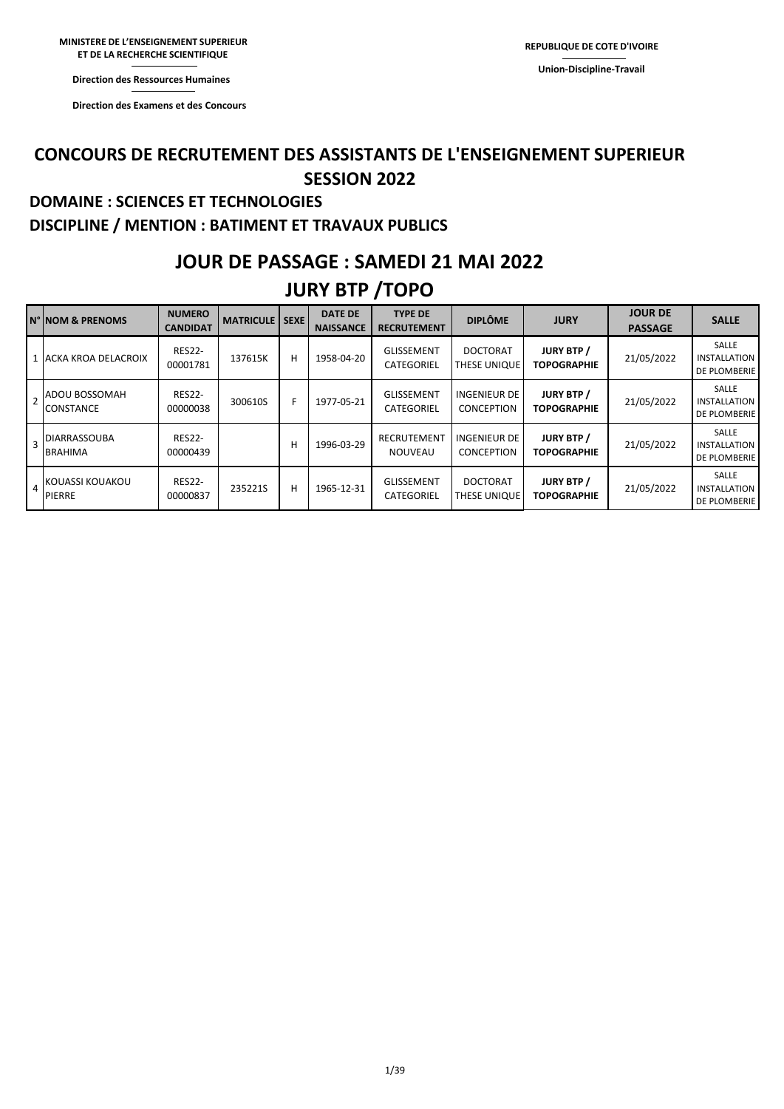**Direction des Ressources Humaines** 

**Direction des Examens et des Concours** 

### **CONCOURS DE RECRUTEMENT DES ASSISTANTS DE L'ENSEIGNEMENT SUPERIEUR SESSION 2022**

### **DOMAINE : SCIENCES ET TECHNOLOGIES DISCIPLINE / MENTION : BATIMENT ET TRAVAUX PUBLICS**

### **JOUR DE PASSAGE : SAMEDI 21 MAI 2022**

### **JURY BTP /TOPO**

|                | <b>N° NOM &amp; PRENOMS</b>              | <b>NUMERO</b><br>CANDIDAT | <b>MATRICULE   SEXE  </b> |   | <b>DATE DE</b><br><b>NAISSANCE</b> | <b>TYPE DE</b><br><b>RECRUTEMENT</b> | <b>DIPLÔME</b>                    | <b>JURY</b>                             | <b>JOUR DE</b><br><b>PASSAGE</b> | <b>SALLE</b>                                        |
|----------------|------------------------------------------|---------------------------|---------------------------|---|------------------------------------|--------------------------------------|-----------------------------------|-----------------------------------------|----------------------------------|-----------------------------------------------------|
|                | 1 ACKA KROA DELACROIX                    | <b>RES22-</b><br>00001781 | 137615K                   | н | 1958-04-20                         | <b>GLISSEMENT</b><br>CATEGORIEL      | <b>DOCTORAT</b><br>THESE UNIQUE   | <b>JURY BTP /</b><br><b>TOPOGRAPHIE</b> | 21/05/2022                       | SALLE<br><b>INSTALLATION</b><br>DE PLOMBERIE        |
| $\overline{2}$ | <b>ADOU BOSSOMAH</b><br><b>CONSTANCE</b> | <b>RES22-</b><br>00000038 | 300610S                   | F | 1977-05-21                         | <b>GLISSEMENT</b><br>CATEGORIEL      | INGENIEUR DE<br><b>CONCEPTION</b> | <b>JURY BTP /</b><br><b>TOPOGRAPHIE</b> | 21/05/2022                       | SALLE<br><b>INSTALLATION</b><br><b>DE PLOMBERIE</b> |
| $\overline{3}$ | <b>DIARRASSOUBA</b><br><b>BRAHIMA</b>    | <b>RES22-</b><br>00000439 |                           | H | 1996-03-29                         | RECRUTEMENT<br><b>NOUVEAU</b>        | INGENIEUR DE<br>CONCEPTION        | <b>JURY BTP /</b><br><b>TOPOGRAPHIE</b> | 21/05/2022                       | SALLE<br>INSTALLATION<br><b>DE PLOMBERIE</b>        |
| $\overline{4}$ | <b>IKOUASSI KOUAKOU</b><br><b>PIERRE</b> | <b>RES22-</b><br>00000837 | 235221S                   | H | 1965-12-31                         | GLISSEMENT<br>CATEGORIEL             | <b>DOCTORAT</b><br>THESE UNIQUE   | <b>JURY BTP /</b><br><b>TOPOGRAPHIE</b> | 21/05/2022                       | SALLE<br><b>INSTALLATION</b><br><b>DE PLOMBERIE</b> |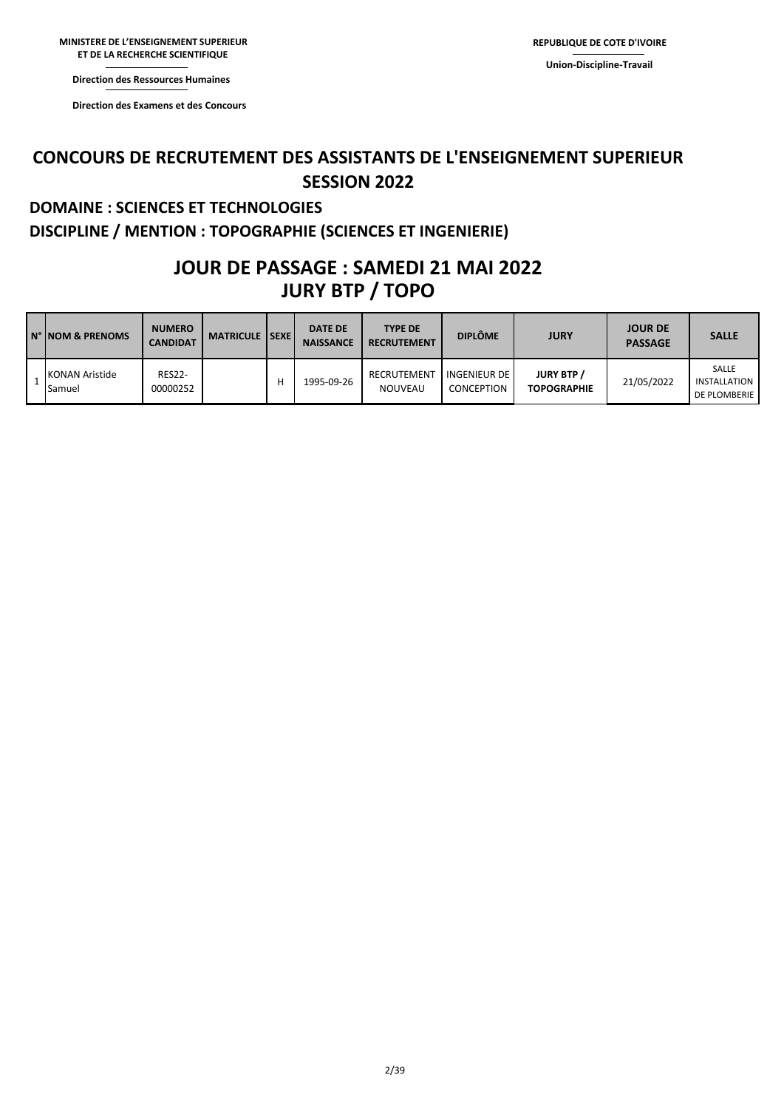**Direction des Ressources Direction des Ressources Humaines** 

**Direction des Examens et Direction des Examens et des Concours** 

### **CONCOURS DE RECRUTEMENT DES ASSISTANTS DE L'ENSEIGNEMENT SUPERIEUR SESSION 2022**

#### **DOMAINE : SCIENCES ET TECHNOLOGIES DISCIPLINE / MENTION : TOPOGRAPHIE (SCIENCES ET INGENIERIE)**

### **JURY BTP / TOPO JOUR DE PASSAGE : SAMEDI 21 MAI 2022**

| IN° INOM & PRENOMS              | <b>NUMERO</b><br><b>CANDIDAT</b> | <b>MATRICULE ISEXE</b> | <b>DATE DE</b><br><b>NAISSANCE</b> | <b>TYPE DE</b><br><b>RECRUTEMENT</b> | <b>DIPLÔME</b>                    | <b>JURY</b>                             | <b>JOUR DE</b><br><b>PASSAGE</b> | <b>SALLE</b>                                 |
|---------------------------------|----------------------------------|------------------------|------------------------------------|--------------------------------------|-----------------------------------|-----------------------------------------|----------------------------------|----------------------------------------------|
| <b>KONAN Aristide</b><br>Samuel | <b>RES22-</b><br>00000252        |                        | 1995-09-26                         | RECRUTEMENT<br><b>NOUVEAU</b>        | <b>INGENIEUR DE</b><br>CONCEPTION | <b>JURY BTP /</b><br><b>TOPOGRAPHIE</b> | 21/05/2022                       | SALLE<br><b>INSTALLATION</b><br>DE PLOMBERIE |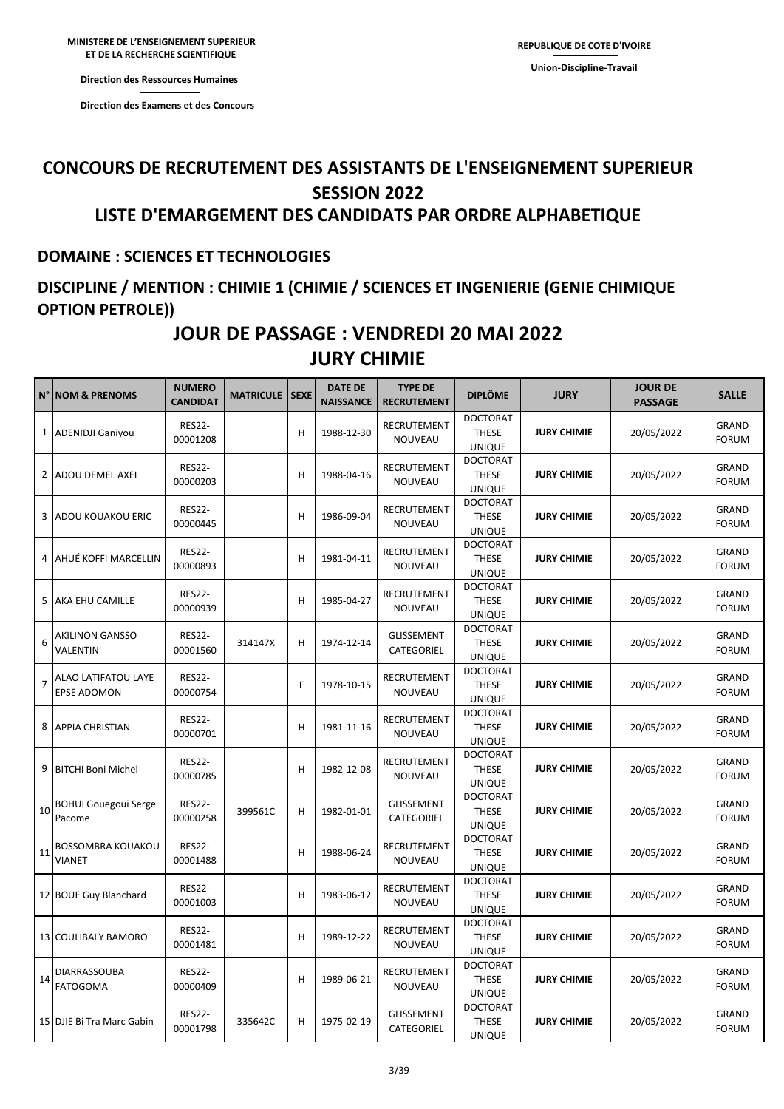**Direction des Ressources Humaines** 

**ET DE LA RECHERCHE** 

**Direction des Ressources Direction des Examens et des Concours** 

## **CONCOURS DE RECRUTEMENT DES ASSISTANTS DE L'ENSEIGNEMENT SUPERIEUR SESSION 2022**

#### **LISTE D'EMARGEMENT DES CANDIDATS PAR ORDRE ALPHABETIQUE**

#### **DOMAINE : SCIENCES ET TECHNOLOGIES**

### **DISCIPLINE / MENTION : CHIMIE 1 (CHIMIE / SCIENCES ET INGENIERIE (GENIE CHIMIQUE OPTION PETROLE))**

### **JURY CHIMIE JOUR DE PASSAGE : VENDREDI 20 MAI 2022**

| N°             | <b>NOM &amp; PRENOMS</b>                         | <b>NUMERO</b><br><b>CANDIDAT</b> | <b>MATRICULE   SEXE</b> |   | <b>DATE DE</b><br><b>NAISSANCE</b> | <b>TYPE DE</b><br><b>RECRUTEMENT</b>   | <b>DIPLÔME</b>                                   | <b>JURY</b>        | <b>JOUR DE</b><br><b>PASSAGE</b> | <b>SALLE</b>                 |
|----------------|--------------------------------------------------|----------------------------------|-------------------------|---|------------------------------------|----------------------------------------|--------------------------------------------------|--------------------|----------------------------------|------------------------------|
|                | 1 ADENIDJI Ganiyou                               | <b>RES22-</b><br>00001208        |                         | H | 1988-12-30                         | RECRUTEMENT<br>NOUVEAU                 | <b>DOCTORAT</b><br><b>THESE</b><br><b>UNIQUE</b> | <b>JURY CHIMIE</b> | 20/05/2022                       | GRAND<br><b>FORUM</b>        |
| 2              | ADOU DEMEL AXEL                                  | <b>RES22-</b><br>00000203        |                         | н | 1988-04-16                         | RECRUTEMENT<br>NOUVEAU                 | <b>DOCTORAT</b><br><b>THESE</b><br><b>UNIQUE</b> | <b>JURY CHIMIE</b> | 20/05/2022                       | GRAND<br><b>FORUM</b>        |
| 3              | <b>ADOU KOUAKOU ERIC</b>                         | <b>RES22-</b><br>00000445        |                         | н | 1986-09-04                         | RECRUTEMENT<br>NOUVEAU                 | <b>DOCTORAT</b><br><b>THESE</b><br><b>UNIQUE</b> | <b>JURY CHIMIE</b> | 20/05/2022                       | GRAND<br><b>FORUM</b>        |
|                | 4 AHUÉ KOFFI MARCELLIN                           | <b>RES22-</b><br>00000893        |                         | н | 1981-04-11                         | RECRUTEMENT<br>NOUVEAU                 | <b>DOCTORAT</b><br><b>THESE</b><br><b>UNIQUE</b> | <b>JURY CHIMIE</b> | 20/05/2022                       | GRAND<br><b>FORUM</b>        |
| 5              | AKA EHU CAMILLE                                  | <b>RES22-</b><br>00000939        |                         | н | 1985-04-27                         | RECRUTEMENT<br><b>NOUVEAU</b>          | <b>DOCTORAT</b><br><b>THESE</b><br><b>UNIQUE</b> | <b>JURY CHIMIE</b> | 20/05/2022                       | GRAND<br><b>FORUM</b>        |
| 6              | <b>AKILINON GANSSO</b><br>VALENTIN               | <b>RES22-</b><br>00001560        | 314147X                 | н | 1974-12-14                         | <b>GLISSEMENT</b><br>CATEGORIEL        | <b>DOCTORAT</b><br><b>THESE</b><br><b>UNIQUE</b> | <b>JURY CHIMIE</b> | 20/05/2022                       | GRAND<br><b>FORUM</b>        |
| $\overline{7}$ | <b>ALAO LATIFATOU LAYE</b><br><b>EPSE ADOMON</b> | <b>RES22-</b><br>00000754        |                         | F | 1978-10-15                         | RECRUTEMENT<br>NOUVEAU                 | <b>DOCTORAT</b><br><b>THESE</b><br><b>UNIQUE</b> | <b>JURY CHIMIE</b> | 20/05/2022                       | GRAND<br><b>FORUM</b>        |
| 8              | <b>APPIA CHRISTIAN</b>                           | <b>RES22-</b><br>00000701        |                         | H | 1981-11-16                         | RECRUTEMENT<br>NOUVEAU                 | <b>DOCTORAT</b><br><b>THESE</b><br><b>UNIQUE</b> | <b>JURY CHIMIE</b> | 20/05/2022                       | GRAND<br><b>FORUM</b>        |
| 9              | <b>BITCHI Boni Michel</b>                        | <b>RES22-</b><br>00000785        |                         | н | 1982-12-08                         | RECRUTEMENT<br>NOUVEAU                 | <b>DOCTORAT</b><br><b>THESE</b><br><b>UNIQUE</b> | <b>JURY CHIMIE</b> | 20/05/2022                       | GRAND<br><b>FORUM</b>        |
| 10             | <b>BOHUI Gouegoui Serge</b><br>Pacome            | <b>RES22-</b><br>00000258        | 399561C                 | н | 1982-01-01                         | <b>GLISSEMENT</b><br>CATEGORIEL        | <b>DOCTORAT</b><br><b>THESE</b><br><b>UNIQUE</b> | <b>JURY CHIMIE</b> | 20/05/2022                       | GRAND<br><b>FORUM</b>        |
| 11             | <b>BOSSOMBRA KOUAKOU</b><br><b>VIANET</b>        | <b>RES22-</b><br>00001488        |                         | H | 1988-06-24                         | RECRUTEMENT<br>NOUVEAU                 | <b>DOCTORAT</b><br><b>THESE</b><br><b>UNIQUE</b> | <b>JURY CHIMIE</b> | 20/05/2022                       | GRAND<br><b>FORUM</b>        |
|                | 12 BOUE Guy Blanchard                            | <b>RES22-</b><br>00001003        |                         | н | 1983-06-12                         | RECRUTEMENT<br>NOUVEAU                 | <b>DOCTORAT</b><br><b>THESE</b><br><b>UNIQUE</b> | <b>JURY CHIMIE</b> | 20/05/2022                       | GRAND<br><b>FORUM</b>        |
|                | 13 COULIBALY BAMORO                              | <b>RES22-</b><br>00001481        |                         | H | 1989-12-22                         | RECRUTEMENT<br>NOUVEAU                 | <b>DOCTORAT</b><br><b>THESE</b><br>UNIQUE        | <b>JURY CHIMIE</b> | 20/05/2022                       | <b>GRAND</b><br><b>FORUM</b> |
| 14             | <b>DIARRASSOUBA</b><br><b>FATOGOMA</b>           | <b>RES22-</b><br>00000409        |                         | н | 1989-06-21                         | RECRUTEMENT<br>NOUVEAU                 | <b>DOCTORAT</b><br><b>THESE</b><br><b>UNIQUE</b> | <b>JURY CHIMIE</b> | 20/05/2022                       | GRAND<br><b>FORUM</b>        |
|                | 15 DJIE Bi Tra Marc Gabin                        | <b>RES22-</b><br>00001798        | 335642C                 | H | 1975-02-19                         | <b>GLISSEMENT</b><br><b>CATEGORIEL</b> | <b>DOCTORAT</b><br><b>THESE</b><br><b>UNIQUE</b> | <b>JURY CHIMIE</b> | 20/05/2022                       | GRAND<br><b>FORUM</b>        |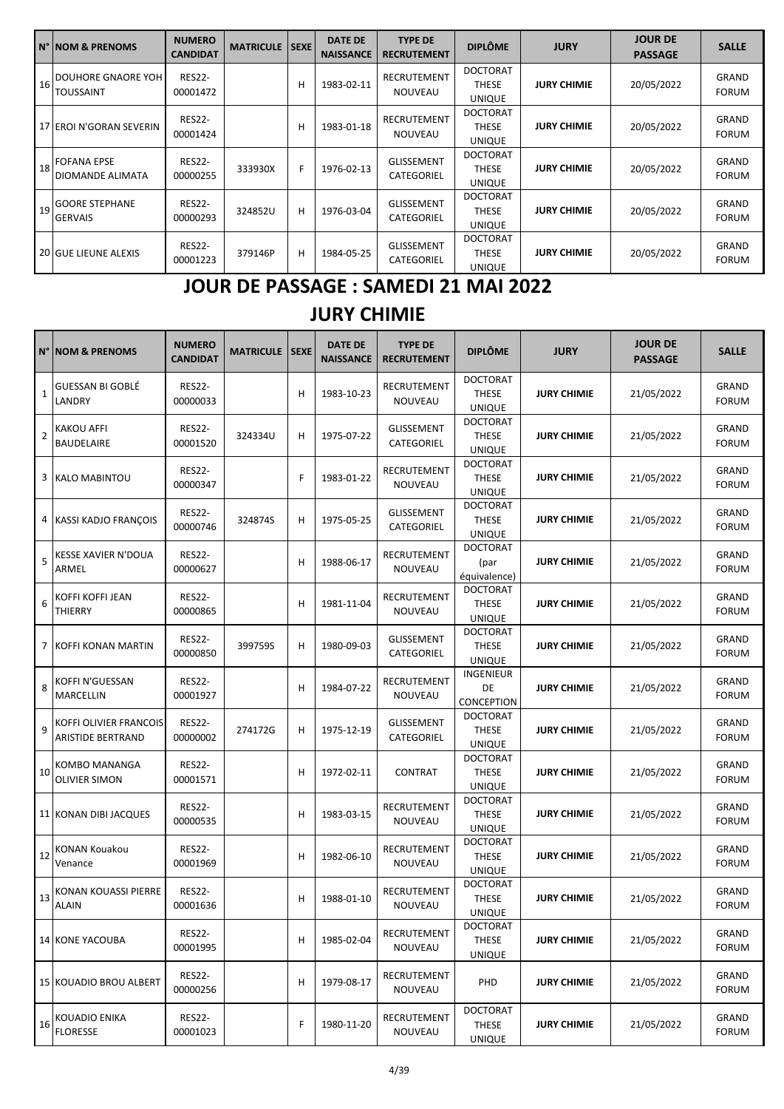| <b>N° NOM &amp; PRENOMS</b>               | <b>NUMERO</b><br><b>CANDIDAT</b> | <b>MATRICULE ISEXEI</b> |   | <b>DATE DE</b><br><b>NAISSANCE</b> | <b>TYPE DE</b><br><b>RECRUTEMENT</b> | <b>DIPLÔME</b>                                   | <b>JURY</b>        | <b>JOUR DE</b><br><b>PASSAGE</b> | <b>SALLE</b>                 |
|-------------------------------------------|----------------------------------|-------------------------|---|------------------------------------|--------------------------------------|--------------------------------------------------|--------------------|----------------------------------|------------------------------|
| 16 DOUHORE GNAORE YOH<br><b>TOUSSAINT</b> | <b>RES22-</b><br>00001472        |                         | н | 1983-02-11                         | <b>RECRUTEMENT</b><br><b>NOUVEAU</b> | <b>DOCTORAT</b><br>THESE<br><b>UNIQUE</b>        | <b>JURY CHIMIE</b> | 20/05/2022                       | <b>GRAND</b><br><b>FORUM</b> |
| 17 EROI N'GORAN SEVERIN                   | <b>RES22-</b><br>00001424        |                         | н | 1983-01-18                         | <b>RECRUTEMENT</b><br><b>NOUVEAU</b> | <b>DOCTORAT</b><br><b>THESE</b><br><b>UNIQUE</b> | <b>JURY CHIMIE</b> | 20/05/2022                       | GRAND<br><b>FORUM</b>        |
| 18 FOFANA EPSE<br>IDIOMANDE ALIMATA       | <b>RES22-</b><br>00000255        | 333930X                 | F | 1976-02-13                         | <b>GLISSEMENT</b><br>CATEGORIEL      | <b>DOCTORAT</b><br><b>THESE</b><br><b>UNIQUE</b> | <b>JURY CHIMIE</b> | 20/05/2022                       | <b>GRAND</b><br><b>FORUM</b> |
| 19 GOORE STEPHANE<br><b>GERVAIS</b>       | <b>RES22-</b><br>00000293        | 324852U                 | н | 1976-03-04                         | <b>GLISSEMENT</b><br>CATEGORIEL      | <b>DOCTORAT</b><br><b>THESE</b><br><b>UNIQUE</b> | <b>JURY CHIMIE</b> | 20/05/2022                       | GRAND<br><b>FORUM</b>        |
| 20 GUE LIEUNE ALEXIS                      | <b>RES22-</b><br>00001223        | 379146P                 | н | 1984-05-25                         | <b>GLISSEMENT</b><br>CATEGORIEL      | <b>DOCTORAT</b><br><b>THESE</b><br><b>UNIQUE</b> | <b>JURY CHIMIE</b> | 20/05/2022                       | GRAND<br><b>FORUM</b>        |

## **JOUR DE PASSAGE : SAMEDI 21 MAI 2022**

## **JURY CHIMIE**

| N°             | <b>NOM &amp; PRENOMS</b>                           | <b>NUMERO</b><br><b>CANDIDAT</b> | <b>MATRICULE</b> | <b>SEXE</b> | <b>DATE DE</b><br><b>NAISSANCE</b> | <b>TYPE DE</b><br><b>RECRUTEMENT</b> | <b>DIPLÔME</b>                                   | <b>JURY</b>        | <b>JOUR DE</b><br><b>PASSAGE</b> | <b>SALLE</b>                 |
|----------------|----------------------------------------------------|----------------------------------|------------------|-------------|------------------------------------|--------------------------------------|--------------------------------------------------|--------------------|----------------------------------|------------------------------|
| $\mathbf{1}$   | <b>GUESSAN BI GOBLÉ</b><br>LANDRY                  | <b>RES22-</b><br>00000033        |                  | н           | 1983-10-23                         | RECRUTEMENT<br><b>NOUVEAU</b>        | <b>DOCTORAT</b><br><b>THESE</b><br><b>UNIQUE</b> | <b>JURY CHIMIE</b> | 21/05/2022                       | GRAND<br><b>FORUM</b>        |
| $\overline{2}$ | <b>KAKOU AFFI</b><br><b>BAUDELAIRE</b>             | <b>RES22-</b><br>00001520        | 324334U          | н           | 1975-07-22                         | <b>GLISSEMENT</b><br>CATEGORIEL      | <b>DOCTORAT</b><br><b>THESE</b><br><b>UNIQUE</b> | <b>JURY CHIMIE</b> | 21/05/2022                       | GRAND<br><b>FORUM</b>        |
| 3              | <b>KALO MABINTOU</b>                               | <b>RES22-</b><br>00000347        |                  | F           | 1983-01-22                         | RECRUTEMENT<br>NOUVEAU               | <b>DOCTORAT</b><br><b>THESE</b><br><b>UNIQUE</b> | <b>JURY CHIMIE</b> | 21/05/2022                       | GRAND<br><b>FORUM</b>        |
| 4              | <b>KASSI KADJO FRANÇOIS</b>                        | <b>RES22-</b><br>00000746        | 324874S          | н           | 1975-05-25                         | <b>GLISSEMENT</b><br>CATEGORIEL      | <b>DOCTORAT</b><br><b>THESE</b><br><b>UNIQUE</b> | <b>JURY CHIMIE</b> | 21/05/2022                       | GRAND<br><b>FORUM</b>        |
| 5              | KESSE XAVIER N'DOUA<br>ARMEL                       | <b>RES22-</b><br>00000627        |                  | н           | 1988-06-17                         | RECRUTEMENT<br>NOUVEAU               | <b>DOCTORAT</b><br>(par<br>équivalence)          | <b>JURY CHIMIE</b> | 21/05/2022                       | GRAND<br><b>FORUM</b>        |
| 6              | KOFFI KOFFI JEAN<br>THIERRY                        | <b>RES22-</b><br>00000865        |                  | н           | 1981-11-04                         | RECRUTEMENT<br>NOUVEAU               | <b>DOCTORAT</b><br><b>THESE</b><br><b>UNIQUE</b> | <b>JURY CHIMIE</b> | 21/05/2022                       | GRAND<br><b>FORUM</b>        |
| 7              | KOFFI KONAN MARTIN                                 | <b>RES22-</b><br>00000850        | 399759S          | н           | 1980-09-03                         | <b>GLISSEMENT</b><br>CATEGORIEL      | <b>DOCTORAT</b><br><b>THESE</b><br><b>UNIQUE</b> | <b>JURY CHIMIE</b> | 21/05/2022                       | GRAND<br><b>FORUM</b>        |
| 8              | KOFFI N'GUESSAN<br>MARCELLIN                       | <b>RES22-</b><br>00001927        |                  | н           | 1984-07-22                         | RECRUTEMENT<br>NOUVEAU               | INGENIEUR<br>DE<br>CONCEPTION                    | <b>JURY CHIMIE</b> | 21/05/2022                       | <b>GRAND</b><br><b>FORUM</b> |
| 9              | KOFFI OLIVIER FRANCOIS<br><b>ARISTIDE BERTRAND</b> | <b>RES22-</b><br>00000002        | 274172G          | н           | 1975-12-19                         | <b>GLISSEMENT</b><br>CATEGORIEL      | <b>DOCTORAT</b><br><b>THESE</b><br>UNIQUE        | <b>JURY CHIMIE</b> | 21/05/2022                       | GRAND<br><b>FORUM</b>        |
| 10             | KOMBO MANANGA<br><b>OLIVIER SIMON</b>              | <b>RES22-</b><br>00001571        |                  | н           | 1972-02-11                         | <b>CONTRAT</b>                       | <b>DOCTORAT</b><br><b>THESE</b><br><b>UNIQUE</b> | <b>JURY CHIMIE</b> | 21/05/2022                       | GRAND<br><b>FORUM</b>        |
|                | 11 KONAN DIBI JACQUES                              | <b>RES22-</b><br>00000535        |                  | н           | 1983-03-15                         | RECRUTEMENT<br>NOUVEAU               | <b>DOCTORAT</b><br><b>THESE</b><br><b>UNIQUE</b> | <b>JURY CHIMIE</b> | 21/05/2022                       | GRAND<br><b>FORUM</b>        |
| 12             | KONAN Kouakou<br>Venance                           | <b>RES22-</b><br>00001969        |                  | н           | 1982-06-10                         | RECRUTEMENT<br>NOUVEAU               | <b>DOCTORAT</b><br><b>THESE</b><br><b>UNIQUE</b> | <b>JURY CHIMIE</b> | 21/05/2022                       | GRAND<br><b>FORUM</b>        |
| 13             | KONAN KOUASSI PIERRE<br><b>ALAIN</b>               | <b>RES22-</b><br>00001636        |                  | н           | 1988-01-10                         | RECRUTEMENT<br><b>NOUVEAU</b>        | <b>DOCTORAT</b><br><b>THESE</b><br>UNIQUE        | <b>JURY CHIMIE</b> | 21/05/2022                       | GRAND<br><b>FORUM</b>        |
|                | <b>14 KONE YACOUBA</b>                             | <b>RES22-</b><br>00001995        |                  | н           | 1985-02-04                         | RECRUTEMENT<br>NOUVEAU               | <b>DOCTORAT</b><br><b>THESE</b><br><b>UNIQUE</b> | <b>JURY CHIMIE</b> | 21/05/2022                       | GRAND<br><b>FORUM</b>        |
|                | <b>15 KOUADIO BROU ALBERT</b>                      | <b>RES22-</b><br>00000256        |                  | н           | 1979-08-17                         | RECRUTEMENT<br><b>NOUVEAU</b>        | PHD                                              | <b>JURY CHIMIE</b> | 21/05/2022                       | GRAND<br><b>FORUM</b>        |
| 16             | KOUADIO ENIKA<br><b>FLORESSE</b>                   | <b>RES22-</b><br>00001023        |                  | F           | 1980-11-20                         | RECRUTEMENT<br>NOUVEAU               | <b>DOCTORAT</b><br><b>THESE</b><br><b>UNIQUE</b> | <b>JURY CHIMIE</b> | 21/05/2022                       | <b>GRAND</b><br><b>FORUM</b> |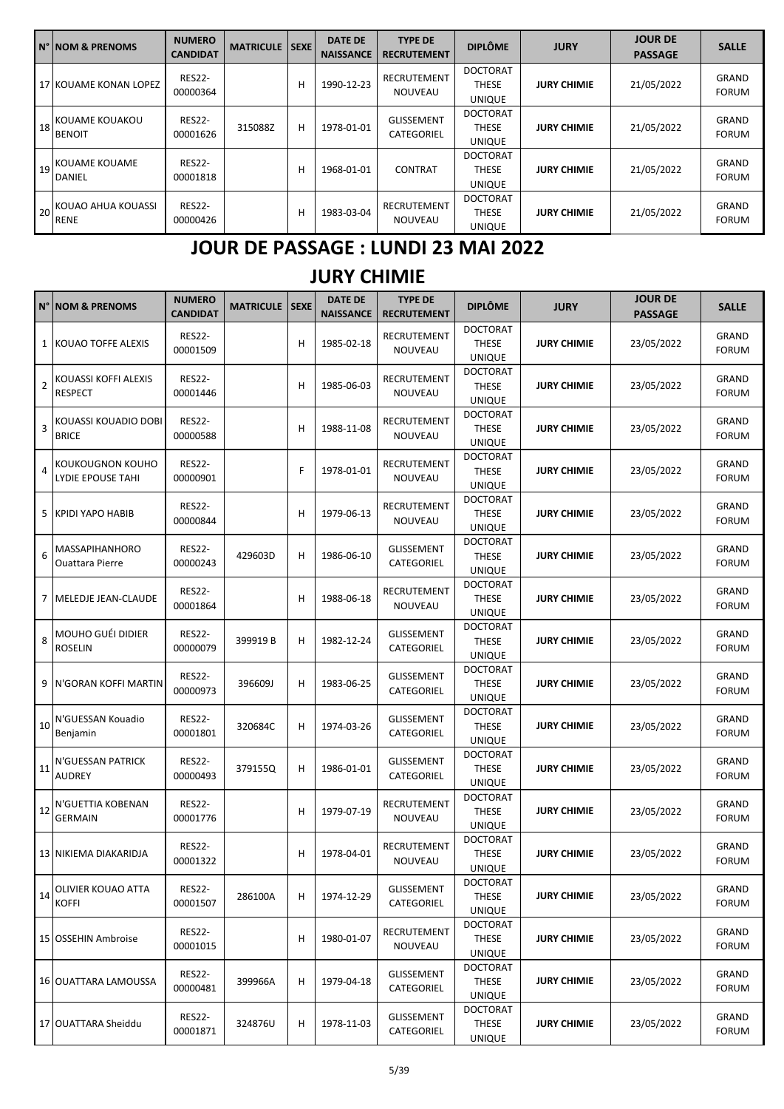| IN° NOM & PRENOMS                    | <b>NUMERO</b><br><b>CANDIDAT</b> | <b>MATRICULE   SEXE</b> |   | <b>DATE DE</b><br><b>NAISSANCE</b> | <b>TYPE DE</b><br><b>RECRUTEMENT</b> | <b>DIPLÔME</b>                                   | <b>JURY</b>        | <b>JOUR DE</b><br><b>PASSAGE</b> | <b>SALLE</b>                 |
|--------------------------------------|----------------------------------|-------------------------|---|------------------------------------|--------------------------------------|--------------------------------------------------|--------------------|----------------------------------|------------------------------|
| 17 KOUAME KONAN LOPEZ                | <b>RES22-</b><br>00000364        |                         | н | 1990-12-23                         | <b>RECRUTEMENT</b><br>NOUVEAU        | <b>DOCTORAT</b><br><b>THESE</b><br><b>UNIQUE</b> | <b>JURY CHIMIE</b> | 21/05/2022                       | <b>GRAND</b><br><b>FORUM</b> |
| 18 KOUAME KOUAKOU<br><b>BENOIT</b>   | <b>RES22-</b><br>00001626        | 315088Z                 | н | 1978-01-01                         | <b>GLISSEMENT</b><br>CATEGORIEL      | <b>DOCTORAT</b><br><b>THESE</b><br><b>UNIQUE</b> | <b>JURY CHIMIE</b> | 21/05/2022                       | <b>GRAND</b><br><b>FORUM</b> |
| 19 KOUAME KOUAME<br><b>DANIEL</b>    | <b>RES22-</b><br>00001818        |                         | н | 1968-01-01                         | <b>CONTRAT</b>                       | <b>DOCTORAT</b><br><b>THESE</b><br><b>UNIQUE</b> | <b>JURY CHIMIE</b> | 21/05/2022                       | GRAND<br><b>FORUM</b>        |
| 20 KOUAO AHUA KOUASSI<br><b>RENE</b> | <b>RES22-</b><br>00000426        |                         | н | 1983-03-04                         | RECRUTEMENT<br>NOUVEAU               | <b>DOCTORAT</b><br><b>THESE</b><br><b>UNIQUE</b> | <b>JURY CHIMIE</b> | 21/05/2022                       | <b>GRAND</b><br><b>FORUM</b> |

## **JOUR DE PASSAGE : LUNDI 23 MAI 2022**

### **JURY CHIMIE**

| $N^{\circ}$    | <b>NOM &amp; PRENOMS</b>                        | <b>NUMERO</b><br><b>CANDIDAT</b> | <b>MATRICULE   SEXE</b> |   | <b>DATE DE</b><br><b>NAISSANCE</b> | <b>TYPE DE</b><br><b>RECRUTEMENT</b> | <b>DIPLÔME</b>                                   | <b>JURY</b>        | <b>JOUR DE</b><br><b>PASSAGE</b> | <b>SALLE</b>                 |
|----------------|-------------------------------------------------|----------------------------------|-------------------------|---|------------------------------------|--------------------------------------|--------------------------------------------------|--------------------|----------------------------------|------------------------------|
|                | 1 KOUAO TOFFE ALEXIS                            | <b>RES22-</b><br>00001509        |                         | H | 1985-02-18                         | RECRUTEMENT<br>NOUVEAU               | <b>DOCTORAT</b><br><b>THESE</b><br><b>UNIQUE</b> | <b>JURY CHIMIE</b> | 23/05/2022                       | GRAND<br><b>FORUM</b>        |
| $\overline{2}$ | KOUASSI KOFFI ALEXIS<br><b>RESPECT</b>          | <b>RES22-</b><br>00001446        |                         | н | 1985-06-03                         | RECRUTEMENT<br>NOUVEAU               | <b>DOCTORAT</b><br><b>THESE</b><br><b>UNIQUE</b> | <b>JURY CHIMIE</b> | 23/05/2022                       | GRAND<br><b>FORUM</b>        |
| $\overline{3}$ | KOUASSI KOUADIO DOBI<br><b>BRICE</b>            | <b>RES22-</b><br>00000588        |                         | н | 1988-11-08                         | RECRUTEMENT<br>NOUVEAU               | <b>DOCTORAT</b><br><b>THESE</b><br><b>UNIQUE</b> | <b>JURY CHIMIE</b> | 23/05/2022                       | GRAND<br><b>FORUM</b>        |
| $\overline{4}$ | KOUKOUGNON KOUHO<br>LYDIE EPOUSE TAHI           | <b>RES22-</b><br>00000901        |                         | F | 1978-01-01                         | RECRUTEMENT<br>NOUVEAU               | <b>DOCTORAT</b><br><b>THESE</b><br><b>UNIQUE</b> | <b>JURY CHIMIE</b> | 23/05/2022                       | GRAND<br><b>FORUM</b>        |
| 5              | KPIDI YAPO HABIB                                | <b>RES22-</b><br>00000844        |                         | н | 1979-06-13                         | <b>RECRUTEMENT</b><br>NOUVEAU        | <b>DOCTORAT</b><br><b>THESE</b><br><b>UNIQUE</b> | <b>JURY CHIMIE</b> | 23/05/2022                       | GRAND<br><b>FORUM</b>        |
| 6              | <b>MASSAPIHANHORO</b><br><b>Ouattara Pierre</b> | <b>RES22-</b><br>00000243        | 429603D                 | н | 1986-06-10                         | <b>GLISSEMENT</b><br>CATEGORIEL      | <b>DOCTORAT</b><br><b>THESE</b><br><b>UNIQUE</b> | <b>JURY CHIMIE</b> | 23/05/2022                       | GRAND<br><b>FORUM</b>        |
|                | 7 MELEDJE JEAN-CLAUDE                           | <b>RES22-</b><br>00001864        |                         | н | 1988-06-18                         | RECRUTEMENT<br>NOUVEAU               | <b>DOCTORAT</b><br><b>THESE</b><br><b>UNIQUE</b> | <b>JURY CHIMIE</b> | 23/05/2022                       | GRAND<br><b>FORUM</b>        |
| 8              | MOUHO GUÉI DIDIER<br><b>ROSELIN</b>             | <b>RES22-</b><br>00000079        | 399919 B                | н | 1982-12-24                         | <b>GLISSEMENT</b><br>CATEGORIEL      | <b>DOCTORAT</b><br><b>THESE</b><br><b>UNIQUE</b> | <b>JURY CHIMIE</b> | 23/05/2022                       | <b>GRAND</b><br><b>FORUM</b> |
| 9              | N'GORAN KOFFI MARTIN                            | <b>RES22-</b><br>00000973        | 396609J                 | н | 1983-06-25                         | <b>GLISSEMENT</b><br>CATEGORIEL      | <b>DOCTORAT</b><br><b>THESE</b><br><b>UNIQUE</b> | <b>JURY CHIMIE</b> | 23/05/2022                       | GRAND<br><b>FORUM</b>        |
| 10             | N'GUESSAN Kouadio<br>Benjamin                   | <b>RES22-</b><br>00001801        | 320684C                 | н | 1974-03-26                         | <b>GLISSEMENT</b><br>CATEGORIEL      | <b>DOCTORAT</b><br><b>THESE</b><br><b>UNIQUE</b> | <b>JURY CHIMIE</b> | 23/05/2022                       | GRAND<br><b>FORUM</b>        |
| 11             | N'GUESSAN PATRICK<br><b>AUDREY</b>              | <b>RES22-</b><br>00000493        | 379155Q                 | н | 1986-01-01                         | <b>GLISSEMENT</b><br>CATEGORIEL      | <b>DOCTORAT</b><br><b>THESE</b><br><b>UNIQUE</b> | <b>JURY CHIMIE</b> | 23/05/2022                       | GRAND<br><b>FORUM</b>        |
| 12             | N'GUETTIA KOBENAN<br><b>GERMAIN</b>             | <b>RES22-</b><br>00001776        |                         | н | 1979-07-19                         | RECRUTEMENT<br>NOUVEAU               | <b>DOCTORAT</b><br><b>THESE</b><br><b>UNIQUE</b> | <b>JURY CHIMIE</b> | 23/05/2022                       | GRAND<br><b>FORUM</b>        |
|                | 13 NIKIEMA DIAKARIDJA                           | <b>RES22-</b><br>00001322        |                         | н | 1978-04-01                         | <b>RECRUTEMENT</b><br>NOUVEAU        | <b>DOCTORAT</b><br><b>THESE</b><br><b>UNIQUE</b> | <b>JURY CHIMIE</b> | 23/05/2022                       | GRAND<br><b>FORUM</b>        |
| 14             | OLIVIER KOUAO ATTA<br><b>KOFFI</b>              | <b>RES22-</b><br>00001507        | 286100A                 | н | 1974-12-29                         | <b>GLISSEMENT</b><br>CATEGORIEL      | <b>DOCTORAT</b><br><b>THESE</b><br><b>UNIQUE</b> | <b>JURY CHIMIE</b> | 23/05/2022                       | GRAND<br><b>FORUM</b>        |
|                | 15 OSSEHIN Ambroise                             | <b>RES22-</b><br>00001015        |                         | н | 1980-01-07                         | RECRUTEMENT<br>NOUVEAU               | <b>DOCTORAT</b><br><b>THESE</b><br>UNIQUE        | <b>JURY CHIMIE</b> | 23/05/2022                       | GRAND<br><b>FORUM</b>        |
|                | 16 JOUATTARA LAMOUSSA                           | <b>RES22-</b><br>00000481        | 399966A                 | н | 1979-04-18                         | <b>GLISSEMENT</b><br>CATEGORIEL      | <b>DOCTORAT</b><br><b>THESE</b><br><b>UNIQUE</b> | <b>JURY CHIMIE</b> | 23/05/2022                       | GRAND<br><b>FORUM</b>        |
|                | 17 OUATTARA Sheiddu                             | <b>RES22-</b><br>00001871        | 324876U                 | н | 1978-11-03                         | <b>GLISSEMENT</b><br>CATEGORIEL      | <b>DOCTORAT</b><br><b>THESE</b><br><b>UNIQUE</b> | <b>JURY CHIMIE</b> | 23/05/2022                       | GRAND<br><b>FORUM</b>        |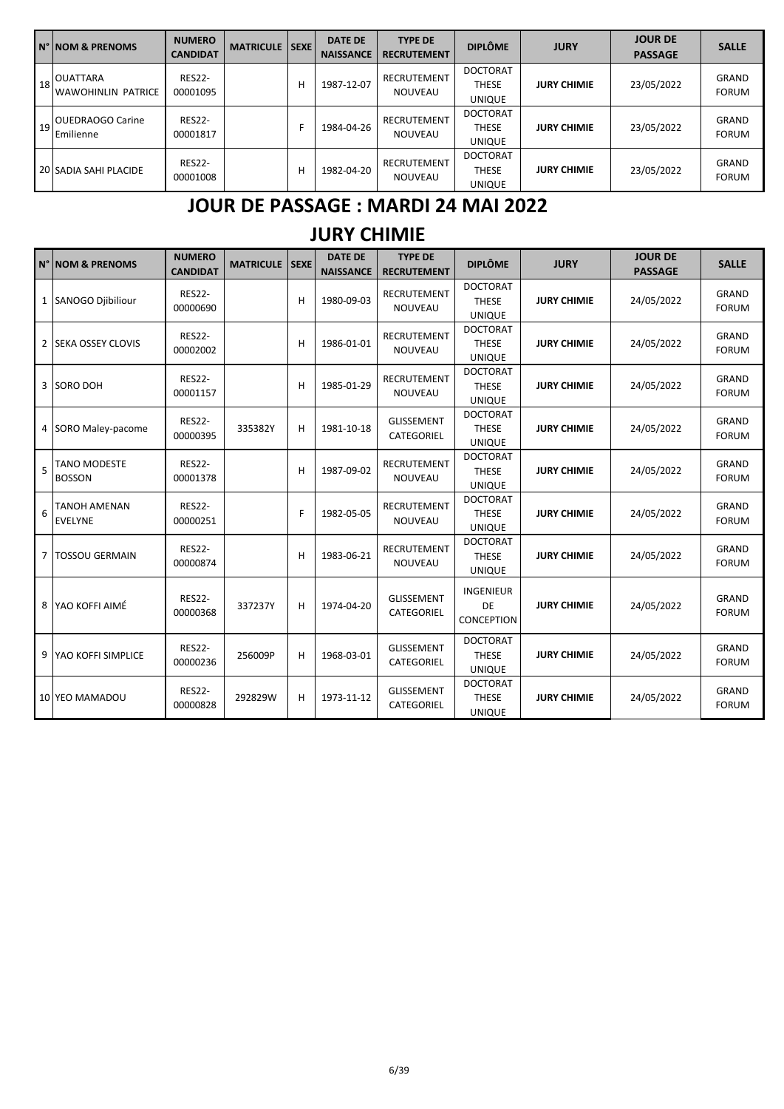|    | IN° INOM & PRENOMS                                   | <b>NUMERO</b><br><b>CANDIDAT</b> | <b>MATRICULE</b> | <b>SEXE</b> | <b>DATE DE</b><br><b>NAISSANCE</b> | <b>TYPE DE</b><br><b>RECRUTEMENT</b> | <b>DIPLÔME</b>                                   | <b>JURY</b>        | <b>JOUR DE</b><br><b>PASSAGE</b> | <b>SALLE</b>                 |
|----|------------------------------------------------------|----------------------------------|------------------|-------------|------------------------------------|--------------------------------------|--------------------------------------------------|--------------------|----------------------------------|------------------------------|
|    | $\frac{1}{18}$ OUATTARA<br><b>WAWOHINLIN PATRICE</b> | <b>RES22-</b><br>00001095        |                  | Н           | 1987-12-07                         | RECRUTEMENT<br><b>NOUVEAU</b>        | <b>DOCTORAT</b><br><b>THESE</b><br><b>UNIQUE</b> | <b>JURY CHIMIE</b> | 23/05/2022                       | <b>GRAND</b><br><b>FORUM</b> |
| 19 | <b>OUEDRAOGO Carine</b><br>Emilienne                 | <b>RES22-</b><br>00001817        |                  |             | 1984-04-26                         | RECRUTEMENT<br><b>NOUVEAU</b>        | <b>DOCTORAT</b><br><b>THESE</b><br><b>UNIQUE</b> | <b>JURY CHIMIE</b> | 23/05/2022                       | <b>GRAND</b><br><b>FORUM</b> |
|    | 20 SADIA SAHI PLACIDE                                | <b>RES22-</b><br>00001008        |                  | H           | 1982-04-20                         | RECRUTEMENT<br><b>NOUVEAU</b>        | <b>DOCTORAT</b><br><b>THESE</b><br><b>UNIQUE</b> | <b>JURY CHIMIE</b> | 23/05/2022                       | <b>GRAND</b><br><b>FORUM</b> |

### **JOUR DE PASSAGE : MARDI 24 MAI 2022**

### **JURY CHIMIE**

|                | N° INOM & PRENOMS                     | <b>NUMERO</b><br><b>CANDIDAT</b> | <b>MATRICULE ISEXE</b> |   | <b>DATE DE</b><br><b>NAISSANCE</b> | <b>TYPE DE</b><br><b>RECRUTEMENT</b> | <b>DIPLÔME</b>                                   | <b>JURY</b>        | <b>JOUR DE</b><br><b>PASSAGE</b> | <b>SALLE</b>                 |
|----------------|---------------------------------------|----------------------------------|------------------------|---|------------------------------------|--------------------------------------|--------------------------------------------------|--------------------|----------------------------------|------------------------------|
|                | 1 SANOGO Diibiliour                   | <b>RES22-</b><br>00000690        |                        | H | 1980-09-03                         | <b>RECRUTEMENT</b><br><b>NOUVEAU</b> | <b>DOCTORAT</b><br><b>THESE</b><br><b>UNIQUE</b> | <b>JURY CHIMIE</b> | 24/05/2022                       | <b>GRAND</b><br><b>FORUM</b> |
| 2              | <b>SEKA OSSEY CLOVIS</b>              | <b>RES22-</b><br>00002002        |                        | H | 1986-01-01                         | RECRUTEMENT<br>NOUVEAU               | <b>DOCTORAT</b><br><b>THESE</b><br><b>UNIQUE</b> | <b>JURY CHIMIE</b> | 24/05/2022                       | <b>GRAND</b><br><b>FORUM</b> |
| 3              | SORO DOH                              | <b>RES22-</b><br>00001157        |                        | н | 1985-01-29                         | RECRUTEMENT<br><b>NOUVEAU</b>        | <b>DOCTORAT</b><br><b>THESE</b><br><b>UNIQUE</b> | <b>JURY CHIMIE</b> | 24/05/2022                       | <b>GRAND</b><br><b>FORUM</b> |
| 4              | SORO Maley-pacome                     | <b>RES22-</b><br>00000395        | 335382Y                | H | 1981-10-18                         | <b>GLISSEMENT</b><br>CATEGORIEL      | <b>DOCTORAT</b><br><b>THESE</b><br><b>UNIQUE</b> | <b>JURY CHIMIE</b> | 24/05/2022                       | <b>GRAND</b><br><b>FORUM</b> |
| 5              | <b>TANO MODESTE</b><br><b>BOSSON</b>  | <b>RES22-</b><br>00001378        |                        | н | 1987-09-02                         | <b>RECRUTEMENT</b><br><b>NOUVEAU</b> | <b>DOCTORAT</b><br><b>THESE</b><br><b>UNIQUE</b> | <b>JURY CHIMIE</b> | 24/05/2022                       | <b>GRAND</b><br><b>FORUM</b> |
| 6              | <b>TANOH AMENAN</b><br><b>EVELYNE</b> | <b>RES22-</b><br>00000251        |                        | F | 1982-05-05                         | <b>RECRUTEMENT</b><br><b>NOUVEAU</b> | <b>DOCTORAT</b><br><b>THESE</b><br><b>UNIQUE</b> | <b>JURY CHIMIE</b> | 24/05/2022                       | <b>GRAND</b><br><b>FORUM</b> |
| $\overline{7}$ | <b>TOSSOU GERMAIN</b>                 | <b>RES22-</b><br>00000874        |                        | н | 1983-06-21                         | RECRUTEMENT<br><b>NOUVEAU</b>        | <b>DOCTORAT</b><br><b>THESE</b><br><b>UNIQUE</b> | <b>JURY CHIMIE</b> | 24/05/2022                       | <b>GRAND</b><br><b>FORUM</b> |
|                | 8 YAO KOFFI AIMÉ                      | <b>RES22-</b><br>00000368        | 337237Y                | н | 1974-04-20                         | <b>GLISSEMENT</b><br>CATEGORIEL      | <b>INGENIEUR</b><br>DE<br><b>CONCEPTION</b>      | <b>JURY CHIMIE</b> | 24/05/2022                       | <b>GRAND</b><br><b>FORUM</b> |
| 9              | <b>YAO KOFFI SIMPLICE</b>             | <b>RES22-</b><br>00000236        | 256009P                | H | 1968-03-01                         | <b>GLISSEMENT</b><br>CATEGORIEL      | <b>DOCTORAT</b><br><b>THESE</b><br><b>UNIQUE</b> | <b>JURY CHIMIE</b> | 24/05/2022                       | <b>GRAND</b><br><b>FORUM</b> |
|                | 10 YEO MAMADOU                        | <b>RES22-</b><br>00000828        | 292829W                | н | 1973-11-12                         | <b>GLISSEMENT</b><br>CATEGORIEL      | <b>DOCTORAT</b><br><b>THESE</b><br><b>UNIQUE</b> | <b>JURY CHIMIE</b> | 24/05/2022                       | <b>GRAND</b><br><b>FORUM</b> |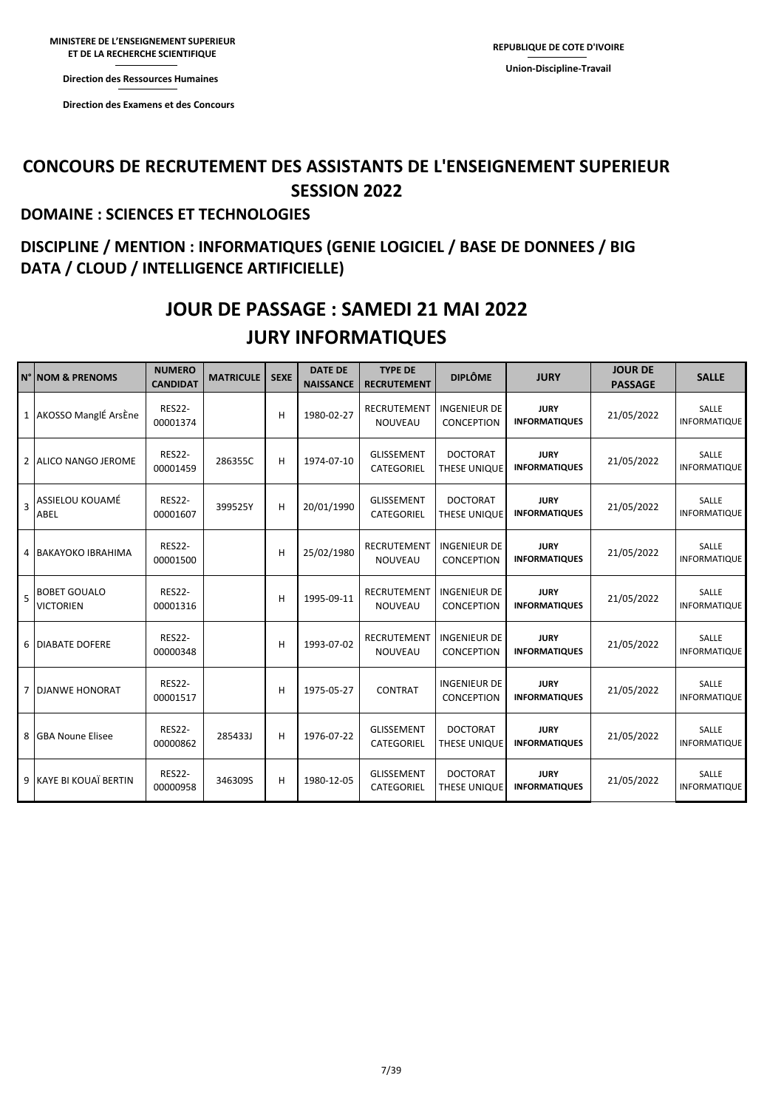**Direction des Ressources Direction des Ressources Humaines** 

**ET DE LA RECHERCHE** 

**Direction des Examens et des Direction des Ressources Direction des Examens et des Concours** 

#### **CONCOURS DE RECRUTEMENT DES ASSISTANTS DE L'ENSEIGNEMENT SUPERIEUR SESSION 2022**

#### **DOMAINE : SCIENCES ET TECHNOLOGIES**

### **DISCIPLINE / MENTION : INFORMATIQUES (GENIE LOGICIEL / BASE DE DONNEES / BIG DATA / CLOUD / INTELLIGENCE ARTIFICIELLE)**

### **JURY INFORMATIQUES JOUR DE PASSAGE : SAMEDI 21 MAI 2022**

|   | N°   NOM & PRENOMS                      | <b>NUMERO</b><br><b>CANDIDAT</b> | <b>MATRICULE</b> | <b>SEXE</b> | <b>DATE DE</b><br><b>NAISSANCE</b> | <b>TYPE DE</b><br><b>RECRUTEMENT</b>   | <b>DIPLÔME</b>                           | <b>JURY</b>                         | <b>JOUR DE</b><br><b>PASSAGE</b> | <b>SALLE</b>                 |
|---|-----------------------------------------|----------------------------------|------------------|-------------|------------------------------------|----------------------------------------|------------------------------------------|-------------------------------------|----------------------------------|------------------------------|
|   | 1 AKOSSO ManglÉ ArsÈne                  | <b>RES22-</b><br>00001374        |                  | H           | 1980-02-27                         | <b>RECRUTEMENT</b><br><b>NOUVEAU</b>   | <b>INGENIEUR DE</b><br><b>CONCEPTION</b> | <b>JURY</b><br><b>INFORMATIQUES</b> | 21/05/2022                       | SALLE<br>INFORMATIQUE        |
| 2 | ALICO NANGO JEROME                      | <b>RES22-</b><br>00001459        | 286355C          | н           | 1974-07-10                         | <b>GLISSEMENT</b><br><b>CATEGORIEL</b> | <b>DOCTORAT</b><br>THESE UNIQUE          | <b>JURY</b><br><b>INFORMATIQUES</b> | 21/05/2022                       | SALLE<br><b>INFORMATIQUE</b> |
| 3 | ASSIELOU KOUAMÉ<br>ABEL                 | <b>RES22-</b><br>00001607        | 399525Y          | н           | 20/01/1990                         | <b>GLISSEMENT</b><br>CATEGORIEL        | <b>DOCTORAT</b><br>THESE UNIQUE          | <b>JURY</b><br><b>INFORMATIQUES</b> | 21/05/2022                       | SALLE<br><b>INFORMATIQUE</b> |
| 4 | BAKAYOKO IBRAHIMA                       | <b>RES22-</b><br>00001500        |                  | H           | 25/02/1980                         | <b>RECRUTEMENT</b><br><b>NOUVEAU</b>   | <b>INGENIEUR DE</b><br><b>CONCEPTION</b> | <b>JURY</b><br><b>INFORMATIQUES</b> | 21/05/2022                       | SALLE<br><b>INFORMATIQUE</b> |
| 5 | <b>BOBET GOUALO</b><br><b>VICTORIEN</b> | <b>RES22-</b><br>00001316        |                  | H           | 1995-09-11                         | <b>RECRUTEMENT</b><br><b>NOUVEAU</b>   | <b>INGENIEUR DE</b><br><b>CONCEPTION</b> | <b>JURY</b><br><b>INFORMATIQUES</b> | 21/05/2022                       | SALLE<br><b>INFORMATIQUE</b> |
| 6 | <b>DIABATE DOFERE</b>                   | <b>RES22-</b><br>00000348        |                  | н           | 1993-07-02                         | RECRUTEMENT<br><b>NOUVEAU</b>          | <b>INGENIEUR DE</b><br><b>CONCEPTION</b> | <b>JURY</b><br><b>INFORMATIQUES</b> | 21/05/2022                       | SALLE<br><b>INFORMATIQUE</b> |
| 7 | <b>DJANWE HONORAT</b>                   | <b>RES22-</b><br>00001517        |                  | н           | 1975-05-27                         | <b>CONTRAT</b>                         | <b>INGENIEUR DE</b><br><b>CONCEPTION</b> | <b>JURY</b><br><b>INFORMATIQUES</b> | 21/05/2022                       | SALLE<br>INFORMATIQUE        |
| 8 | <b>GBA Noune Elisee</b>                 | <b>RES22-</b><br>00000862        | 285433J          | н           | 1976-07-22                         | <b>GLISSEMENT</b><br><b>CATEGORIEL</b> | <b>DOCTORAT</b><br>THESE UNIQUE          | <b>JURY</b><br><b>INFORMATIQUES</b> | 21/05/2022                       | SALLE<br><b>INFORMATIQUE</b> |
|   | 9 KAYE BI KOUAÏ BERTIN                  | <b>RES22-</b><br>00000958        | 346309S          | H           | 1980-12-05                         | <b>GLISSEMENT</b><br><b>CATEGORIEL</b> | <b>DOCTORAT</b><br>THESE UNIQUE          | <b>JURY</b><br><b>INFORMATIQUES</b> | 21/05/2022                       | SALLE<br>INFORMATIQUE        |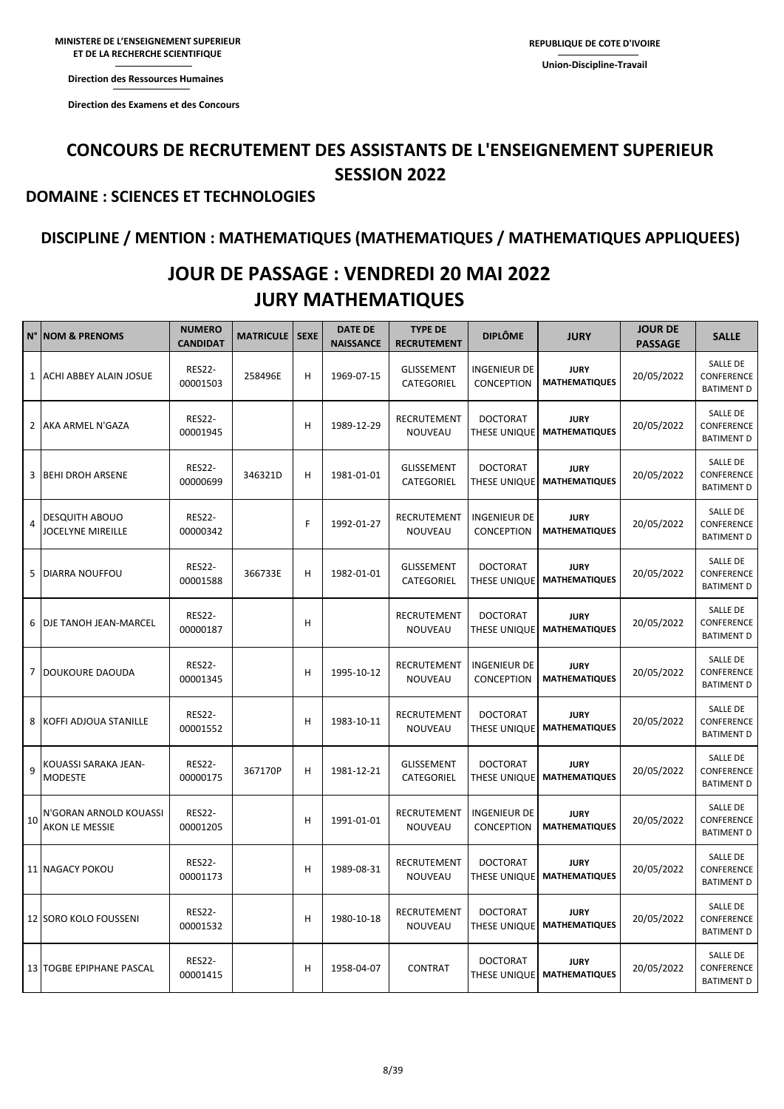**ET DE LA RECHERCHE SCIENTIFIQUE Direction des Ressources Humaines** 

**Direction des Ressources** 

**Direction des Examens et des Concours** 

### **CONCOURS DE RECRUTEMENT DES ASSISTANTS DE L'ENSEIGNEMENT SUPERIEUR SESSION 2022**

#### **DOMAINE : SCIENCES ET TECHNOLOGIES**

#### **DISCIPLINE / MENTION : MATHEMATIQUES (MATHEMATIQUES / MATHEMATIQUES APPLIQUEES)**

### **JOUR DE PASSAGE : VENDREDI 20 MAI 2022 JURY MATHEMATIQUES**

| N°             | <b>NOM &amp; PRENOMS</b>                          | <b>NUMERO</b><br><b>CANDIDAT</b> | <b>MATRICULE   SEXE</b> |   | <b>DATE DE</b><br><b>NAISSANCE</b> | <b>TYPE DE</b><br><b>RECRUTEMENT</b> | <b>DIPLÔME</b>                    | <b>JURY</b>                         | <b>JOUR DE</b><br><b>PASSAGE</b> | <b>SALLE</b>                                       |
|----------------|---------------------------------------------------|----------------------------------|-------------------------|---|------------------------------------|--------------------------------------|-----------------------------------|-------------------------------------|----------------------------------|----------------------------------------------------|
| $\mathbf{1}$   | ACHI ABBEY ALAIN JOSUE                            | <b>RES22-</b><br>00001503        | 258496E                 | н | 1969-07-15                         | <b>GLISSEMENT</b><br>CATEGORIEL      | INGENIEUR DE<br>CONCEPTION        | <b>JURY</b><br><b>MATHEMATIQUES</b> | 20/05/2022                       | <b>SALLE DE</b><br>CONFERENCE<br><b>BATIMENT D</b> |
| 2              | AKA ARMEL N'GAZA                                  | <b>RES22-</b><br>00001945        |                         | н | 1989-12-29                         | RECRUTEMENT<br>NOUVEAU               | <b>DOCTORAT</b><br>THESE UNIQUE   | <b>JURY</b><br><b>MATHEMATIQUES</b> | 20/05/2022                       | SALLE DE<br>CONFERENCE<br><b>BATIMENT D</b>        |
| 3              | <b>BEHI DROH ARSENE</b>                           | <b>RES22-</b><br>00000699        | 346321D                 | н | 1981-01-01                         | <b>GLISSEMENT</b><br>CATEGORIEL      | <b>DOCTORAT</b><br>THESE UNIQUE   | <b>JURY</b><br><b>MATHEMATIQUES</b> | 20/05/2022                       | <b>SALLE DE</b><br>CONFERENCE<br><b>BATIMENT D</b> |
| $\overline{4}$ | <b>DESQUITH ABOUO</b><br><b>JOCELYNE MIREILLE</b> | <b>RES22-</b><br>00000342        |                         | F | 1992-01-27                         | RECRUTEMENT<br>NOUVEAU               | INGENIEUR DE<br><b>CONCEPTION</b> | <b>JURY</b><br><b>MATHEMATIQUES</b> | 20/05/2022                       | SALLE DE<br>CONFERENCE<br><b>BATIMENT D</b>        |
| 5              | <b>DIARRA NOUFFOU</b>                             | <b>RES22-</b><br>00001588        | 366733E                 | н | 1982-01-01                         | <b>GLISSEMENT</b><br>CATEGORIEL      | <b>DOCTORAT</b><br>THESE UNIQUE   | <b>JURY</b><br><b>MATHEMATIQUES</b> | 20/05/2022                       | <b>SALLE DE</b><br>CONFERENCE<br><b>BATIMENT D</b> |
| 6              | DJE TANOH JEAN-MARCEL                             | <b>RES22-</b><br>00000187        |                         | н |                                    | RECRUTEMENT<br>NOUVEAU               | <b>DOCTORAT</b><br>THESE UNIQUE   | <b>JURY</b><br><b>MATHEMATIQUES</b> | 20/05/2022                       | SALLE DE<br>CONFERENCE<br><b>BATIMENT D</b>        |
| $\overline{7}$ | <b>DOUKOURE DAOUDA</b>                            | <b>RES22-</b><br>00001345        |                         | н | 1995-10-12                         | RECRUTEMENT<br>NOUVEAU               | INGENIEUR DE<br>CONCEPTION        | <b>JURY</b><br><b>MATHEMATIQUES</b> | 20/05/2022                       | <b>SALLE DE</b><br>CONFERENCE<br><b>BATIMENT D</b> |
| 8              | KOFFI ADJOUA STANILLE                             | <b>RES22-</b><br>00001552        |                         | н | 1983-10-11                         | RECRUTEMENT<br>NOUVEAU               | <b>DOCTORAT</b><br>THESE UNIQUE   | <b>JURY</b><br><b>MATHEMATIQUES</b> | 20/05/2022                       | SALLE DE<br>CONFERENCE<br><b>BATIMENT D</b>        |
| 9              | KOUASSI SARAKA JEAN-<br><b>MODESTE</b>            | <b>RES22-</b><br>00000175        | 367170P                 | н | 1981-12-21                         | <b>GLISSEMENT</b><br>CATEGORIEL      | <b>DOCTORAT</b><br>THESE UNIQUE   | <b>JURY</b><br><b>MATHEMATIQUES</b> | 20/05/2022                       | SALLE DE<br>CONFERENCE<br><b>BATIMENT D</b>        |
| 10             | N'GORAN ARNOLD KOUASSI<br>AKON LE MESSIE          | <b>RES22-</b><br>00001205        |                         | н | 1991-01-01                         | RECRUTEMENT<br>NOUVEAU               | INGENIEUR DE<br><b>CONCEPTION</b> | <b>JURY</b><br><b>MATHEMATIQUES</b> | 20/05/2022                       | SALLE DE<br>CONFERENCE<br><b>BATIMENT D</b>        |
|                | 11 NAGACY POKOU                                   | <b>RES22-</b><br>00001173        |                         | н | 1989-08-31                         | RECRUTEMENT<br>NOUVEAU               | DOCTORAT<br>THESE UNIQUE          | <b>JURY</b><br><b>MATHEMATIQUES</b> | 20/05/2022                       | SALLE DE<br>CONFERENCE<br><b>BATIMENT D</b>        |
|                | 12 SORO KOLO FOUSSENI                             | <b>RES22-</b><br>00001532        |                         | н | 1980-10-18                         | RECRUTEMENT<br><b>NOUVEAU</b>        | <b>DOCTORAT</b><br>THESE UNIQUE   | <b>JURY</b><br><b>MATHEMATIQUES</b> | 20/05/2022                       | SALLE DE<br>CONFERENCE<br><b>BATIMENT D</b>        |
|                | 13 TOGBE EPIPHANE PASCAL                          | <b>RES22-</b><br>00001415        |                         | н | 1958-04-07                         | <b>CONTRAT</b>                       | <b>DOCTORAT</b><br>THESE UNIQUE   | <b>JURY</b><br><b>MATHEMATIQUES</b> | 20/05/2022                       | SALLE DE<br>CONFERENCE<br><b>BATIMENT D</b>        |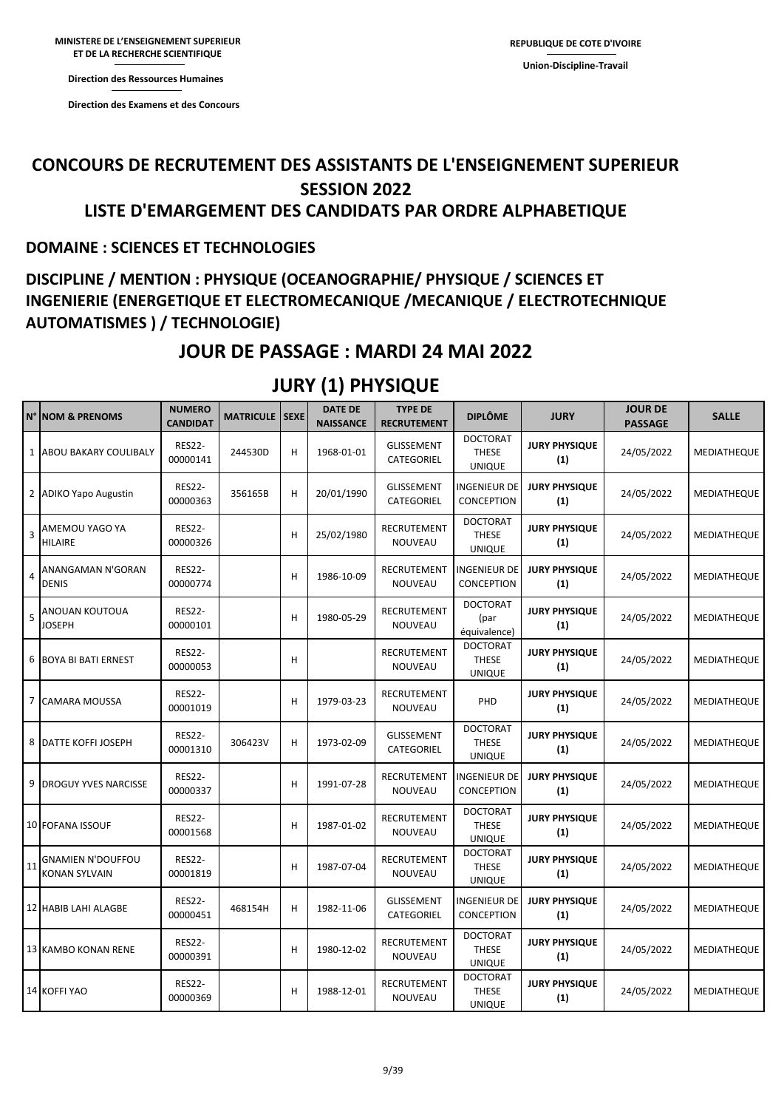**Direction des Ressources Direction des Ressources Humaines** 

**Direction des Examens et des Direction des Examens et des Concours** 

### **CONCOURS DE RECRUTEMENT DES ASSISTANTS DE L'ENSEIGNEMENT SUPERIEUR SESSION 2022 LISTE D'EMARGEMENT DES CANDIDATS PAR ORDRE ALPHABETIQUE**

#### **DOMAINE : SCIENCES ET TECHNOLOGIES**

### **DISCIPLINE / MENTION : PHYSIQUE (OCEANOGRAPHIE/ PHYSIQUE / SCIENCES ET INGENIERIE (ENERGETIQUE ET ELECTROMECANIQUE /MECANIQUE / ELECTROTECHNIQUE AUTOMATISMES ) / TECHNOLOGIE)**

### **JOUR DE PASSAGE : MARDI 24 MAI 2022**

| N° | <b>NOM &amp; PRENOMS</b>                  | <b>NUMERO</b><br><b>CANDIDAT</b> | <b>MATRICULE   SEXE</b> |   | <b>DATE DE</b><br><b>NAISSANCE</b> | <b>TYPE DE</b><br><b>RECRUTEMENT</b> | <b>DIPLÔME</b>                                   | <b>JURY</b>                 | <b>JOUR DE</b><br><b>PASSAGE</b> | <b>SALLE</b> |
|----|-------------------------------------------|----------------------------------|-------------------------|---|------------------------------------|--------------------------------------|--------------------------------------------------|-----------------------------|----------------------------------|--------------|
|    | 1 ABOU BAKARY COULIBALY                   | <b>RES22-</b><br>00000141        | 244530D                 | н | 1968-01-01                         | GLISSEMENT<br>CATEGORIEL             | <b>DOCTORAT</b><br><b>THESE</b><br><b>UNIQUE</b> | <b>JURY PHYSIQUE</b><br>(1) | 24/05/2022                       | MEDIATHEQUE  |
| 2  | <b>ADIKO Yapo Augustin</b>                | <b>RES22-</b><br>00000363        | 356165B                 | н | 20/01/1990                         | <b>GLISSEMENT</b><br>CATEGORIEL      | INGENIEUR DE<br>CONCEPTION                       | <b>JURY PHYSIQUE</b><br>(1) | 24/05/2022                       | MEDIATHEQUE  |
| 3  | AMEMOU YAGO YA<br><b>HILAIRE</b>          | <b>RES22-</b><br>00000326        |                         | н | 25/02/1980                         | RECRUTEMENT<br>NOUVEAU               | <b>DOCTORAT</b><br><b>THESE</b><br><b>UNIQUE</b> | <b>JURY PHYSIQUE</b><br>(1) | 24/05/2022                       | MEDIATHEQUE  |
| 4  | ANANGAMAN N'GORAN<br><b>DENIS</b>         | <b>RES22-</b><br>00000774        |                         | н | 1986-10-09                         | RECRUTEMENT<br>NOUVEAU               | <b>INGENIEUR DE</b><br><b>CONCEPTION</b>         | <b>JURY PHYSIQUE</b><br>(1) | 24/05/2022                       | MEDIATHEQUE  |
| 5  | ANOUAN KOUTOUA<br><b>JOSEPH</b>           | <b>RES22-</b><br>00000101        |                         | н | 1980-05-29                         | RECRUTEMENT<br>NOUVEAU               | <b>DOCTORAT</b><br>(par<br>équivalence)          | <b>JURY PHYSIQUE</b><br>(1) | 24/05/2022                       | MEDIATHEQUE  |
| 6  | <b>BOYA BI BATI ERNEST</b>                | <b>RES22-</b><br>00000053        |                         | н |                                    | RECRUTEMENT<br>NOUVEAU               | <b>DOCTORAT</b><br><b>THESE</b><br><b>UNIQUE</b> | <b>JURY PHYSIQUE</b><br>(1) | 24/05/2022                       | MEDIATHEQUE  |
|    | 7 CAMARA MOUSSA                           | <b>RES22-</b><br>00001019        |                         | н | 1979-03-23                         | RECRUTEMENT<br>NOUVEAU               | PHD                                              | <b>JURY PHYSIQUE</b><br>(1) | 24/05/2022                       | MEDIATHEQUE  |
| 8  | <b>DATTE KOFFI JOSEPH</b>                 | <b>RES22-</b><br>00001310        | 306423V                 | н | 1973-02-09                         | <b>GLISSEMENT</b><br>CATEGORIEL      | <b>DOCTORAT</b><br>THESE<br><b>UNIQUE</b>        | <b>JURY PHYSIQUE</b><br>(1) | 24/05/2022                       | MEDIATHEQUE  |
| 9  | <b>DROGUY YVES NARCISSE</b>               | <b>RES22-</b><br>00000337        |                         | н | 1991-07-28                         | RECRUTEMENT<br>NOUVEAU               | INGENIEUR DE<br><b>CONCEPTION</b>                | <b>JURY PHYSIQUE</b><br>(1) | 24/05/2022                       | MEDIATHEQUE  |
|    | 10 FOFANA ISSOUF                          | <b>RES22-</b><br>00001568        |                         | н | 1987-01-02                         | RECRUTEMENT<br>NOUVEAU               | <b>DOCTORAT</b><br><b>THESE</b><br><b>UNIQUE</b> | <b>JURY PHYSIQUE</b><br>(1) | 24/05/2022                       | MEDIATHEQUE  |
| 11 | GNAMIEN N'DOUFFOU<br><b>KONAN SYLVAIN</b> | <b>RES22-</b><br>00001819        |                         | н | 1987-07-04                         | RECRUTEMENT<br>NOUVEAU               | <b>DOCTORAT</b><br><b>THESE</b><br><b>UNIQUE</b> | <b>JURY PHYSIQUE</b><br>(1) | 24/05/2022                       | MEDIATHEQUE  |
|    | 12 HABIB LAHI ALAGBE                      | <b>RES22-</b><br>00000451        | 468154H                 | н | 1982-11-06                         | <b>GLISSEMENT</b><br>CATEGORIEL      | INGENIEUR DE<br>CONCEPTION                       | <b>JURY PHYSIQUE</b><br>(1) | 24/05/2022                       | MEDIATHEQUE  |
|    | 13 KAMBO KONAN RENE                       | <b>RES22-</b><br>00000391        |                         | н | 1980-12-02                         | RECRUTEMENT<br>NOUVEAU               | <b>DOCTORAT</b><br>THESE<br><b>UNIQUE</b>        | <b>JURY PHYSIQUE</b><br>(1) | 24/05/2022                       | MEDIATHEQUE  |
|    | 14 KOFFI YAO                              | <b>RES22-</b><br>00000369        |                         | н | 1988-12-01                         | RECRUTEMENT<br>NOUVEAU               | <b>DOCTORAT</b><br><b>THESE</b><br><b>UNIQUE</b> | <b>JURY PHYSIQUE</b><br>(1) | 24/05/2022                       | MEDIATHEQUE  |

### **JURY (1) PHYSIQUE**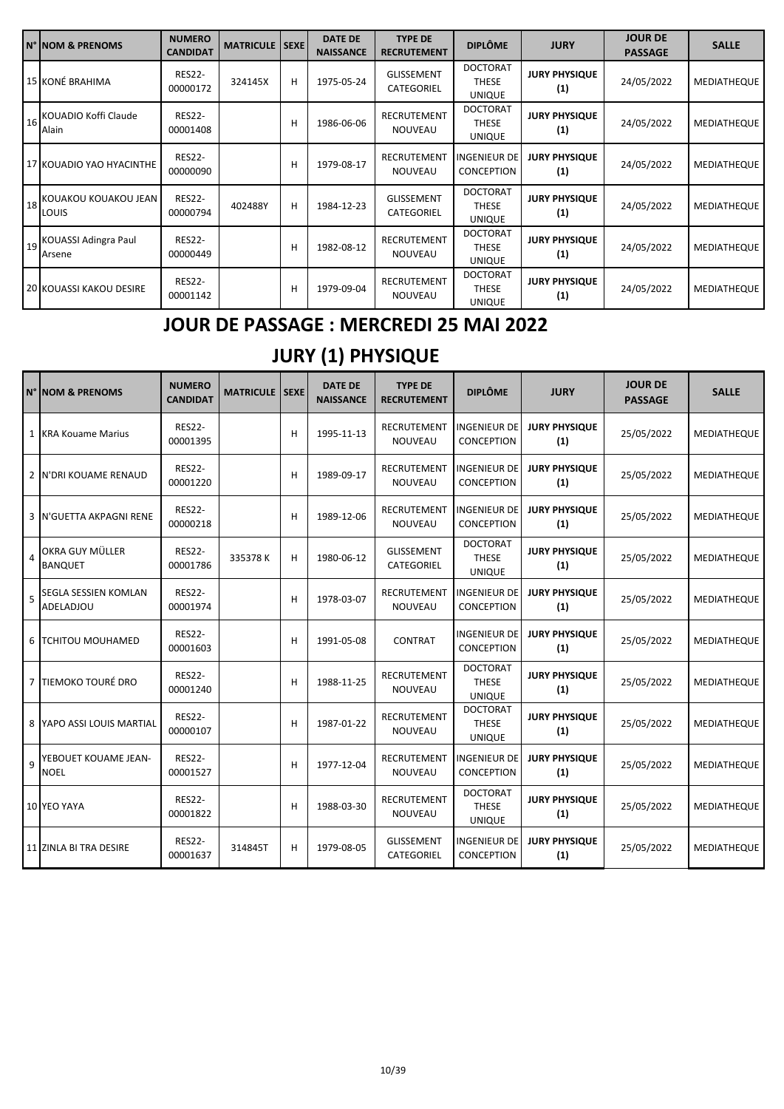| IN° NOM & PRENOMS                 | <b>NUMERO</b><br><b>CANDIDAT</b> | <b>MATRICULE</b> | <b>SEXE</b> | <b>DATE DE</b><br><b>NAISSANCE</b> | <b>TYPE DE</b><br><b>RECRUTEMENT</b> | <b>DIPLÔME</b>                                   | <b>JURY</b>                 | <b>JOUR DE</b><br><b>PASSAGE</b> | <b>SALLE</b>       |
|-----------------------------------|----------------------------------|------------------|-------------|------------------------------------|--------------------------------------|--------------------------------------------------|-----------------------------|----------------------------------|--------------------|
| 15 KONÉ BRAHIMA                   | <b>RES22-</b><br>00000172        | 324145X          | н           | 1975-05-24                         | <b>GLISSEMENT</b><br>CATEGORIEL      | <b>DOCTORAT</b><br><b>THESE</b><br><b>UNIQUE</b> | <b>JURY PHYSIQUE</b><br>(1) | 24/05/2022                       | MEDIATHEQUE        |
| 16 KOUADIO Koffi Claude<br>Alain  | <b>RES22-</b><br>00001408        |                  | H           | 1986-06-06                         | RECRUTEMENT<br>NOUVEAU               | <b>DOCTORAT</b><br>THESE<br><b>UNIQUE</b>        | <b>JURY PHYSIQUE</b><br>(1) | 24/05/2022                       | MEDIATHEQUE        |
| 17 KOUADIO YAO HYACINTHE          | <b>RES22-</b><br>00000090        |                  | H           | 1979-08-17                         | RECRUTEMENT<br><b>NOUVEAU</b>        | <b>INGENIEUR DE</b><br><b>CONCEPTION</b>         | <b>JURY PHYSIQUE</b><br>(1) | 24/05/2022                       | MEDIATHEQUE        |
| 18 KOUAKOU KOUAKOU JEAN<br>LOUIS  | <b>RES22-</b><br>00000794        | 402488Y          | н           | 1984-12-23                         | <b>GLISSEMENT</b><br>CATEGORIEL      | <b>DOCTORAT</b><br>THESE<br><b>UNIQUE</b>        | <b>JURY PHYSIQUE</b><br>(1) | 24/05/2022                       | MEDIATHEQUE        |
| 19 KOUASSI Adingra Paul<br>Arsene | <b>RES22-</b><br>00000449        |                  | H           | 1982-08-12                         | RECRUTEMENT<br>NOUVEAU               | <b>DOCTORAT</b><br><b>THESE</b><br><b>UNIQUE</b> | <b>JURY PHYSIQUE</b><br>(1) | 24/05/2022                       | <b>MEDIATHEQUE</b> |
| <b>20 KOUASSI KAKOU DESIRE</b>    | <b>RES22-</b><br>00001142        |                  | н           | 1979-09-04                         | RECRUTEMENT<br><b>NOUVEAU</b>        | <b>DOCTORAT</b><br><b>THESE</b><br><b>UNIQUE</b> | <b>JURY PHYSIQUE</b><br>(1) | 24/05/2022                       | MEDIATHEQUE        |

### **JOUR DE PASSAGE : MERCREDI 25 MAI 2022**

## **JURY (1) PHYSIQUE**

|                | N° INOM & PRENOMS                   | <b>NUMERO</b><br><b>CANDIDAT</b> | <b>MATRICULE   SEXE</b> |   | <b>DATE DE</b><br><b>NAISSANCE</b> | <b>TYPE DE</b><br><b>RECRUTEMENT</b> | <b>DIPLÔME</b>                                   | <b>JURY</b>                 | <b>JOUR DE</b><br><b>PASSAGE</b> | <b>SALLE</b>       |
|----------------|-------------------------------------|----------------------------------|-------------------------|---|------------------------------------|--------------------------------------|--------------------------------------------------|-----------------------------|----------------------------------|--------------------|
|                | 1 KRA Kouame Marius                 | <b>RES22-</b><br>00001395        |                         | н | 1995-11-13                         | RECRUTEMENT<br><b>NOUVEAU</b>        | <b>INGENIEUR DE</b><br><b>CONCEPTION</b>         | <b>JURY PHYSIQUE</b><br>(1) | 25/05/2022                       | MEDIATHEQUE        |
|                | 2 IN'DRI KOUAME RENAUD              | <b>RES22-</b><br>00001220        |                         | H | 1989-09-17                         | <b>RECRUTEMENT</b><br><b>NOUVEAU</b> | <b>INGENIEUR DE</b><br><b>CONCEPTION</b>         | <b>JURY PHYSIQUE</b><br>(1) | 25/05/2022                       | MEDIATHEQUE        |
| 3              | <b>N'GUETTA AKPAGNI RENE</b>        | <b>RES22-</b><br>00000218        |                         | н | 1989-12-06                         | <b>RECRUTEMENT</b><br>NOUVEAU        | <b>INGENIEUR DE</b><br><b>CONCEPTION</b>         | <b>JURY PHYSIQUE</b><br>(1) | 25/05/2022                       | MEDIATHEQUE        |
| $\overline{a}$ | OKRA GUY MÜLLER<br><b>BANQUET</b>   | <b>RES22-</b><br>00001786        | 335378K                 | н | 1980-06-12                         | <b>GLISSEMENT</b><br>CATEGORIEL      | <b>DOCTORAT</b><br><b>THESE</b><br><b>UNIQUE</b> | <b>JURY PHYSIQUE</b><br>(1) | 25/05/2022                       | MEDIATHEQUE        |
| 5              | SEGLA SESSIEN KOMLAN<br>ADELADJOU   | <b>RES22-</b><br>00001974        |                         | н | 1978-03-07                         | <b>RECRUTEMENT</b><br><b>NOUVEAU</b> | <b>INGENIEUR DE</b><br><b>CONCEPTION</b>         | <b>JURY PHYSIQUE</b><br>(1) | 25/05/2022                       | MEDIATHEQUE        |
|                | 6   TCHITOU MOUHAMED                | <b>RES22-</b><br>00001603        |                         | н | 1991-05-08                         | <b>CONTRAT</b>                       | <b>INGENIEUR DE</b><br>CONCEPTION                | <b>JURY PHYSIQUE</b><br>(1) | 25/05/2022                       | MEDIATHEQUE        |
|                | 7 TIEMOKO TOURÉ DRO                 | <b>RES22-</b><br>00001240        |                         | H | 1988-11-25                         | <b>RECRUTEMENT</b><br><b>NOUVEAU</b> | <b>DOCTORAT</b><br><b>THESE</b><br><b>UNIQUE</b> | <b>JURY PHYSIQUE</b><br>(1) | 25/05/2022                       | MEDIATHEQUE        |
|                | 8 YAPO ASSI LOUIS MARTIAL           | <b>RES22-</b><br>00000107        |                         | н | 1987-01-22                         | RECRUTEMENT<br><b>NOUVEAU</b>        | <b>DOCTORAT</b><br><b>THESE</b><br><b>UNIQUE</b> | <b>JURY PHYSIQUE</b><br>(1) | 25/05/2022                       | MEDIATHEQUE        |
| 9              | YEBOUET KOUAME JEAN-<br><b>NOEL</b> | <b>RES22-</b><br>00001527        |                         | H | 1977-12-04                         | <b>RECRUTEMENT</b><br><b>NOUVEAU</b> | <b>INGENIEUR DE</b><br>CONCEPTION                | <b>JURY PHYSIQUE</b><br>(1) | 25/05/2022                       | MEDIATHEQUE        |
|                | 10 YEO YAYA                         | <b>RES22-</b><br>00001822        |                         | н | 1988-03-30                         | <b>RECRUTEMENT</b><br>NOUVEAU        | <b>DOCTORAT</b><br><b>THESE</b><br><b>UNIQUE</b> | <b>JURY PHYSIQUE</b><br>(1) | 25/05/2022                       | MEDIATHEQUE        |
|                | 11 ZINLA BI TRA DESIRE              | <b>RES22-</b><br>00001637        | 314845T                 | н | 1979-08-05                         | <b>GLISSEMENT</b><br>CATEGORIEL      | <b>INGENIEUR DE</b><br>CONCEPTION                | <b>JURY PHYSIQUE</b><br>(1) | 25/05/2022                       | <b>MEDIATHEQUE</b> |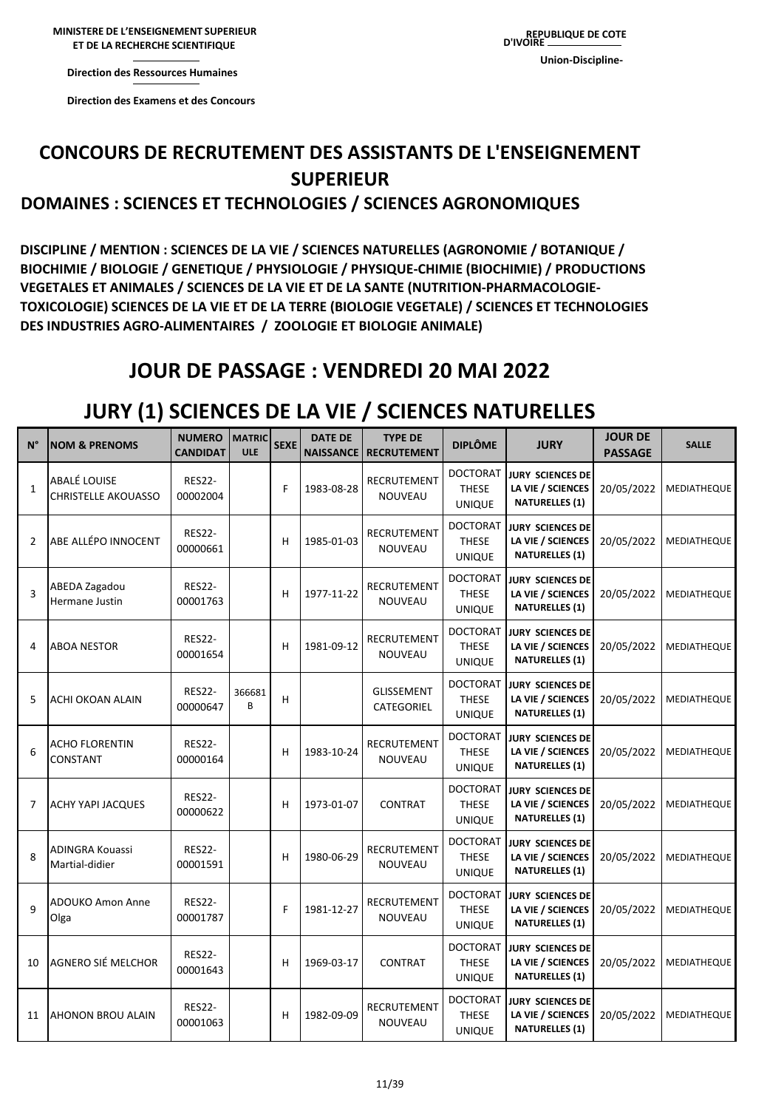**MINISTERE DE L'ENSEIGNEMENT SUPERIEUR MINISTERE DE L'ENSEIGNEMENT SUPERIEUR ET DE LA RECHERCHE ET DE LA RECHERCHE SCIENTIFIQUE** 

**REPUBLIQUE DE COTE D'IVOIRE Union-Discipline-**

**Direction des Ressources Direction des Ressources Humaines** 

**Direction des Examens et des Concours** 

# **CONCOURS DE RECRUTEMENT DES ASSISTANTS DE L'ENSEIGNEMENT SUPERIEUR**

#### **DOMAINES : SCIENCES ET TECHNOLOGIES / SCIENCES AGRONOMIQUES**

**DISCIPLINE / MENTION : SCIENCES DE LA VIE / SCIENCES NATURELLES (AGRONOMIE / BOTANIQUE / BIOCHIMIE / BIOLOGIE / GENETIQUE / PHYSIOLOGIE / PHYSIQUE-CHIMIE (BIOCHIMIE) / PRODUCTIONS VEGETALES ET ANIMALES / SCIENCES DE LA VIE ET DE LA SANTE (NUTRITION-PHARMACOLOGIE-TOXICOLOGIE) SCIENCES DE LA VIE ET DE LA TERRE (BIOLOGIE VEGETALE) / SCIENCES ET TECHNOLOGIES DES INDUSTRIES AGRO-ALIMENTAIRES / ZOOLOGIE ET BIOLOGIE ANIMALE)**

### **JOUR DE PASSAGE : VENDREDI 20 MAI 2022**

### **JURY (1) SCIENCES DE LA VIE / SCIENCES NATURELLES**

| $N^{\circ}$  | <b>NOM &amp; PRENOMS</b>                          | <b>NUMERO</b><br><b>CANDIDAT</b> | <b>MATRIC</b><br><b>ULE</b> | <b>SEXE</b> | <b>DATE DE</b><br><b>NAISSANCE</b> | <b>TYPE DE</b><br><b>RECRUTEMENT</b> | <b>DIPLÔME</b>                                   | <b>JURY</b>                                                           | <b>JOUR DE</b><br><b>PASSAGE</b> | <b>SALLE</b> |
|--------------|---------------------------------------------------|----------------------------------|-----------------------------|-------------|------------------------------------|--------------------------------------|--------------------------------------------------|-----------------------------------------------------------------------|----------------------------------|--------------|
| $\mathbf{1}$ | <b>ABALÉ LOUISE</b><br><b>CHRISTELLE AKOUASSO</b> | <b>RES22-</b><br>00002004        |                             | F           | 1983-08-28                         | RECRUTEMENT<br>NOUVEAU               | DOCTORAT<br><b>THESE</b><br><b>UNIQUE</b>        | <b>JURY SCIENCES DE</b><br>LA VIE / SCIENCES<br><b>NATURELLES (1)</b> | 20/05/2022                       | MEDIATHEQUE  |
| 2            | ABE ALLÉPO INNOCENT                               | <b>RES22-</b><br>00000661        |                             | н           | 1985-01-03                         | RECRUTEMENT<br><b>NOUVEAU</b>        | <b>DOCTORAT</b><br><b>THESE</b><br><b>UNIQUE</b> | <b>JURY SCIENCES DE</b><br>LA VIE / SCIENCES<br><b>NATURELLES (1)</b> | 20/05/2022                       | MEDIATHEQUE  |
| 3            | ABEDA Zagadou<br>Hermane Justin                   | <b>RES22-</b><br>00001763        |                             | н           | 1977-11-22                         | <b>RECRUTEMENT</b><br><b>NOUVEAU</b> | DOCTORAT<br><b>THESE</b><br><b>UNIQUE</b>        | JURY SCIENCES DE<br>LA VIE / SCIENCES<br><b>NATURELLES (1)</b>        | 20/05/2022                       | MEDIATHEQUE  |
| 4            | <b>ABOA NESTOR</b>                                | <b>RES22-</b><br>00001654        |                             | Н           | 1981-09-12                         | RECRUTEMENT<br>NOUVEAU               | <b>DOCTORAT</b><br><b>THESE</b><br><b>UNIQUE</b> | <b>JURY SCIENCES DE</b><br>LA VIE / SCIENCES<br><b>NATURELLES (1)</b> | 20/05/2022                       | MEDIATHEQUE  |
| 5            | ACHI OKOAN ALAIN                                  | <b>RES22-</b><br>00000647        | 366681<br>B                 | Н           |                                    | <b>GLISSEMENT</b><br>CATEGORIEL      | <b>DOCTORAT</b><br><b>THESE</b><br><b>UNIQUE</b> | <b>JURY SCIENCES DE</b><br>LA VIE / SCIENCES<br><b>NATURELLES (1)</b> | 20/05/2022                       | MEDIATHEQUE  |
| 6            | <b>ACHO FLORENTIN</b><br>CONSTANT                 | <b>RES22-</b><br>00000164        |                             | н           | 1983-10-24                         | <b>RECRUTEMENT</b><br>NOUVEAU        | <b>DOCTORAT</b><br><b>THESE</b><br><b>UNIQUE</b> | <b>JURY SCIENCES DE</b><br>LA VIE / SCIENCES<br><b>NATURELLES (1)</b> | 20/05/2022                       | MEDIATHEQUE  |
| 7            | <b>ACHY YAPI JACQUES</b>                          | <b>RES22-</b><br>00000622        |                             | H           | 1973-01-07                         | <b>CONTRAT</b>                       | <b>DOCTORAT</b><br><b>THESE</b><br><b>UNIQUE</b> | <b>JURY SCIENCES DE</b><br>LA VIE / SCIENCES<br><b>NATURELLES (1)</b> | 20/05/2022                       | MEDIATHEQUE  |
| 8            | <b>ADINGRA Kouassi</b><br>Martial-didier          | <b>RES22-</b><br>00001591        |                             | Н           | 1980-06-29                         | RECRUTEMENT<br>NOUVEAU               | <b>DOCTORAT</b><br><b>THESE</b><br><b>UNIQUE</b> | JURY SCIENCES DE<br>LA VIE / SCIENCES<br><b>NATURELLES (1)</b>        | 20/05/2022                       | MEDIATHEQUE  |
| $\mathsf{q}$ | ADOUKO Amon Anne<br>Olga                          | <b>RES22-</b><br>00001787        |                             | F           | 1981-12-27                         | RECRUTEMENT<br>NOUVEAU               | DOCTORAT<br><b>THESE</b><br><b>UNIQUE</b>        | <b>JURY SCIENCES DE</b><br>LA VIE / SCIENCES<br><b>NATURELLES (1)</b> | 20/05/2022                       | MEDIATHEQUE  |
| 10           | AGNERO SIÉ MELCHOR                                | <b>RES22-</b><br>00001643        |                             | Н           | 1969-03-17                         | <b>CONTRAT</b>                       | <b>DOCTORAT</b><br><b>THESE</b><br><b>UNIQUE</b> | <b>JURY SCIENCES DE</b><br>LA VIE / SCIENCES<br><b>NATURELLES (1)</b> | 20/05/2022                       | MEDIATHEQUE  |
| 11           | <b>AHONON BROU ALAIN</b>                          | <b>RES22-</b><br>00001063        |                             | н           | 1982-09-09                         | RECRUTEMENT<br>NOUVEAU               | <b>DOCTORAT</b><br>THESE<br><b>UNIQUE</b>        | <b>JURY SCIENCES DE</b><br>LA VIE / SCIENCES<br><b>NATURELLES (1)</b> | 20/05/2022                       | MEDIATHEQUE  |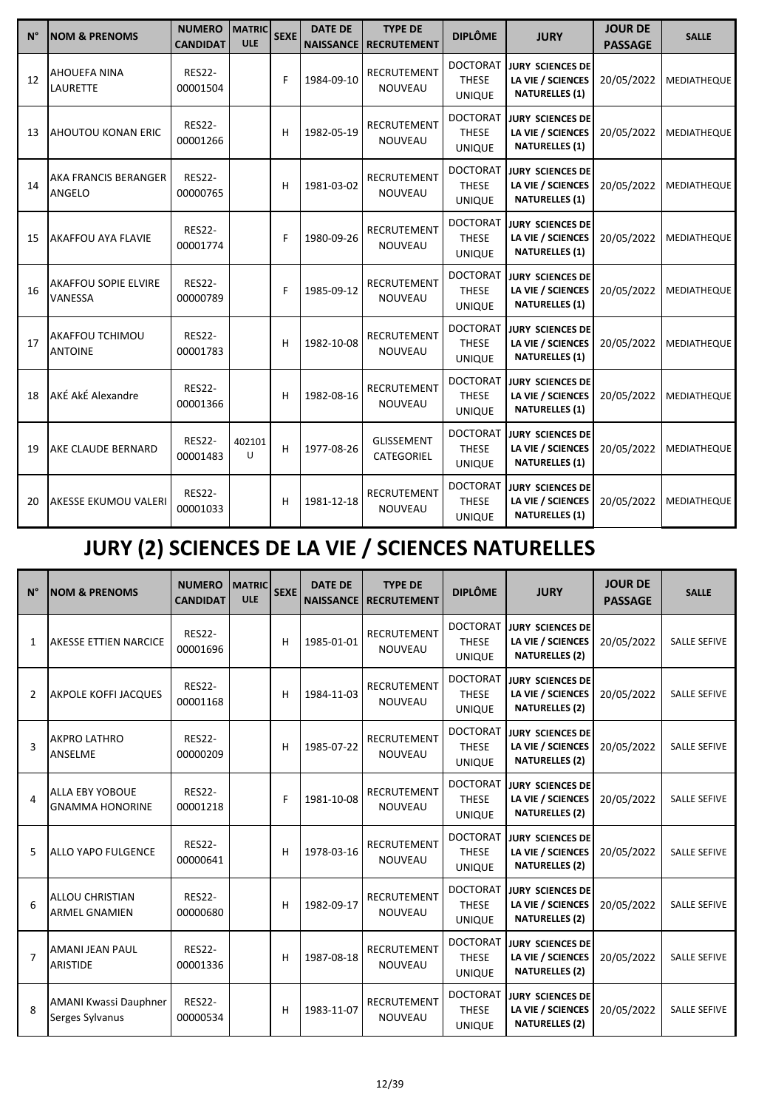| $N^{\circ}$ | <b>NOM &amp; PRENOMS</b>               | <b>NUMERO</b><br><b>CANDIDAT</b> | <b>MATRIC</b><br><b>ULE</b> | <b>SEXE</b> | <b>DATE DE</b><br><b>NAISSANCE</b> | <b>TYPE DE</b><br><b>RECRUTEMENT</b> | <b>DIPLÔME</b>                                   | <b>JURY</b>                                                           | <b>JOUR DE</b><br><b>PASSAGE</b> | <b>SALLE</b> |
|-------------|----------------------------------------|----------------------------------|-----------------------------|-------------|------------------------------------|--------------------------------------|--------------------------------------------------|-----------------------------------------------------------------------|----------------------------------|--------------|
| 12          | <b>AHOUEFA NINA</b><br><b>LAURETTE</b> | <b>RES22-</b><br>00001504        |                             | F           | 1984-09-10                         | RECRUTEMENT<br><b>NOUVEAU</b>        | <b>DOCTORAT</b><br><b>THESE</b><br><b>UNIQUE</b> | <b>JURY SCIENCES DE</b><br>LA VIE / SCIENCES<br><b>NATURELLES (1)</b> | 20/05/2022                       | MEDIATHEQUE  |
| 13          | AHOUTOU KONAN ERIC                     | <b>RES22-</b><br>00001266        |                             | н           | 1982-05-19                         | RECRUTEMENT<br><b>NOUVEAU</b>        | <b>DOCTORAT</b><br><b>THESE</b><br><b>UNIQUE</b> | <b>JURY SCIENCES DE</b><br>LA VIE / SCIENCES<br><b>NATURELLES (1)</b> | 20/05/2022                       | MEDIATHEQUE  |
| 14          | AKA FRANCIS BERANGER<br>ANGELO         | <b>RES22-</b><br>00000765        |                             | н           | 1981-03-02                         | <b>RECRUTEMENT</b><br><b>NOUVEAU</b> | <b>DOCTORAT</b><br><b>THESE</b><br><b>UNIQUE</b> | <b>JURY SCIENCES DE</b><br>LA VIE / SCIENCES<br><b>NATURELLES (1)</b> | 20/05/2022                       | MEDIATHEQUE  |
| 15          | AKAFFOU AYA FLAVIE                     | <b>RES22-</b><br>00001774        |                             | F           | 1980-09-26                         | RECRUTEMENT<br><b>NOUVEAU</b>        | <b>DOCTORAT</b><br><b>THESE</b><br><b>UNIQUE</b> | <b>JURY SCIENCES DE</b><br>LA VIE / SCIENCES<br><b>NATURELLES (1)</b> | 20/05/2022                       | MEDIATHEQUE  |
| 16          | AKAFFOU SOPIE ELVIRE<br>VANESSA        | <b>RES22-</b><br>00000789        |                             | F           | 1985-09-12                         | RECRUTEMENT<br><b>NOUVEAU</b>        | <b>DOCTORAT</b><br><b>THESE</b><br><b>UNIQUE</b> | <b>JURY SCIENCES DE</b><br>LA VIE / SCIENCES<br><b>NATURELLES (1)</b> | 20/05/2022                       | MEDIATHEQUE  |
| 17          | AKAFFOU TCHIMOU<br><b>ANTOINE</b>      | <b>RES22-</b><br>00001783        |                             | н           | 1982-10-08                         | RECRUTEMENT<br><b>NOUVEAU</b>        | <b>DOCTORAT</b><br><b>THESE</b><br><b>UNIQUE</b> | <b>JURY SCIENCES DE</b><br>LA VIE / SCIENCES<br><b>NATURELLES (1)</b> | 20/05/2022                       | MEDIATHEQUE  |
| 18          | AKÉ AkÉ Alexandre                      | <b>RES22-</b><br>00001366        |                             | н           | 1982-08-16                         | <b>RECRUTEMENT</b><br><b>NOUVEAU</b> | <b>DOCTORAT</b><br><b>THESE</b><br><b>UNIQUE</b> | <b>JURY SCIENCES DE</b><br>LA VIE / SCIENCES<br><b>NATURELLES (1)</b> | 20/05/2022                       | MEDIATHEQUE  |
| 19          | AKE CLAUDE BERNARD                     | <b>RES22-</b><br>00001483        | 402101<br>U                 | н           | 1977-08-26                         | <b>GLISSEMENT</b><br>CATEGORIEL      | <b>DOCTORAT</b><br><b>THESE</b><br><b>UNIQUE</b> | <b>JURY SCIENCES DE</b><br>LA VIE / SCIENCES<br><b>NATURELLES (1)</b> | 20/05/2022                       | MEDIATHEQUE  |
| 20          | AKESSE EKUMOU VALERI                   | <b>RES22-</b><br>00001033        |                             | н           | 1981-12-18                         | RECRUTEMENT<br><b>NOUVEAU</b>        | <b>DOCTORAT</b><br><b>THESE</b><br><b>UNIQUE</b> | <b>JURY SCIENCES DE</b><br>LA VIE / SCIENCES<br><b>NATURELLES (1)</b> | 20/05/2022                       | MEDIATHEQUE  |

# **JURY (2) SCIENCES DE LA VIE / SCIENCES NATURELLES**

| $N^{\circ}$    | <b>INOM &amp; PRENOMS</b>                        | <b>NUMERO</b><br><b>CANDIDAT</b> | <b>MATRIC</b><br><b>ULE</b> | <b>SEXE</b> | <b>DATE DE</b><br><b>NAISSANCE</b> | <b>TYPE DE</b><br><b>RECRUTEMENT</b> | <b>DIPLÔME</b>                                   | <b>JURY</b>                                                           | <b>JOUR DE</b><br><b>PASSAGE</b> | <b>SALLE</b>        |
|----------------|--------------------------------------------------|----------------------------------|-----------------------------|-------------|------------------------------------|--------------------------------------|--------------------------------------------------|-----------------------------------------------------------------------|----------------------------------|---------------------|
| $\mathbf{1}$   | AKESSE ETTIEN NARCICE                            | <b>RES22-</b><br>00001696        |                             | н           | 1985-01-01                         | <b>RECRUTEMENT</b><br><b>NOUVEAU</b> | <b>DOCTORAT</b><br><b>THESE</b><br><b>UNIQUE</b> | JURY SCIENCES DE<br>LA VIE / SCIENCES<br><b>NATURELLES (2)</b>        | 20/05/2022                       | <b>SALLE SEFIVE</b> |
| 2              | <b>AKPOLE KOFFI JACQUES</b>                      | <b>RES22-</b><br>00001168        |                             | н           | 1984-11-03                         | <b>RECRUTEMENT</b><br><b>NOUVEAU</b> | <b>DOCTORAT</b><br><b>THESE</b><br><b>UNIQUE</b> | <b>JURY SCIENCES DE</b><br>LA VIE / SCIENCES<br><b>NATURELLES (2)</b> | 20/05/2022                       | <b>SALLE SEFIVE</b> |
| 3              | <b>AKPRO LATHRO</b><br>ANSELME                   | <b>RES22-</b><br>00000209        |                             | н           | 1985-07-22                         | <b>RECRUTEMENT</b><br><b>NOUVEAU</b> | <b>DOCTORAT</b><br><b>THESE</b><br><b>UNIQUE</b> | <b>JURY SCIENCES DE</b><br>LA VIE / SCIENCES<br><b>NATURELLES (2)</b> | 20/05/2022                       | <b>SALLE SEFIVE</b> |
| 4              | <b>ALLA EBY YOBOUE</b><br><b>GNAMMA HONORINE</b> | <b>RES22-</b><br>00001218        |                             | F           | 1981-10-08                         | <b>RECRUTEMENT</b><br><b>NOUVEAU</b> | <b>DOCTORAT</b><br><b>THESE</b><br><b>UNIQUE</b> | <b>JURY SCIENCES DE</b><br>LA VIE / SCIENCES<br><b>NATURELLES (2)</b> | 20/05/2022                       | <b>SALLE SEFIVE</b> |
| 5              | <b>ALLO YAPO FULGENCE</b>                        | <b>RES22-</b><br>00000641        |                             | н           | 1978-03-16                         | <b>RECRUTEMENT</b><br><b>NOUVEAU</b> | <b>DOCTORAT</b><br><b>THESE</b><br><b>UNIQUE</b> | <b>JURY SCIENCES DE</b><br>LA VIE / SCIENCES<br><b>NATURELLES (2)</b> | 20/05/2022                       | <b>SALLE SEFIVE</b> |
| 6              | <b>ALLOU CHRISTIAN</b><br><b>ARMEL GNAMIEN</b>   | <b>RES22-</b><br>00000680        |                             | н           | 1982-09-17                         | <b>RECRUTEMENT</b><br><b>NOUVEAU</b> | <b>DOCTORAT</b><br><b>THESE</b><br><b>UNIQUE</b> | <b>JURY SCIENCES DE</b><br>LA VIE / SCIENCES<br><b>NATURELLES (2)</b> | 20/05/2022                       | <b>SALLE SEFIVE</b> |
| $\overline{7}$ | <b>AMANI JEAN PAUL</b><br><b>ARISTIDE</b>        | <b>RES22-</b><br>00001336        |                             | н           | 1987-08-18                         | <b>RECRUTEMENT</b><br><b>NOUVEAU</b> | <b>DOCTORAT</b><br><b>THESE</b><br><b>UNIQUE</b> | <b>JURY SCIENCES DE</b><br>LA VIE / SCIENCES<br><b>NATURELLES (2)</b> | 20/05/2022                       | <b>SALLE SEFIVE</b> |
| 8              | <b>AMANI Kwassi Dauphner</b><br>Serges Sylvanus  | <b>RES22-</b><br>00000534        |                             | н           | 1983-11-07                         | <b>RECRUTEMENT</b><br>NOUVEAU        | <b>DOCTORAT</b><br><b>THESE</b><br><b>UNIQUE</b> | <b>JURY SCIENCES DE</b><br>LA VIE / SCIENCES<br><b>NATURELLES (2)</b> | 20/05/2022                       | <b>SALLE SEFIVE</b> |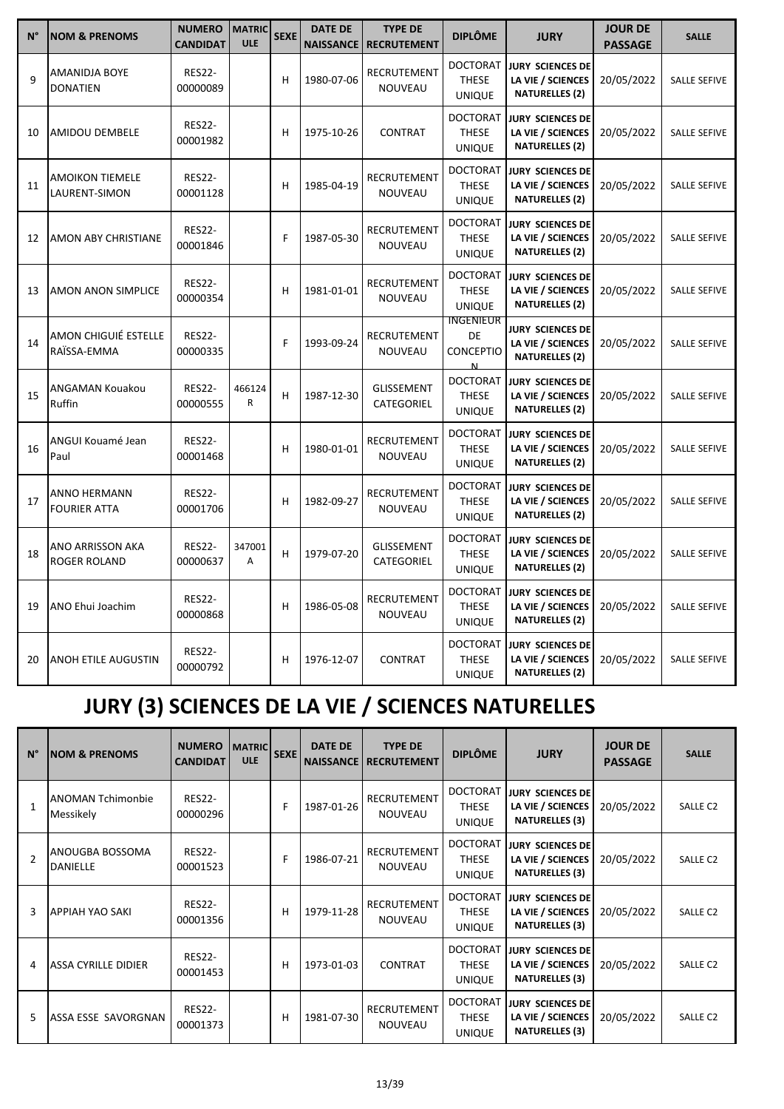| $N^{\circ}$  | <b>NOM &amp; PRENOMS</b>                | <b>NUMERO</b><br><b>CANDIDAT</b> | <b>MATRIC</b><br><b>ULE</b> | <b>SEXE</b> | <b>DATE DE</b><br><b>NAISSANCE</b> | <b>TYPE DE</b><br><b>RECRUTEMENT</b> | <b>DIPLÔME</b>                                   | <b>JURY</b>                                                           | <b>JOUR DE</b><br><b>PASSAGE</b> | <b>SALLE</b>        |
|--------------|-----------------------------------------|----------------------------------|-----------------------------|-------------|------------------------------------|--------------------------------------|--------------------------------------------------|-----------------------------------------------------------------------|----------------------------------|---------------------|
| $\mathsf{q}$ | AMANIDJA BOYE<br><b>DONATIEN</b>        | <b>RES22-</b><br>00000089        |                             | Н           | 1980-07-06                         | RECRUTEMENT<br>NOUVEAU               | <b>DOCTORAT</b><br><b>THESE</b><br><b>UNIQUE</b> | <b>JURY SCIENCES DE</b><br>LA VIE / SCIENCES<br><b>NATURELLES (2)</b> | 20/05/2022                       | <b>SALLE SEFIVE</b> |
| 10           | AMIDOU DEMBELE                          | <b>RES22-</b><br>00001982        |                             | н           | 1975-10-26                         | <b>CONTRAT</b>                       | <b>DOCTORAT</b><br><b>THESE</b><br><b>UNIQUE</b> | <b>JURY SCIENCES DE</b><br>LA VIE / SCIENCES<br><b>NATURELLES (2)</b> | 20/05/2022                       | <b>SALLE SEFIVE</b> |
| 11           | <b>AMOIKON TIEMELE</b><br>LAURENT-SIMON | <b>RES22-</b><br>00001128        |                             | н           | 1985-04-19                         | RECRUTEMENT<br><b>NOUVEAU</b>        | <b>DOCTORAT</b><br><b>THESE</b><br><b>UNIQUE</b> | <b>JURY SCIENCES DE</b><br>LA VIE / SCIENCES<br><b>NATURELLES (2)</b> | 20/05/2022                       | <b>SALLE SEFIVE</b> |
| 12           | AMON ABY CHRISTIANE                     | <b>RES22-</b><br>00001846        |                             | F           | 1987-05-30                         | RECRUTEMENT<br>NOUVEAU               | <b>DOCTORAT</b><br><b>THESE</b><br><b>UNIQUE</b> | <b>JURY SCIENCES DE</b><br>LA VIE / SCIENCES<br><b>NATURELLES (2)</b> | 20/05/2022                       | <b>SALLE SEFIVE</b> |
| 13           | AMON ANON SIMPLICE                      | <b>RES22-</b><br>00000354        |                             | н           | 1981-01-01                         | <b>RECRUTEMENT</b><br>NOUVEAU        | <b>DOCTORAT</b><br><b>THESE</b><br><b>UNIQUE</b> | <b>JURY SCIENCES DE</b><br>LA VIE / SCIENCES<br><b>NATURELLES (2)</b> | 20/05/2022                       | <b>SALLE SEFIVE</b> |
| 14           | AMON CHIGUIÉ ESTELLE<br>RAÏSSA-EMMA     | <b>RES22-</b><br>00000335        |                             | F           | 1993-09-24                         | RECRUTEMENT<br>NOUVEAU               | INGENIEUR<br>DE<br><b>CONCEPTIO</b><br>N         | JURY SCIENCES DE<br>LA VIE / SCIENCES<br><b>NATURELLES (2)</b>        | 20/05/2022                       | <b>SALLE SEFIVE</b> |
| 15           | ANGAMAN Kouakou<br>Ruffin               | <b>RES22-</b><br>00000555        | 466124<br>$\mathsf{R}$      | Н           | 1987-12-30                         | <b>GLISSEMENT</b><br>CATEGORIEL      | <b>DOCTORAT</b><br><b>THESE</b><br><b>UNIQUE</b> | <b>JURY SCIENCES DE</b><br>LA VIE / SCIENCES<br><b>NATURELLES (2)</b> | 20/05/2022                       | <b>SALLE SEFIVE</b> |
| 16           | ANGUI Kouamé Jean<br>Paul               | <b>RES22-</b><br>00001468        |                             | н           | 1980-01-01                         | RECRUTEMENT<br>NOUVEAU               | <b>DOCTORAT</b><br><b>THESE</b><br><b>UNIQUE</b> | <b>JURY SCIENCES DE</b><br>LA VIE / SCIENCES<br><b>NATURELLES (2)</b> | 20/05/2022                       | <b>SALLE SEFIVE</b> |
| 17           | ANNO HERMANN<br><b>FOURIER ATTA</b>     | <b>RES22-</b><br>00001706        |                             | н           | 1982-09-27                         | RECRUTEMENT<br>NOUVEAU               | <b>DOCTORAT</b><br><b>THESE</b><br><b>UNIQUE</b> | <b>JURY SCIENCES DE</b><br>LA VIE / SCIENCES<br><b>NATURELLES (2)</b> | 20/05/2022                       | <b>SALLE SEFIVE</b> |
| 18           | ANO ARRISSON AKA<br>ROGER ROLAND        | <b>RES22-</b><br>00000637        | 347001<br>А                 | Н           | 1979-07-20                         | <b>GLISSEMENT</b><br>CATEGORIEL      | <b>DOCTORAT</b><br><b>THESE</b><br><b>UNIQUE</b> | <b>JURY SCIENCES DE</b><br>LA VIE / SCIENCES<br><b>NATURELLES (2)</b> | 20/05/2022                       | <b>SALLE SEFIVE</b> |
| 19           | ANO Ehui Joachim                        | <b>RES22-</b><br>00000868        |                             | н           | 1986-05-08                         | RECRUTEMENT<br>NOUVEAU               | <b>DOCTORAT</b><br><b>THESE</b><br><b>UNIQUE</b> | <b>JURY SCIENCES DE</b><br>LA VIE / SCIENCES<br><b>NATURELLES (2)</b> | 20/05/2022                       | <b>SALLE SEFIVE</b> |
| 20           | ANOH ETILE AUGUSTIN                     | <b>RES22-</b><br>00000792        |                             | н           | 1976-12-07                         | <b>CONTRAT</b>                       | <b>DOCTORAT</b><br><b>THESE</b><br><b>UNIQUE</b> | JURY SCIENCES DE<br>LA VIE / SCIENCES<br><b>NATURELLES (2)</b>        | 20/05/2022                       | <b>SALLE SEFIVE</b> |

# **JURY (3) SCIENCES DE LA VIE / SCIENCES NATURELLES**

| $N^{\circ}$    | <b>NOM &amp; PRENOMS</b>              | <b>NUMERO</b><br><b>CANDIDAT</b> | <b>MATRIC</b><br><b>ULE</b> | <b>SEXE</b> | <b>DATE DE</b><br><b>NAISSANCE</b> | <b>TYPE DE</b><br><b>RECRUTEMENT</b> | <b>DIPLÔME</b>                                   | <b>JURY</b>                                                           | <b>JOUR DE</b><br><b>PASSAGE</b> | <b>SALLE</b>        |
|----------------|---------------------------------------|----------------------------------|-----------------------------|-------------|------------------------------------|--------------------------------------|--------------------------------------------------|-----------------------------------------------------------------------|----------------------------------|---------------------|
| $\mathbf{1}$   | <b>ANOMAN Tchimonbie</b><br>Messikely | <b>RES22-</b><br>00000296        |                             | F           | 1987-01-26                         | RECRUTEMENT<br><b>NOUVEAU</b>        | <b>DOCTORAT</b><br><b>THESE</b><br><b>UNIQUE</b> | <b>JURY SCIENCES DE</b><br>LA VIE / SCIENCES<br><b>NATURELLES (3)</b> | 20/05/2022                       | SALLE <sub>C2</sub> |
| $\overline{2}$ | ANOUGBA BOSSOMA<br><b>DANIELLE</b>    | <b>RES22-</b><br>00001523        |                             | F           | 1986-07-21                         | <b>RECRUTEMENT</b><br><b>NOUVEAU</b> | <b>DOCTORAT</b><br><b>THESE</b><br><b>UNIQUE</b> | <b>JURY SCIENCES DE</b><br>LA VIE / SCIENCES<br><b>NATURELLES (3)</b> | 20/05/2022                       | SALLE <sub>C2</sub> |
| 3              | <b>APPIAH YAO SAKI</b>                | <b>RES22-</b><br>00001356        |                             | н           | 1979-11-28                         | <b>RECRUTEMENT</b><br><b>NOUVEAU</b> | <b>DOCTORAT</b><br><b>THESE</b><br><b>UNIQUE</b> | <b>JURY SCIENCES DE</b><br>LA VIE / SCIENCES<br><b>NATURELLES (3)</b> | 20/05/2022                       | SALLE <sub>C2</sub> |
| 4              | <b>ASSA CYRILLE DIDIER</b>            | <b>RES22-</b><br>00001453        |                             | Н           | 1973-01-03                         | <b>CONTRAT</b>                       | <b>DOCTORAT</b><br><b>THESE</b><br><b>UNIQUE</b> | <b>JURY SCIENCES DE</b><br>LA VIE / SCIENCES<br><b>NATURELLES (3)</b> | 20/05/2022                       | SALLE <sub>C2</sub> |
| 5              | ASSA ESSE SAVORGNAN                   | <b>RES22-</b><br>00001373        |                             | н           | 1981-07-30                         | <b>RECRUTEMENT</b><br><b>NOUVEAU</b> | <b>DOCTORAT</b><br><b>THESE</b><br><b>UNIQUE</b> | JURY SCIENCES DE<br>LA VIE / SCIENCES<br><b>NATURELLES (3)</b>        | 20/05/2022                       | SALLE <sub>C2</sub> |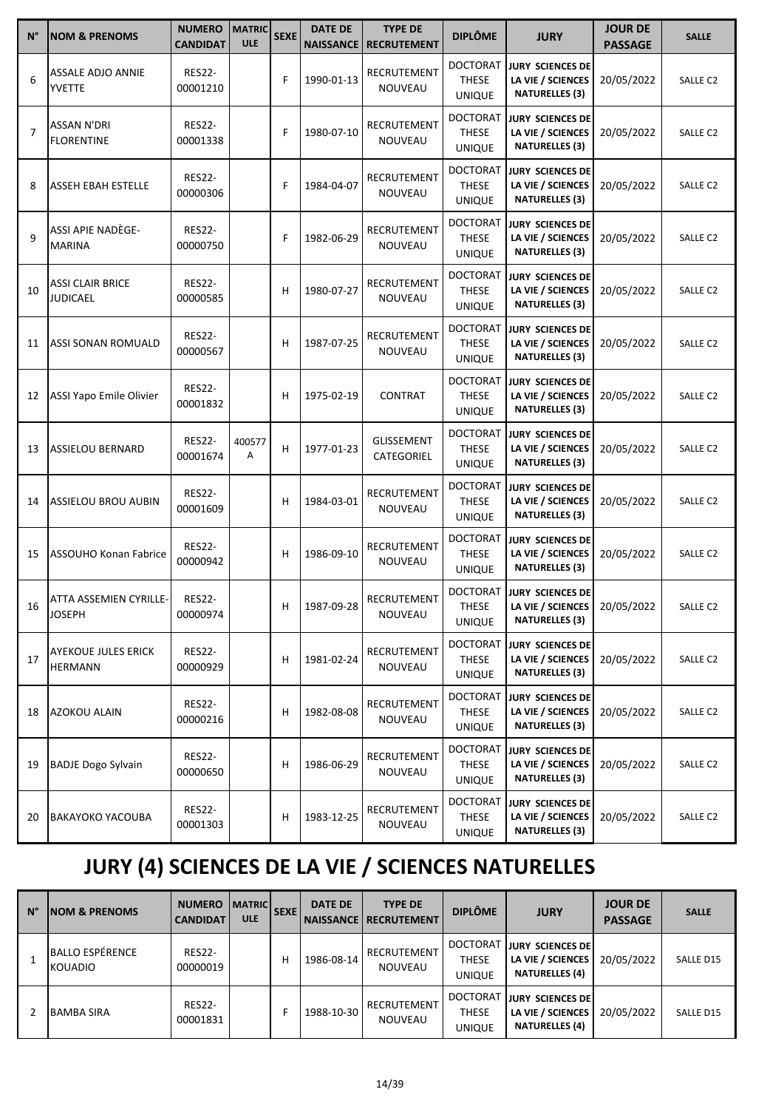| $N^{\circ}$    | <b>NOM &amp; PRENOMS</b>                 | <b>NUMERO</b><br><b>CANDIDAT</b> | <b>MATRIC</b><br><b>ULE</b> | <b>SEXE</b> | <b>DATE DE</b><br><b>NAISSANCE</b> | <b>TYPE DE</b><br><b>RECRUTEMENT</b> | <b>DIPLÔME</b>                                   | <b>JURY</b>                                                           | <b>JOUR DE</b><br><b>PASSAGE</b> | <b>SALLE</b>        |
|----------------|------------------------------------------|----------------------------------|-----------------------------|-------------|------------------------------------|--------------------------------------|--------------------------------------------------|-----------------------------------------------------------------------|----------------------------------|---------------------|
| 6              | <b>ASSALE ADJO ANNIE</b><br>YVETTE       | <b>RES22-</b><br>00001210        |                             | F           | 1990-01-13                         | RECRUTEMENT<br><b>NOUVEAU</b>        | <b>DOCTORAT</b><br><b>THESE</b><br><b>UNIQUE</b> | JURY SCIENCES DE<br>LA VIE / SCIENCES<br><b>NATURELLES (3)</b>        | 20/05/2022                       | SALLE C2            |
| $\overline{7}$ | ASSAN N'DRI<br><b>FLORENTINE</b>         | <b>RES22-</b><br>00001338        |                             | F           | 1980-07-10                         | RECRUTEMENT<br>NOUVEAU               | <b>DOCTORAT</b><br><b>THESE</b><br><b>UNIQUE</b> | <b>JURY SCIENCES DE</b><br>LA VIE / SCIENCES<br><b>NATURELLES (3)</b> | 20/05/2022                       | SALLE <sub>C2</sub> |
| 8              | ASSEH EBAH ESTELLE                       | <b>RES22-</b><br>00000306        |                             | F           | 1984-04-07                         | <b>RECRUTEMENT</b><br>NOUVEAU        | <b>DOCTORAT</b><br><b>THESE</b><br><b>UNIQUE</b> | <b>JURY SCIENCES DE</b><br>LA VIE / SCIENCES<br><b>NATURELLES (3)</b> | 20/05/2022                       | SALLE <sub>C2</sub> |
| 9              | ASSI APIE NADÈGE-<br><b>MARINA</b>       | <b>RES22-</b><br>00000750        |                             | F           | 1982-06-29                         | RECRUTEMENT<br>NOUVEAU               | <b>DOCTORAT</b><br><b>THESE</b><br><b>UNIQUE</b> | JURY SCIENCES DE<br>LA VIE / SCIENCES<br><b>NATURELLES (3)</b>        | 20/05/2022                       | SALLE C2            |
| 10             | ASSI CLAIR BRICE<br><b>JUDICAEL</b>      | <b>RES22-</b><br>00000585        |                             | н           | 1980-07-27                         | RECRUTEMENT<br>NOUVEAU               | <b>DOCTORAT</b><br><b>THESE</b><br><b>UNIQUE</b> | <b>JURY SCIENCES DE</b><br>LA VIE / SCIENCES<br><b>NATURELLES (3)</b> | 20/05/2022                       | SALLE C2            |
| 11             | <b>ASSI SONAN ROMUALD</b>                | <b>RES22-</b><br>00000567        |                             | н           | 1987-07-25                         | <b>RECRUTEMENT</b><br>NOUVEAU        | <b>DOCTORAT</b><br><b>THESE</b><br><b>UNIQUE</b> | JURY SCIENCES DE<br>LA VIE / SCIENCES<br><b>NATURELLES (3)</b>        | 20/05/2022                       | SALLE C2            |
| 12             | <b>ASSI Yapo Emile Olivier</b>           | <b>RES22-</b><br>00001832        |                             | н           | 1975-02-19                         | <b>CONTRAT</b>                       | <b>DOCTORAT</b><br><b>THESE</b><br><b>UNIQUE</b> | JURY SCIENCES DE<br>LA VIE / SCIENCES<br><b>NATURELLES (3)</b>        | 20/05/2022                       | SALLE C2            |
| 13             | <b>ASSIELOU BERNARD</b>                  | <b>RES22-</b><br>00001674        | 400577<br>Α                 | Н           | 1977-01-23                         | GLISSEMENT<br>CATEGORIEL             | <b>DOCTORAT</b><br><b>THESE</b><br><b>UNIQUE</b> | <b>JURY SCIENCES DE</b><br>LA VIE / SCIENCES<br><b>NATURELLES (3)</b> | 20/05/2022                       | SALLE C2            |
| 14             | <b>ASSIELOU BROU AUBIN</b>               | <b>RES22-</b><br>00001609        |                             | н           | 1984-03-01                         | RECRUTEMENT<br>NOUVEAU               | <b>DOCTORAT</b><br><b>THESE</b><br><b>UNIQUE</b> | <b>JURY SCIENCES DE</b><br>LA VIE / SCIENCES<br><b>NATURELLES (3)</b> | 20/05/2022                       | SALLE <sub>C2</sub> |
| 15             | <b>ASSOUHO Konan Fabrice</b>             | <b>RES22-</b><br>00000942        |                             | н           | 1986-09-10                         | RECRUTEMENT<br>NOUVEAU               | <b>DOCTORAT</b><br><b>THESE</b><br><b>UNIQUE</b> | JURY SCIENCES DE<br>LA VIE / SCIENCES<br><b>NATURELLES (3)</b>        | 20/05/2022                       | SALLE C2            |
| 16             | LATTA ASSEMIEN CYRILLE-<br><b>JOSEPH</b> | <b>RES22-</b><br>00000974        |                             | н           | 1987-09-28                         | <b>RECRUTEMENT</b><br>NOUVEAU        | <b>DOCTORAT</b><br>THESE<br><b>UNIQUE</b>        | <b>JURY SCIENCES DE</b><br>LA VIE / SCIENCES<br><b>NATURELLES (3)</b> | 20/05/2022                       | SALLE C2            |
| 17             | <b>AYEKOUE JULES ERICK</b><br>HERMANN    | <b>RES22-</b><br>00000929        |                             | н           | 1981-02-24                         | RECRUTEMENT<br>NOUVEAU               | <b>DOCTORAT</b><br>THESE<br><b>UNIQUE</b>        | JURY SCIENCES DE<br>LA VIE / SCIENCES<br><b>NATURELLES (3)</b>        | 20/05/2022                       | SALLE C2            |
| 18             | AZOKOU ALAIN                             | <b>RES22-</b><br>00000216        |                             | н           | 1982-08-08                         | RECRUTEMENT<br>NOUVEAU               | DOCTORAT<br><b>THESE</b><br><b>UNIQUE</b>        | JURY SCIENCES DE<br>LA VIE / SCIENCES<br><b>NATURELLES (3)</b>        | 20/05/2022                       | SALLE C2            |
| 19             | <b>BADJE Dogo Sylvain</b>                | <b>RES22-</b><br>00000650        |                             | н           | 1986-06-29                         | RECRUTEMENT<br>NOUVEAU               | <b>DOCTORAT</b><br><b>THESE</b><br><b>UNIQUE</b> | JURY SCIENCES DE<br>LA VIE / SCIENCES<br><b>NATURELLES (3)</b>        | 20/05/2022                       | SALLE C2            |
| 20             | <b>BAKAYOKO YACOUBA</b>                  | <b>RES22-</b><br>00001303        |                             | н           | 1983-12-25                         | RECRUTEMENT<br>NOUVEAU               | DOCTORAT<br><b>THESE</b><br><b>UNIQUE</b>        | JURY SCIENCES DE<br>LA VIE / SCIENCES<br><b>NATURELLES (3)</b>        | 20/05/2022                       | SALLE C2            |

# **JURY (4) SCIENCES DE LA VIE / SCIENCES NATURELLES**

| $N^{\circ}$ | <b>INOM &amp; PRENOMS</b>         | <b>NUMERO</b><br><b>CANDIDAT</b> | <b>MATRIC</b><br><b>ULE</b> | <b>SEXE</b> | <b>DATE DE</b> | <b>TYPE DE</b><br><b>NAISSANCE   RECRUTEMENT</b> | <b>DIPLÔME</b>                            | <b>JURY</b>                                                    | <b>JOUR DE</b><br><b>PASSAGE</b> | <b>SALLE</b> |
|-------------|-----------------------------------|----------------------------------|-----------------------------|-------------|----------------|--------------------------------------------------|-------------------------------------------|----------------------------------------------------------------|----------------------------------|--------------|
|             | BALLO ESPÉRENCE<br><b>KOUADIO</b> | <b>RES22-</b><br>00000019        |                             | н           | 1986-08-14     | RECRUTEMENT<br>NOUVEAU                           | <b>DOCTORAT</b><br><b>THESE</b><br>UNIQUE | JURY SCIENCES DE<br>LA VIE / SCIENCES<br><b>NATURELLES (4)</b> | 20/05/2022                       | SALLE D15    |
|             | <b>BAMBA SIRA</b>                 | <b>RES22-</b><br>00001831        |                             |             | 1988-10-30     | RECRUTEMENT<br>NOUVEAU                           | <b>DOCTORAT</b><br><b>THESE</b><br>UNIQUE | JURY SCIENCES DE<br>LA VIE / SCIENCES<br><b>NATURELLES (4)</b> | 20/05/2022                       | SALLE D15    |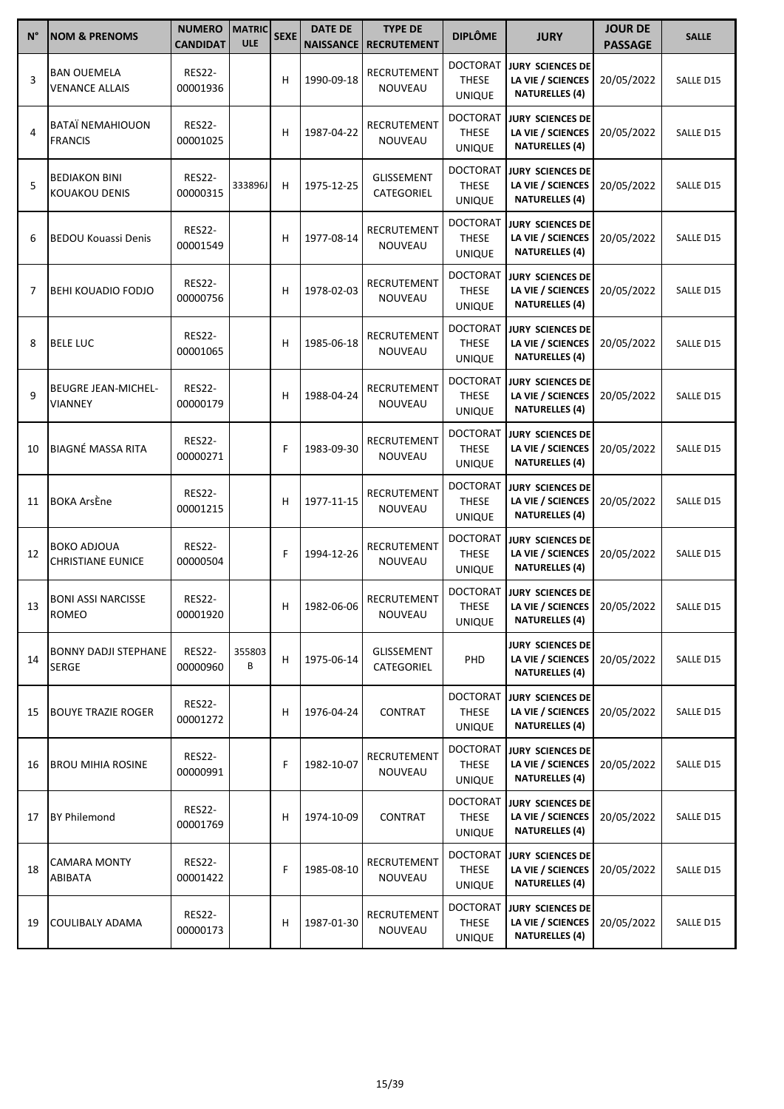| $N^{\circ}$ | <b>NOM &amp; PRENOMS</b>                       | <b>NUMERO</b><br><b>CANDIDAT</b> | <b>MATRIC</b><br><b>ULE</b> | <b>SEXE</b> | <b>DATE DE</b> | <b>TYPE DE</b><br><b>NAISSANCE   RECRUTEMENT</b> | <b>DIPLÔME</b>                                   | <b>JURY</b>                                                           | <b>JOUR DE</b><br><b>PASSAGE</b> | <b>SALLE</b>     |
|-------------|------------------------------------------------|----------------------------------|-----------------------------|-------------|----------------|--------------------------------------------------|--------------------------------------------------|-----------------------------------------------------------------------|----------------------------------|------------------|
| 3           | <b>BAN OUEMELA</b><br><b>VENANCE ALLAIS</b>    | <b>RES22-</b><br>00001936        |                             | н           | 1990-09-18     | RECRUTEMENT<br>NOUVEAU                           | <b>DOCTORAT</b><br><b>THESE</b><br><b>UNIQUE</b> | <b>JURY SCIENCES DE</b><br>LA VIE / SCIENCES<br><b>NATURELLES (4)</b> | 20/05/2022                       | SALLE D15        |
| 4           | <b>BATAÏ NEMAHIOUON</b><br><b>FRANCIS</b>      | <b>RES22-</b><br>00001025        |                             | н           | 1987-04-22     | RECRUTEMENT<br>NOUVEAU                           | <b>DOCTORAT</b><br><b>THESE</b><br><b>UNIQUE</b> | <b>JURY SCIENCES DE</b><br>LA VIE / SCIENCES<br><b>NATURELLES (4)</b> | 20/05/2022                       | SALLE D15        |
| 5           | <b>BEDIAKON BINI</b><br><b>KOUAKOU DENIS</b>   | <b>RES22-</b><br>00000315        | 333896J                     | н           | 1975-12-25     | GLISSEMENT<br><b>CATEGORIEL</b>                  | <b>DOCTORAT</b><br><b>THESE</b><br><b>UNIQUE</b> | <b>JURY SCIENCES DE</b><br>LA VIE / SCIENCES<br><b>NATURELLES (4)</b> | 20/05/2022                       | SALLE D15        |
| 6           | <b>BEDOU Kouassi Denis</b>                     | <b>RES22-</b><br>00001549        |                             | н           | 1977-08-14     | RECRUTEMENT<br>NOUVEAU                           | <b>DOCTORAT</b><br><b>THESE</b><br><b>UNIQUE</b> | <b>JURY SCIENCES DE</b><br>LA VIE / SCIENCES<br><b>NATURELLES (4)</b> | 20/05/2022                       | SALLE D15        |
| 7           | <b>BEHI KOUADIO FODJO</b>                      | <b>RES22-</b><br>00000756        |                             | н           | 1978-02-03     | RECRUTEMENT<br>NOUVEAU                           | <b>DOCTORAT</b><br><b>THESE</b><br><b>UNIQUE</b> | <b>JURY SCIENCES DE</b><br>LA VIE / SCIENCES<br><b>NATURELLES (4)</b> | 20/05/2022                       | SALLE D15        |
| 8           | <b>BELE LUC</b>                                | <b>RES22-</b><br>00001065        |                             | Н           | 1985-06-18     | RECRUTEMENT<br>NOUVEAU                           | <b>DOCTORAT</b><br><b>THESE</b><br><b>UNIQUE</b> | <b>JURY SCIENCES DE</b><br>LA VIE / SCIENCES<br><b>NATURELLES (4)</b> | 20/05/2022                       | SALLE D15        |
| 9           | <b>BEUGRE JEAN-MICHEL-</b><br>VIANNEY          | <b>RES22-</b><br>00000179        |                             | н           | 1988-04-24     | <b>RECRUTEMENT</b><br>NOUVEAU                    | <b>DOCTORAT</b><br><b>THESE</b><br><b>UNIQUE</b> | <b>JURY SCIENCES DE</b><br>LA VIE / SCIENCES<br><b>NATURELLES (4)</b> | 20/05/2022                       | SALLE D15        |
| 10          | <b>BIAGNÉ MASSA RITA</b>                       | <b>RES22-</b><br>00000271        |                             | F           | 1983-09-30     | RECRUTEMENT<br>NOUVEAU                           | <b>DOCTORAT</b><br><b>THESE</b><br><b>UNIQUE</b> | <b>JURY SCIENCES DE</b><br>LA VIE / SCIENCES<br><b>NATURELLES (4)</b> | 20/05/2022                       | SALLE D15        |
| 11          | <b>BOKA ArsÈne</b>                             | <b>RES22-</b><br>00001215        |                             | Н           | 1977-11-15     | RECRUTEMENT<br>NOUVEAU                           | <b>DOCTORAT</b><br><b>THESE</b><br><b>UNIQUE</b> | <b>JURY SCIENCES DE</b><br>LA VIE / SCIENCES<br><b>NATURELLES (4)</b> | 20/05/2022                       | SALLE D15        |
| 12          | <b>BOKO ADJOUA</b><br><b>CHRISTIANE EUNICE</b> | <b>RES22-</b><br>00000504        |                             | F           | 1994-12-26     | <b>RECRUTEMENT</b><br>NOUVEAU                    | <b>DOCTORAT</b><br><b>THESE</b><br><b>UNIQUE</b> | <b>JURY SCIENCES DE</b><br>LA VIE / SCIENCES<br><b>NATURELLES (4)</b> | 20/05/2022                       | SALLE D15        |
| 13          | <b>BONI ASSI NARCISSE</b><br><b>ROMEO</b>      | <b>RES22-</b><br>00001920        |                             | н           | 1982-06-06     | RECRUTEMENT<br>NOUVEAU                           | <b>DOCTORAT</b><br><b>THESE</b><br><b>UNIQUE</b> | <b>JURY SCIENCES DE</b><br>LA VIE / SCIENCES<br><b>NATURELLES (4)</b> | 20/05/2022                       | <b>SALLE D15</b> |
| 14          | <b>BONNY DADJI STEPHANE</b><br>SERGE           | <b>RES22-</b><br>00000960        | 355803<br>В                 | н           | 1975-06-14     | <b>GLISSEMENT</b><br>CATEGORIEL                  | <b>PHD</b>                                       | <b>JURY SCIENCES DE</b><br>LA VIE / SCIENCES<br><b>NATURELLES (4)</b> | 20/05/2022                       | SALLE D15        |
| 15          | <b>BOUYE TRAZIE ROGER</b>                      | <b>RES22-</b><br>00001272        |                             | н           | 1976-04-24     | CONTRAT                                          | <b>DOCTORAT</b><br><b>THESE</b><br><b>UNIQUE</b> | <b>JURY SCIENCES DE</b><br>LA VIE / SCIENCES<br><b>NATURELLES (4)</b> | 20/05/2022                       | SALLE D15        |
| 16          | <b>BROU MIHIA ROSINE</b>                       | <b>RES22-</b><br>00000991        |                             | F           | 1982-10-07     | RECRUTEMENT<br>NOUVEAU                           | <b>DOCTORAT</b><br><b>THESE</b><br><b>UNIQUE</b> | <b>JURY SCIENCES DE</b><br>LA VIE / SCIENCES<br><b>NATURELLES (4)</b> | 20/05/2022                       | SALLE D15        |
| 17          | <b>BY Philemond</b>                            | <b>RES22-</b><br>00001769        |                             | н           | 1974-10-09     | CONTRAT                                          | <b>DOCTORAT</b><br><b>THESE</b><br><b>UNIQUE</b> | <b>JURY SCIENCES DE</b><br>LA VIE / SCIENCES<br><b>NATURELLES (4)</b> | 20/05/2022                       | SALLE D15        |
| 18          | CAMARA MONTY<br>ABIBATA                        | <b>RES22-</b><br>00001422        |                             | F           | 1985-08-10     | RECRUTEMENT<br>NOUVEAU                           | <b>DOCTORAT</b><br><b>THESE</b><br><b>UNIQUE</b> | <b>JURY SCIENCES DE</b><br>LA VIE / SCIENCES<br><b>NATURELLES (4)</b> | 20/05/2022                       | SALLE D15        |
| 19          | COULIBALY ADAMA                                | <b>RES22-</b><br>00000173        |                             | н           | 1987-01-30     | RECRUTEMENT<br>NOUVEAU                           | <b>DOCTORAT</b><br>THESE<br><b>UNIQUE</b>        | <b>JURY SCIENCES DE</b><br>LA VIE / SCIENCES<br><b>NATURELLES (4)</b> | 20/05/2022                       | SALLE D15        |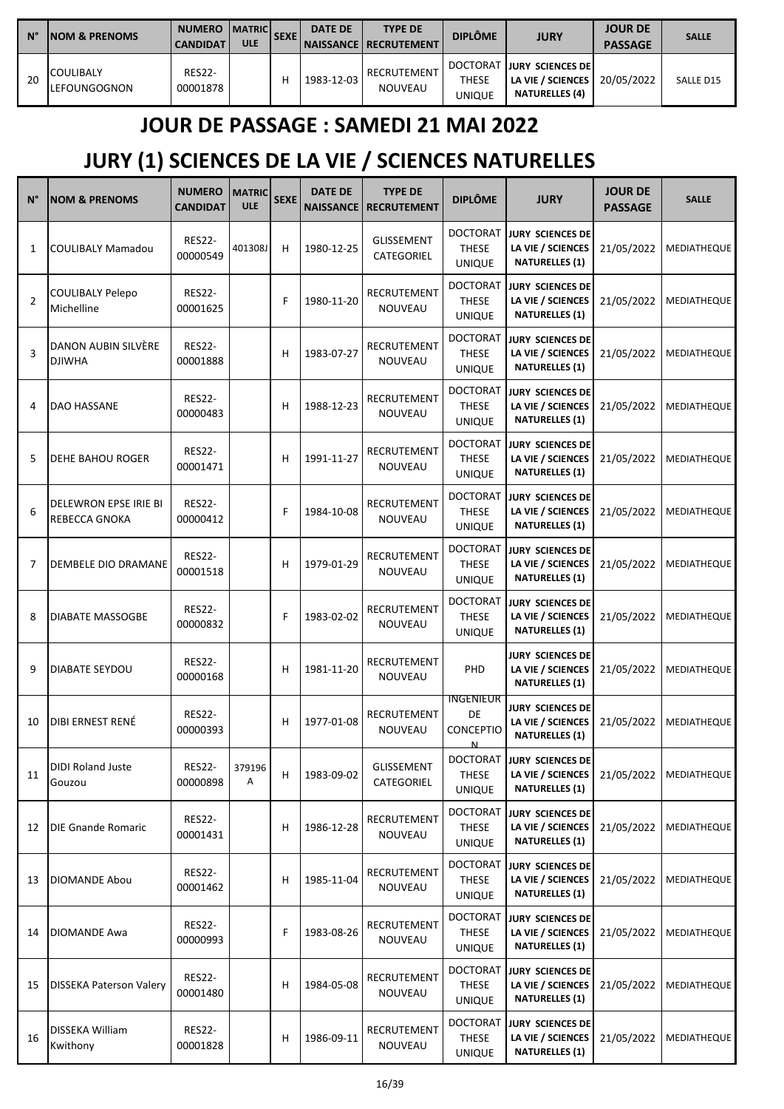| $N^{\circ}$ | <b>INOM &amp; PRENOMS</b>         | <b>NUMERO</b><br><b>CANDIDAT</b> | <b>IMATRICI</b><br><b>ULE</b> | l SEXE | <b>DATE DE</b> | <b>TYPE DE</b><br><b>NAISSANCE   RECRUTEMENT</b> | <b>DIPLÔME</b>                            | <b>JURY</b>                                                              | <b>JOUR DE</b><br><b>PASSAGE</b> | <b>SALLE</b>     |
|-------------|-----------------------------------|----------------------------------|-------------------------------|--------|----------------|--------------------------------------------------|-------------------------------------------|--------------------------------------------------------------------------|----------------------------------|------------------|
| 20          | <b>COULIBALY</b><br>ILEFOUNGOGNON | <b>RES22-</b><br>00001878        |                               | н      | 1983-12-03     | RECRUTEMENT<br><b>NOUVEAU</b>                    | <b>DOCTORAT</b><br><b>THESE</b><br>UNIQUE | <b>JURY SCIENCES DEI</b><br>LA VIE / SCIENCES  <br><b>NATURELLES (4)</b> | 20/05/2022                       | <b>SALLE D15</b> |

### **JOUR DE PASSAGE : SAMEDI 21 MAI 2022**

## **JURY (1) SCIENCES DE LA VIE / SCIENCES NATURELLES**

| $N^{\circ}$    | <b>NOM &amp; PRENOMS</b>                      | <b>NUMERO</b><br><b>CANDIDAT</b> | <b>MATRIC</b><br><b>ULE</b> | <b>SEXE</b> | <b>DATE DE</b><br>NAISSANCE | <b>TYPE DE</b><br><b>RECRUTEMENT</b> | <b>DIPLÔME</b>                                   | <b>JURY</b>                                                           | <b>JOUR DE</b><br><b>PASSAGE</b> | <b>SALLE</b>             |
|----------------|-----------------------------------------------|----------------------------------|-----------------------------|-------------|-----------------------------|--------------------------------------|--------------------------------------------------|-----------------------------------------------------------------------|----------------------------------|--------------------------|
| 1              | <b>COULIBALY Mamadou</b>                      | <b>RES22-</b><br>00000549        | 401308J                     | н           | 1980-12-25                  | GLISSEMENT<br>CATEGORIEL             | <b>DOCTORAT</b><br><b>THESE</b><br><b>UNIQUE</b> | <b>JURY SCIENCES DE</b><br>LA VIE / SCIENCES<br><b>NATURELLES (1)</b> | 21/05/2022                       | MEDIATHEQUE              |
| $\overline{2}$ | COULIBALY Pelepo<br>Michelline                | <b>RES22-</b><br>00001625        |                             | F           | 1980-11-20                  | RECRUTEMENT<br>NOUVEAU               | <b>DOCTORAT</b><br><b>THESE</b><br><b>UNIQUE</b> | <b>JURY SCIENCES DE</b><br>LA VIE / SCIENCES<br><b>NATURELLES (1)</b> | 21/05/2022                       | MEDIATHEQUE              |
| 3              | DANON AUBIN SILVERE<br><b>DJIWHA</b>          | <b>RES22-</b><br>00001888        |                             | н           | 1983-07-27                  | <b>RECRUTEMENT</b><br>NOUVEAU        | <b>DOCTORAT</b><br><b>THESE</b><br><b>UNIQUE</b> | <b>JURY SCIENCES DE</b><br>LA VIE / SCIENCES<br><b>NATURELLES (1)</b> | 21/05/2022                       | MEDIATHEQUE              |
| 4              | DAO HASSANE                                   | <b>RES22-</b><br>00000483        |                             | н           | 1988-12-23                  | RECRUTEMENT<br>NOUVEAU               | <b>DOCTORAT</b><br><b>THESE</b><br><b>UNIQUE</b> | JURY SCIENCES DE<br>LA VIE / SCIENCES<br><b>NATURELLES (1)</b>        | 21/05/2022                       | MEDIATHEQUE              |
| 5              | DEHE BAHOU ROGER                              | <b>RES22-</b><br>00001471        |                             | н           | 1991-11-27                  | RECRUTEMENT<br>NOUVEAU               | <b>DOCTORAT</b><br><b>THESE</b><br><b>UNIQUE</b> | <b>JURY SCIENCES DE</b><br>LA VIE / SCIENCES<br><b>NATURELLES (1)</b> | 21/05/2022                       | MEDIATHEQUE              |
| 6              | <b>DELEWRON EPSE IRIE BI</b><br>REBECCA GNOKA | <b>RES22-</b><br>00000412        |                             | F           | 1984-10-08                  | RECRUTEMENT<br>NOUVEAU               | <b>DOCTORAT</b><br><b>THESE</b><br><b>UNIQUE</b> | <b>JURY SCIENCES DE</b><br>LA VIE / SCIENCES<br><b>NATURELLES (1)</b> | 21/05/2022                       | MEDIATHEQUE              |
| 7              | DEMBELE DIO DRAMANE                           | <b>RES22-</b><br>00001518        |                             | н           | 1979-01-29                  | RECRUTEMENT<br>NOUVEAU               | <b>DOCTORAT</b><br><b>THESE</b><br><b>UNIQUE</b> | JURY SCIENCES DE<br>LA VIE / SCIENCES<br><b>NATURELLES (1)</b>        | 21/05/2022                       | MEDIATHEQUE              |
| 8              | DIABATE MASSOGBE                              | <b>RES22-</b><br>00000832        |                             | F           | 1983-02-02                  | RECRUTEMENT<br>NOUVEAU               | <b>DOCTORAT</b><br><b>THESE</b><br><b>UNIQUE</b> | JURY SCIENCES DE<br>LA VIE / SCIENCES<br><b>NATURELLES (1)</b>        | 21/05/2022                       | MEDIATHEQUE              |
| 9              | DIABATE SEYDOU                                | <b>RES22-</b><br>00000168        |                             | н           | 1981-11-20                  | RECRUTEMENT<br>NOUVEAU               | PHD                                              | <b>JURY SCIENCES DE</b><br>LA VIE / SCIENCES<br><b>NATURELLES (1)</b> | 21/05/2022                       | MEDIATHEQUE              |
| 10             | DIBI ERNEST RENÉ                              | <b>RES22-</b><br>00000393        |                             | н           | 1977-01-08                  | RECRUTEMENT<br>NOUVEAU               | INGENIEUR<br>DE<br>CONCEPTIO<br>N                | <b>JURY SCIENCES DE</b><br>LA VIE / SCIENCES<br><b>NATURELLES (1)</b> | 21/05/2022                       | MEDIATHEQUE              |
| 11             | <b>DIDI Roland Juste</b><br>Gouzou            | <b>RES22-</b><br>00000898        | 379196<br>Α                 | H,          | 1983-09-02                  | <b>GLISSEMENT</b><br>CATEGORIEL      | <b>DOCTORAT</b><br>THESE<br><b>UNIQUE</b>        | <b>JURY SCIENCES DE</b><br>LA VIE / SCIENCES<br><b>NATURELLES (1)</b> |                                  | 21/05/2022   MEDIATHEQUE |
| 12             | <b>DIE Gnande Romaric</b>                     | <b>RES22-</b><br>00001431        |                             | н           | 1986-12-28                  | RECRUTEMENT<br><b>NOUVEAU</b>        | <b>DOCTORAT</b><br><b>THESE</b><br><b>UNIQUE</b> | <b>JURY SCIENCES DE</b><br>LA VIE / SCIENCES<br><b>NATURELLES (1)</b> | 21/05/2022                       | <b>MEDIATHEQUE</b>       |
| 13             | DIOMANDE Abou                                 | <b>RES22-</b><br>00001462        |                             | н           | 1985-11-04                  | RECRUTEMENT<br>NOUVEAU               | <b>DOCTORAT</b><br><b>THESE</b><br><b>UNIQUE</b> | JURY SCIENCES DE<br>LA VIE / SCIENCES<br><b>NATURELLES (1)</b>        | 21/05/2022                       | <b>MEDIATHEQUE</b>       |
| 14             | <b>DIOMANDE Awa</b>                           | <b>RES22-</b><br>00000993        |                             | F           | 1983-08-26                  | RECRUTEMENT<br>NOUVEAU               | <b>DOCTORAT</b><br>THESE<br><b>UNIQUE</b>        | <b>JURY SCIENCES DE</b><br>LA VIE / SCIENCES<br><b>NATURELLES (1)</b> | 21/05/2022                       | MEDIATHEQUE              |
| 15             | <b>DISSEKA Paterson Valery</b>                | <b>RES22-</b><br>00001480        |                             | н           | 1984-05-08                  | RECRUTEMENT<br>NOUVEAU               | <b>DOCTORAT</b><br><b>THESE</b><br><b>UNIQUE</b> | JURY SCIENCES DE<br>LA VIE / SCIENCES<br><b>NATURELLES (1)</b>        | 21/05/2022                       | MEDIATHEQUE              |
| 16             | DISSEKA William<br>Kwithony                   | <b>RES22-</b><br>00001828        |                             | н           | 1986-09-11                  | RECRUTEMENT<br>NOUVEAU               | <b>DOCTORAT</b><br><b>THESE</b><br><b>UNIQUE</b> | JURY SCIENCES DE<br>LA VIE / SCIENCES<br><b>NATURELLES (1)</b>        | 21/05/2022                       | <b>MEDIATHEQUE</b>       |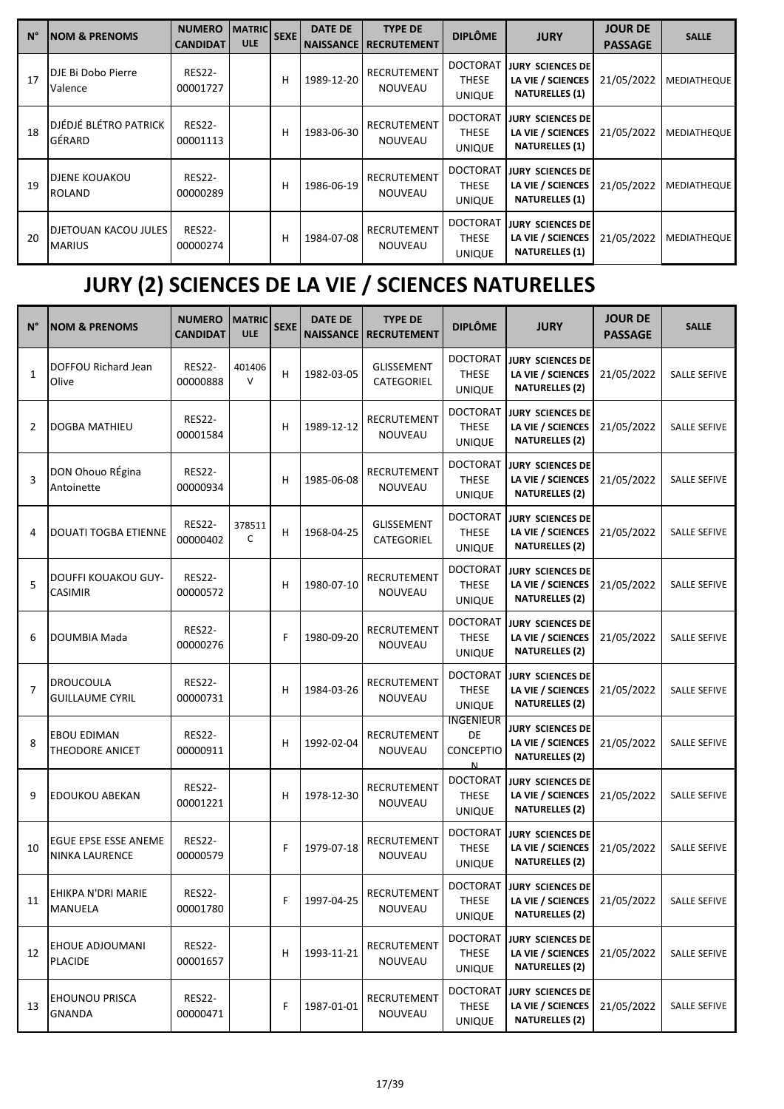| $N^{\circ}$ | <b>NOM &amp; PRENOMS</b>                     | <b>NUMERO</b><br><b>CANDIDAT</b> | <b>MATRIC</b><br><b>ULE</b> | <b>SEXE</b> | <b>DATE DE</b><br><b>NAISSANCE</b> | <b>TYPE DE</b><br><b>RECRUTEMENT</b> | <b>DIPLÔME</b>                                   | <b>JURY</b>                                                      | <b>JOUR DE</b><br><b>PASSAGE</b> | <b>SALLE</b>       |
|-------------|----------------------------------------------|----------------------------------|-----------------------------|-------------|------------------------------------|--------------------------------------|--------------------------------------------------|------------------------------------------------------------------|----------------------------------|--------------------|
| 17          | DJE Bi Dobo Pierre<br>Valence                | <b>RES22-</b><br>00001727        |                             | н           | 1989-12-20                         | RECRUTEMENT<br><b>NOUVEAU</b>        | <b>DOCTORAT</b><br><b>THESE</b><br><b>UNIQUE</b> | JURY SCIENCES DE<br>LA VIE / SCIENCES<br><b>NATURELLES (1)</b>   | 21/05/2022                       | <b>MEDIATHEQUE</b> |
| 18          | DJÉDJÉ BLÉTRO PATRICK<br>GÉRARD              | <b>RES22-</b><br>00001113        |                             | н           | 1983-06-30                         | <b>RECRUTEMENT</b><br><b>NOUVEAU</b> | <b>DOCTORAT</b><br><b>THESE</b><br><b>UNIQUE</b> | JURY SCIENCES DEI<br>LA VIE / SCIENCES<br><b>NATURELLES (1)</b>  | 21/05/2022                       | <b>MEDIATHEQUE</b> |
| 19          | <b>DJENE KOUAKOU</b><br><b>ROLAND</b>        | <b>RES22-</b><br>00000289        |                             | н           | 1986-06-19                         | <b>RECRUTEMENT</b><br><b>NOUVEAU</b> | <b>DOCTORAT</b><br><b>THESE</b><br><b>UNIQUE</b> | ijury sciences del<br>LA VIE / SCIENCES<br><b>NATURELLES (1)</b> | 21/05/2022                       | <b>MEDIATHEQUE</b> |
| 20          | <b>DJETOUAN KACOU JULES</b><br><b>MARIUS</b> | <b>RES22-</b><br>00000274        |                             | н           | 1984-07-08                         | RECRUTEMENT<br><b>NOUVEAU</b>        | <b>DOCTORAT</b><br><b>THESE</b><br><b>UNIQUE</b> | JURY SCIENCES DEI<br>LA VIE / SCIENCES<br><b>NATURELLES (1)</b>  | 21/05/2022                       | <b>MEDIATHEQUE</b> |

# **JURY (2) SCIENCES DE LA VIE / SCIENCES NATURELLES**

| N°             | <b>NOM &amp; PRENOMS</b>                      | <b>NUMERO</b><br><b>CANDIDAT</b> | <b>MATRIC</b><br><b>ULE</b> | <b>SEXE</b> | <b>DATE DE</b> | <b>TYPE DE</b><br><b>NAISSANCE   RECRUTEMENT</b> | <b>DIPLÔME</b>                                   | <b>JURY</b>                                                           | <b>JOUR DE</b><br><b>PASSAGE</b> | <b>SALLE</b>        |
|----------------|-----------------------------------------------|----------------------------------|-----------------------------|-------------|----------------|--------------------------------------------------|--------------------------------------------------|-----------------------------------------------------------------------|----------------------------------|---------------------|
| $\mathbf{1}$   | DOFFOU Richard Jean<br>Olive                  | <b>RES22-</b><br>00000888        | 401406<br>$\vee$            | н           | 1982-03-05     | <b>GLISSEMENT</b><br>CATEGORIEL                  | <b>DOCTORAT</b><br><b>THESE</b><br>UNIQUE        | <b>JURY SCIENCES DE</b><br>LA VIE / SCIENCES<br><b>NATURELLES (2)</b> | 21/05/2022                       | <b>SALLE SEFIVE</b> |
| 2              | DOGBA MATHIEU                                 | <b>RES22-</b><br>00001584        |                             | н           | 1989-12-12     | RECRUTEMENT<br>NOUVEAU                           | <b>DOCTORAT</b><br><b>THESE</b><br><b>UNIQUE</b> | <b>JURY SCIENCES DE</b><br>LA VIE / SCIENCES<br><b>NATURELLES (2)</b> | 21/05/2022                       | SALLE SEFIVE        |
| 3              | DON Ohouo RÉgina<br>Antoinette                | <b>RES22-</b><br>00000934        |                             | н           | 1985-06-08     | RECRUTEMENT<br>NOUVEAU                           | <b>DOCTORAT</b><br><b>THESE</b><br><b>UNIQUE</b> | <b>JURY SCIENCES DE</b><br>LA VIE / SCIENCES<br><b>NATURELLES (2)</b> | 21/05/2022                       | <b>SALLE SEFIVE</b> |
| 4              | <b>DOUATI TOGBA ETIENNE</b>                   | <b>RES22-</b><br>00000402        | 378511<br>C                 | н           | 1968-04-25     | <b>GLISSEMENT</b><br>CATEGORIEL                  | <b>DOCTORAT</b><br><b>THESE</b><br>UNIQUE        | <b>JURY SCIENCES DE</b><br>LA VIE / SCIENCES<br><b>NATURELLES (2)</b> | 21/05/2022                       | <b>SALLE SEFIVE</b> |
| 5              | DOUFFI KOUAKOU GUY-<br>CASIMIR                | <b>RES22-</b><br>00000572        |                             | н           | 1980-07-10     | RECRUTEMENT<br>NOUVEAU                           | <b>DOCTORAT</b><br><b>THESE</b><br><b>UNIQUE</b> | JURY SCIENCES DE<br>LA VIE / SCIENCES<br><b>NATURELLES (2)</b>        | 21/05/2022                       | SALLE SEFIVE        |
| 6              | DOUMBIA Mada                                  | <b>RES22-</b><br>00000276        |                             | F           | 1980-09-20     | RECRUTEMENT<br>NOUVEAU                           | <b>DOCTORAT</b><br><b>THESE</b><br><b>UNIQUE</b> | JURY SCIENCES DE<br>LA VIE / SCIENCES<br><b>NATURELLES (2)</b>        | 21/05/2022                       | <b>SALLE SEFIVE</b> |
| $\overline{7}$ | <b>DROUCOULA</b><br><b>GUILLAUME CYRIL</b>    | <b>RES22-</b><br>00000731        |                             | н           | 1984-03-26     | RECRUTEMENT<br><b>NOUVEAU</b>                    | <b>DOCTORAT</b><br><b>THESE</b><br><b>UNIQUE</b> | <b>JURY SCIENCES DE</b><br>LA VIE / SCIENCES<br><b>NATURELLES (2)</b> | 21/05/2022                       | <b>SALLE SEFIVE</b> |
| 8              | <b>EBOU EDIMAN</b><br>THEODORE ANICET         | <b>RES22-</b><br>00000911        |                             | н           | 1992-02-04     | RECRUTEMENT<br>NOUVEAU                           | <b>INGENIEUR</b><br>DE<br><b>CONCEPTIO</b><br>N  | JURY SCIENCES DE<br>LA VIE / SCIENCES<br><b>NATURELLES (2)</b>        | 21/05/2022                       | <b>SALLE SEFIVE</b> |
| 9              | EDOUKOU ABEKAN                                | <b>RES22-</b><br>00001221        |                             | н           | 1978-12-30     | RECRUTEMENT<br><b>NOUVEAU</b>                    | <b>DOCTORAT</b><br><b>THESE</b><br><b>UNIQUE</b> | JURY SCIENCES DE<br>LA VIE / SCIENCES<br><b>NATURELLES (2)</b>        | 21/05/2022                       | <b>SALLE SEFIVE</b> |
| 10             | EGUE EPSE ESSE ANEME<br><b>NINKA LAURENCE</b> | <b>RES22-</b><br>00000579        |                             | F           | 1979-07-18     | RECRUTEMENT<br><b>NOUVEAU</b>                    | <b>DOCTORAT</b><br><b>THESE</b><br>UNIQUE        | <b>JURY SCIENCES DE</b><br>LA VIE / SCIENCES<br><b>NATURELLES (2)</b> | 21/05/2022                       | <b>SALLE SEFIVE</b> |
| 11             | EHIKPA N'DRI MARIE<br><b>MANUELA</b>          | <b>RES22-</b><br>00001780        |                             | F           | 1997-04-25     | RECRUTEMENT<br>NOUVEAU                           | <b>DOCTORAT</b><br><b>THESE</b><br><b>UNIQUE</b> | <b>JURY SCIENCES DE</b><br>LA VIE / SCIENCES<br><b>NATURELLES (2)</b> | 21/05/2022                       | SALLE SEFIVE        |
| 12             | EHOUE ADJOUMANI<br><b>PLACIDE</b>             | <b>RES22-</b><br>00001657        |                             | н           | 1993-11-21     | RECRUTEMENT<br>NOUVEAU                           | <b>DOCTORAT</b><br>THESE<br><b>UNIQUE</b>        | <b>JURY SCIENCES DE</b><br>LA VIE / SCIENCES<br><b>NATURELLES (2)</b> | 21/05/2022                       | SALLE SEFIVE        |
| 13             | <b>EHOUNOU PRISCA</b><br><b>GNANDA</b>        | <b>RES22-</b><br>00000471        |                             | F           | 1987-01-01     | RECRUTEMENT<br>NOUVEAU                           | <b>DOCTORAT</b><br><b>THESE</b><br><b>UNIQUE</b> | <b>JURY SCIENCES DE</b><br>LA VIE / SCIENCES<br><b>NATURELLES (2)</b> | 21/05/2022                       | SALLE SEFIVE        |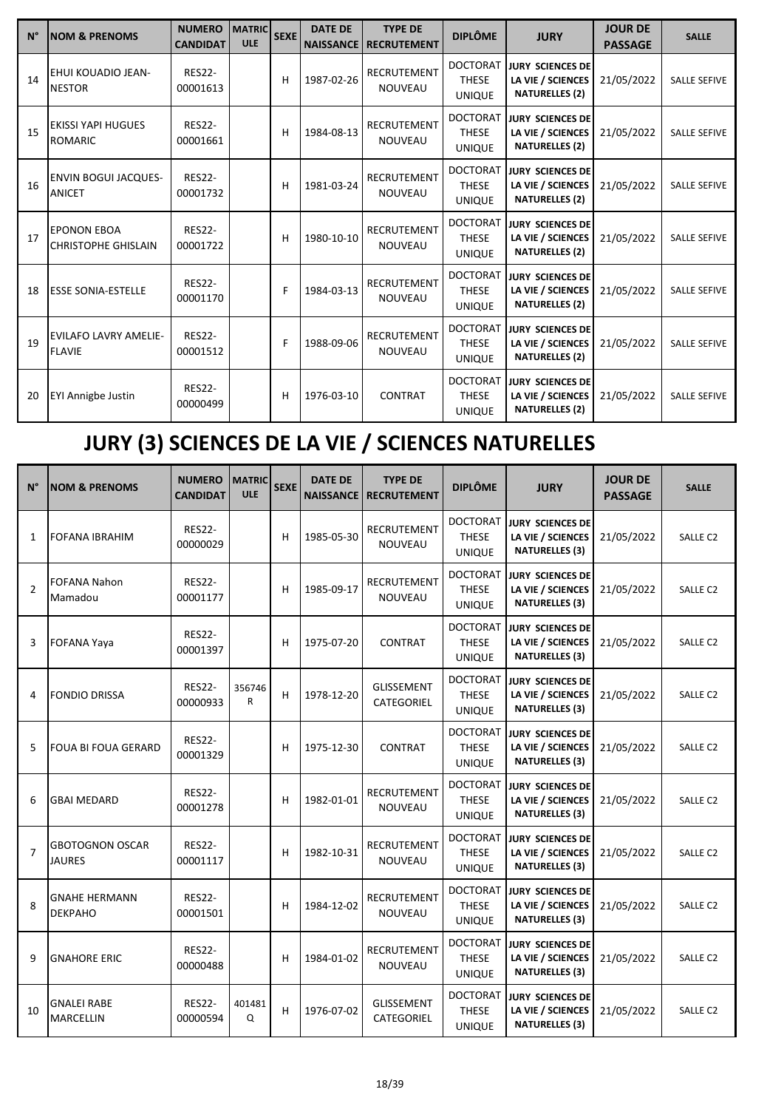| $N^{\circ}$ | <b>NOM &amp; PRENOMS</b>                         | <b>NUMERO</b><br><b>CANDIDAT</b> | <b>MATRIC</b><br><b>ULE</b> | <b>SEXE</b> | <b>DATE DE</b> | <b>TYPE DE</b><br><b>NAISSANCE RECRUTEMENT</b> | <b>DIPLÔME</b>                                   | <b>JURY</b>                                                           | <b>JOUR DE</b><br><b>PASSAGE</b> | <b>SALLE</b>        |
|-------------|--------------------------------------------------|----------------------------------|-----------------------------|-------------|----------------|------------------------------------------------|--------------------------------------------------|-----------------------------------------------------------------------|----------------------------------|---------------------|
| 14          | EHUI KOUADIO JEAN-<br><b>NESTOR</b>              | <b>RES22-</b><br>00001613        |                             | н           | 1987-02-26     | <b>RECRUTEMENT</b><br><b>NOUVEAU</b>           | <b>DOCTORAT</b><br><b>THESE</b><br><b>UNIQUE</b> | <b>JURY SCIENCES DE</b><br>LA VIE / SCIENCES<br><b>NATURELLES (2)</b> | 21/05/2022                       | <b>SALLE SEFIVE</b> |
| 15          | <b>EKISSI YAPI HUGUES</b><br><b>ROMARIC</b>      | <b>RES22-</b><br>00001661        |                             | н           | 1984-08-13     | <b>RECRUTEMENT</b><br><b>NOUVEAU</b>           | <b>DOCTORAT</b><br><b>THESE</b><br><b>UNIQUE</b> | <b>JURY SCIENCES DE</b><br>LA VIE / SCIENCES<br><b>NATURELLES (2)</b> | 21/05/2022                       | <b>SALLE SEFIVE</b> |
| 16          | <b>ENVIN BOGUI JACQUES-</b><br><b>ANICET</b>     | <b>RES22-</b><br>00001732        |                             | н           | 1981-03-24     | <b>RECRUTEMENT</b><br><b>NOUVEAU</b>           | <b>DOCTORAT</b><br><b>THESE</b><br><b>UNIQUE</b> | <b>JURY SCIENCES DE</b><br>LA VIE / SCIENCES<br><b>NATURELLES (2)</b> | 21/05/2022                       | SALLE SEFIVE        |
| 17          | <b>EPONON EBOA</b><br><b>CHRISTOPHE GHISLAIN</b> | <b>RES22-</b><br>00001722        |                             | н           | 1980-10-10     | <b>RECRUTEMENT</b><br><b>NOUVEAU</b>           | <b>DOCTORAT</b><br><b>THESE</b><br><b>UNIQUE</b> | <b>JURY SCIENCES DE</b><br>LA VIE / SCIENCES<br><b>NATURELLES (2)</b> | 21/05/2022                       | <b>SALLE SEFIVE</b> |
| 18          | <b>ESSE SONIA-ESTELLE</b>                        | <b>RES22-</b><br>00001170        |                             | F           | 1984-03-13     | <b>RECRUTEMENT</b><br><b>NOUVEAU</b>           | <b>DOCTORAT</b><br><b>THESE</b><br><b>UNIQUE</b> | <b>JURY SCIENCES DE</b><br>LA VIE / SCIENCES<br><b>NATURELLES (2)</b> | 21/05/2022                       | <b>SALLE SEFIVE</b> |
| 19          | <b>EVILAFO LAVRY AMELIE-</b><br><b>FLAVIE</b>    | <b>RES22-</b><br>00001512        |                             | F           | 1988-09-06     | <b>RECRUTEMENT</b><br><b>NOUVEAU</b>           | <b>DOCTORAT</b><br><b>THESE</b><br><b>UNIQUE</b> | <b>JURY SCIENCES DE</b><br>LA VIE / SCIENCES<br><b>NATURELLES (2)</b> | 21/05/2022                       | <b>SALLE SEFIVE</b> |
| 20          | <b>EYI Annigbe Justin</b>                        | <b>RES22-</b><br>00000499        |                             | н           | 1976-03-10     | <b>CONTRAT</b>                                 | <b>DOCTORAT</b><br><b>THESE</b><br><b>UNIQUE</b> | <b>JURY SCIENCES DE</b><br>LA VIE / SCIENCES<br><b>NATURELLES (2)</b> | 21/05/2022                       | <b>SALLE SEFIVE</b> |

# **JURY (3) SCIENCES DE LA VIE / SCIENCES NATURELLES**

| $N^{\circ}$    | <b>NOM &amp; PRENOMS</b>                | <b>NUMERO</b><br><b>CANDIDAT</b> | <b>MATRIC</b><br><b>ULE</b> | <b>SEXE</b> | <b>DATE DE</b><br><b>NAISSANCE</b> | <b>TYPE DE</b><br><b>RECRUTEMENT</b> | <b>DIPLÔME</b>                                   | <b>JURY</b>                                                           | <b>JOUR DE</b><br><b>PASSAGE</b> | <b>SALLE</b>        |
|----------------|-----------------------------------------|----------------------------------|-----------------------------|-------------|------------------------------------|--------------------------------------|--------------------------------------------------|-----------------------------------------------------------------------|----------------------------------|---------------------|
| $\mathbf{1}$   | <b>FOFANA IBRAHIM</b>                   | <b>RES22-</b><br>00000029        |                             | н           | 1985-05-30                         | <b>RECRUTEMENT</b><br>NOUVEAU        | <b>DOCTORAT</b><br><b>THESE</b><br><b>UNIQUE</b> | JURY SCIENCES DE<br>LA VIE / SCIENCES<br><b>NATURELLES (3)</b>        | 21/05/2022                       | <b>SALLE C2</b>     |
| $\overline{2}$ | <b>FOFANA Nahon</b><br>Mamadou          | <b>RES22-</b><br>00001177        |                             | н           | 1985-09-17                         | <b>RECRUTEMENT</b><br><b>NOUVEAU</b> | <b>DOCTORAT</b><br><b>THESE</b><br><b>UNIQUE</b> | <b>JURY SCIENCES DE</b><br>LA VIE / SCIENCES<br><b>NATURELLES (3)</b> | 21/05/2022                       | SALLE C2            |
| 3              | <b>FOFANA Yaya</b>                      | <b>RES22-</b><br>00001397        |                             | н           | 1975-07-20                         | <b>CONTRAT</b>                       | <b>DOCTORAT</b><br><b>THESE</b><br><b>UNIQUE</b> | JURY SCIENCES DE<br>LA VIE / SCIENCES<br><b>NATURELLES (3)</b>        | 21/05/2022                       | <b>SALLE C2</b>     |
| 4              | <b>FONDIO DRISSA</b>                    | <b>RES22-</b><br>00000933        | 356746<br>R                 | H           | 1978-12-20                         | <b>GLISSEMENT</b><br>CATEGORIEL      | <b>DOCTORAT</b><br><b>THESE</b><br><b>UNIQUE</b> | <b>JURY SCIENCES DE</b><br>LA VIE / SCIENCES<br><b>NATURELLES (3)</b> | 21/05/2022                       | SALLE C2            |
| 5              | <b>FOUA BI FOUA GERARD</b>              | <b>RES22-</b><br>00001329        |                             | н           | 1975-12-30                         | <b>CONTRAT</b>                       | <b>DOCTORAT</b><br><b>THESE</b><br><b>UNIQUE</b> | <b>JURY SCIENCES DE</b><br>LA VIE / SCIENCES<br><b>NATURELLES (3)</b> | 21/05/2022                       | SALLE <sub>C2</sub> |
| 6              | <b>GBAI MEDARD</b>                      | <b>RES22-</b><br>00001278        |                             | Н           | 1982-01-01                         | <b>RECRUTEMENT</b><br><b>NOUVEAU</b> | <b>DOCTORAT</b><br><b>THESE</b><br><b>UNIQUE</b> | <b>JURY SCIENCES DE</b><br>LA VIE / SCIENCES<br><b>NATURELLES (3)</b> | 21/05/2022                       | SALLE C2            |
| $\overline{7}$ | <b>GBOTOGNON OSCAR</b><br><b>JAURES</b> | <b>RES22-</b><br>00001117        |                             | н           | 1982-10-31                         | RECRUTEMENT<br><b>NOUVEAU</b>        | <b>DOCTORAT</b><br><b>THESE</b><br><b>UNIQUE</b> | <b>JURY SCIENCES DE</b><br>LA VIE / SCIENCES<br><b>NATURELLES (3)</b> | 21/05/2022                       | SALLE C2            |
| 8              | <b>GNAHE HERMANN</b><br><b>DEKPAHO</b>  | <b>RES22-</b><br>00001501        |                             | н           | 1984-12-02                         | <b>RECRUTEMENT</b><br><b>NOUVEAU</b> | <b>DOCTORAT</b><br><b>THESE</b><br><b>UNIQUE</b> | <b>JURY SCIENCES DE</b><br>LA VIE / SCIENCES<br><b>NATURELLES (3)</b> | 21/05/2022                       | <b>SALLE C2</b>     |
| 9              | <b>GNAHORE ERIC</b>                     | <b>RES22-</b><br>00000488        |                             | н           | 1984-01-02                         | <b>RECRUTEMENT</b><br><b>NOUVEAU</b> | <b>DOCTORAT</b><br><b>THESE</b><br><b>UNIQUE</b> | <b>JURY SCIENCES DE</b><br>LA VIE / SCIENCES<br><b>NATURELLES (3)</b> | 21/05/2022                       | SALLE C2            |
| 10             | <b>GNALEI RABE</b><br><b>MARCELLIN</b>  | <b>RES22-</b><br>00000594        | 401481<br>Q                 | H           | 1976-07-02                         | <b>GLISSEMENT</b><br>CATEGORIEL      | <b>DOCTORAT</b><br><b>THESE</b><br><b>UNIQUE</b> | <b>JURY SCIENCES DE</b><br>LA VIE / SCIENCES<br><b>NATURELLES (3)</b> | 21/05/2022                       | <b>SALLE C2</b>     |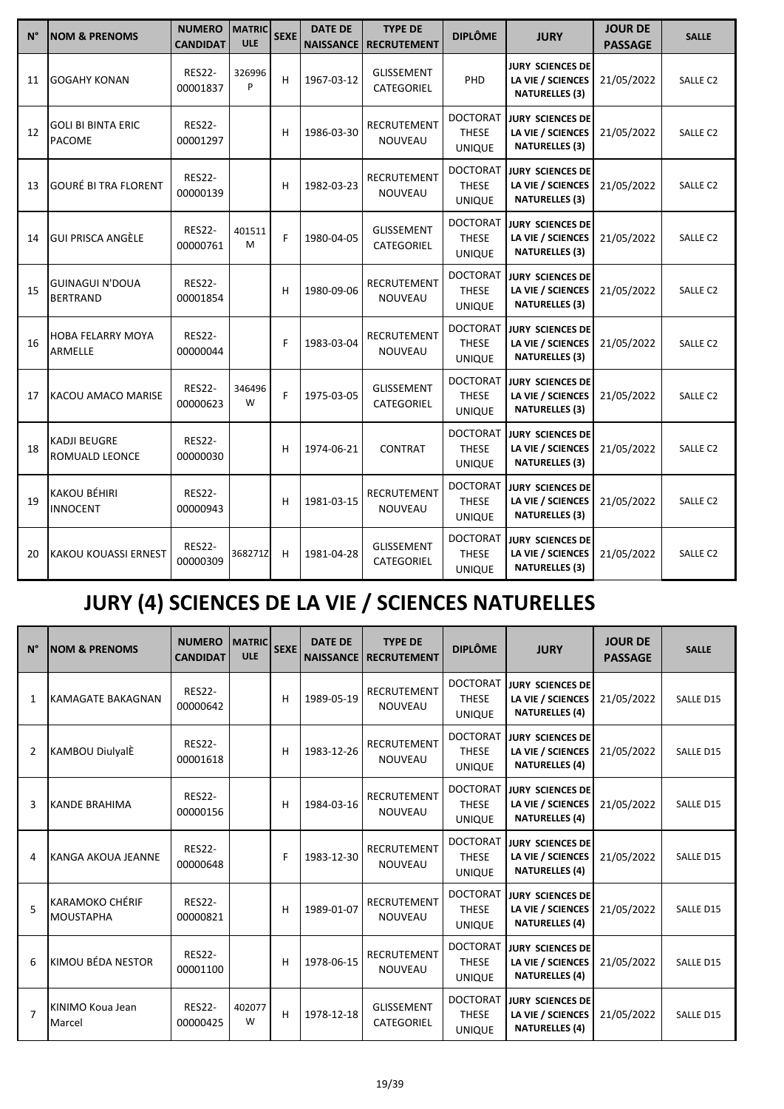| $N^{\circ}$ | <b>NOM &amp; PRENOMS</b>                     | <b>NUMERO</b><br><b>CANDIDAT</b> | <b>MATRIC</b><br><b>ULE</b> | <b>SEXE</b> | <b>DATE DE</b><br><b>NAISSANCE</b> | <b>TYPE DE</b><br><b>RECRUTEMENT</b> | <b>DIPLÔME</b>                                   | <b>JURY</b>                                                           | <b>JOUR DE</b><br><b>PASSAGE</b> | <b>SALLE</b>        |
|-------------|----------------------------------------------|----------------------------------|-----------------------------|-------------|------------------------------------|--------------------------------------|--------------------------------------------------|-----------------------------------------------------------------------|----------------------------------|---------------------|
| 11          | <b>GOGAHY KONAN</b>                          | <b>RES22-</b><br>00001837        | 326996<br>P                 | н           | 1967-03-12                         | <b>GLISSEMENT</b><br>CATEGORIEL      | PHD                                              | <b>JURY SCIENCES DE</b><br>LA VIE / SCIENCES<br><b>NATURELLES (3)</b> | 21/05/2022                       | SALLE C2            |
| 12          | <b>GOLI BI BINTA ERIC</b><br>PACOME          | <b>RES22-</b><br>00001297        |                             | н           | 1986-03-30                         | <b>RECRUTEMENT</b><br>NOUVEAU        | <b>DOCTORAT</b><br><b>THESE</b><br><b>UNIQUE</b> | <b>JURY SCIENCES DE</b><br>LA VIE / SCIENCES<br><b>NATURELLES (3)</b> | 21/05/2022                       | SALLE C2            |
| 13          | <b>GOURÉ BI TRA FLORENT</b>                  | <b>RES22-</b><br>00000139        |                             | н           | 1982-03-23                         | <b>RECRUTEMENT</b><br><b>NOUVEAU</b> | <b>DOCTORAT</b><br><b>THESE</b><br><b>UNIQUE</b> | <b>JURY SCIENCES DE</b><br>LA VIE / SCIENCES<br><b>NATURELLES (3)</b> | 21/05/2022                       | SALLE C2            |
| 14          | <b>GUI PRISCA ANGÈLE</b>                     | <b>RES22-</b><br>00000761        | 401511<br>M                 | F           | 1980-04-05                         | GLISSEMENT<br>CATEGORIEL             | <b>DOCTORAT</b><br><b>THESE</b><br><b>UNIQUE</b> | <b>JURY SCIENCES DE</b><br>LA VIE / SCIENCES<br><b>NATURELLES (3)</b> | 21/05/2022                       | SALLE C2            |
| 15          | <b>GUINAGUI N'DOUA</b><br><b>BERTRAND</b>    | <b>RES22-</b><br>00001854        |                             | н           | 1980-09-06                         | <b>RECRUTEMENT</b><br>NOUVEAU        | <b>DOCTORAT</b><br><b>THESE</b><br><b>UNIQUE</b> | <b>JURY SCIENCES DE</b><br>LA VIE / SCIENCES<br><b>NATURELLES (3)</b> | 21/05/2022                       | <b>SALLE C2</b>     |
| 16          | <b>HOBA FELARRY MOYA</b><br>ARMELLE          | <b>RES22-</b><br>00000044        |                             | F           | 1983-03-04                         | <b>RECRUTEMENT</b><br><b>NOUVEAU</b> | <b>DOCTORAT</b><br><b>THESE</b><br><b>UNIQUE</b> | <b>JURY SCIENCES DE</b><br>LA VIE / SCIENCES<br><b>NATURELLES (3)</b> | 21/05/2022                       | <b>SALLE C2</b>     |
| 17          | KACOU AMACO MARISE                           | <b>RES22-</b><br>00000623        | 346496<br>W                 | F           | 1975-03-05                         | <b>GLISSEMENT</b><br>CATEGORIEL      | <b>DOCTORAT</b><br><b>THESE</b><br><b>UNIQUE</b> | <b>JURY SCIENCES DE</b><br>LA VIE / SCIENCES<br><b>NATURELLES (3)</b> | 21/05/2022                       | <b>SALLE C2</b>     |
| 18          | <b>KADJI BEUGRE</b><br><b>ROMUALD LEONCE</b> | <b>RES22-</b><br>00000030        |                             | н           | 1974-06-21                         | <b>CONTRAT</b>                       | <b>DOCTORAT</b><br><b>THESE</b><br><b>UNIQUE</b> | <b>JURY SCIENCES DE</b><br>LA VIE / SCIENCES<br><b>NATURELLES (3)</b> | 21/05/2022                       | <b>SALLE C2</b>     |
| 19          | KAKOU BÉHIRI<br><b>INNOCENT</b>              | <b>RES22-</b><br>00000943        |                             | н           | 1981-03-15                         | RECRUTEMENT<br><b>NOUVEAU</b>        | <b>DOCTORAT</b><br><b>THESE</b><br><b>UNIQUE</b> | <b>JURY SCIENCES DE</b><br>LA VIE / SCIENCES<br><b>NATURELLES (3)</b> | 21/05/2022                       | SALLE <sub>C2</sub> |
| 20          | <b>KAKOU KOUASSI ERNEST</b>                  | <b>RES22-</b><br>00000309        | 368271Z                     | н           | 1981-04-28                         | <b>GLISSEMENT</b><br>CATEGORIEL      | <b>DOCTORAT</b><br><b>THESE</b><br><b>UNIQUE</b> | <b>JURY SCIENCES DE</b><br>LA VIE / SCIENCES<br><b>NATURELLES (3)</b> | 21/05/2022                       | SALLE <sub>C2</sub> |

# **JURY (4) SCIENCES DE LA VIE / SCIENCES NATURELLES**

| $N^{\circ}$    | <b>NOM &amp; PRENOMS</b>                   | <b>NUMERO</b><br><b>CANDIDAT</b> | <b>MATRIC</b><br><b>ULE</b> | <b>SEXE</b> | <b>DATE DE</b><br><b>NAISSANCE</b> | <b>TYPE DE</b><br><b>RECRUTEMENT</b> | <b>DIPLÔME</b>                                   | <b>JURY</b>                                                           | <b>JOUR DE</b><br><b>PASSAGE</b> | <b>SALLE</b>     |
|----------------|--------------------------------------------|----------------------------------|-----------------------------|-------------|------------------------------------|--------------------------------------|--------------------------------------------------|-----------------------------------------------------------------------|----------------------------------|------------------|
| $\mathbf{1}$   | <b>KAMAGATE BAKAGNAN</b>                   | <b>RES22-</b><br>00000642        |                             | н           | 1989-05-19                         | <b>RECRUTEMENT</b><br><b>NOUVEAU</b> | <b>DOCTORAT</b><br><b>THESE</b><br><b>UNIQUE</b> | <b>JURY SCIENCES DE</b><br>LA VIE / SCIENCES<br><b>NATURELLES (4)</b> | 21/05/2022                       | SALLE D15        |
| 2              | KAMBOU DiulyalÈ                            | <b>RES22-</b><br>00001618        |                             | н           | 1983-12-26                         | <b>RECRUTEMENT</b><br><b>NOUVEAU</b> | <b>DOCTORAT</b><br><b>THESE</b><br><b>UNIQUE</b> | <b>JURY SCIENCES DE</b><br>LA VIE / SCIENCES<br><b>NATURELLES (4)</b> | 21/05/2022                       | SALLE D15        |
| 3              | KANDE BRAHIMA                              | <b>RES22-</b><br>00000156        |                             | н           | 1984-03-16                         | <b>RECRUTEMENT</b><br><b>NOUVEAU</b> | <b>DOCTORAT</b><br><b>THESE</b><br><b>UNIQUE</b> | <b>JURY SCIENCES DE</b><br>LA VIE / SCIENCES<br><b>NATURELLES (4)</b> | 21/05/2022                       | SALLE D15        |
| 4              | KANGA AKOUA JEANNE                         | <b>RES22-</b><br>00000648        |                             | F           | 1983-12-30                         | <b>RECRUTEMENT</b><br><b>NOUVEAU</b> | <b>DOCTORAT</b><br><b>THESE</b><br><b>UNIQUE</b> | <b>JURY SCIENCES DE</b><br>LA VIE / SCIENCES<br><b>NATURELLES (4)</b> | 21/05/2022                       | <b>SALLE D15</b> |
| $\overline{5}$ | <b>KARAMOKO CHÉRIF</b><br><b>MOUSTAPHA</b> | <b>RES22-</b><br>00000821        |                             | н           | 1989-01-07                         | <b>RECRUTEMENT</b><br><b>NOUVEAU</b> | <b>DOCTORAT</b><br><b>THESE</b><br><b>UNIQUE</b> | <b>JURY SCIENCES DE</b><br>LA VIE / SCIENCES<br><b>NATURELLES (4)</b> | 21/05/2022                       | SALLE D15        |
| 6              | KIMOU BÉDA NESTOR                          | <b>RES22-</b><br>00001100        |                             | н           | 1978-06-15                         | <b>RECRUTEMENT</b><br><b>NOUVEAU</b> | <b>DOCTORAT</b><br><b>THESE</b><br><b>UNIQUE</b> | <b>JURY SCIENCES DE</b><br>LA VIE / SCIENCES<br><b>NATURELLES (4)</b> | 21/05/2022                       | SALLE D15        |
| $\overline{7}$ | KINIMO Koua Jean<br>Marcel                 | <b>RES22-</b><br>00000425        | 402077<br>W                 | н           | 1978-12-18                         | <b>GLISSEMENT</b><br>CATEGORIEL      | <b>DOCTORAT</b><br><b>THESE</b><br><b>UNIQUE</b> | <b>JURY SCIENCES DE</b><br>LA VIE / SCIENCES<br><b>NATURELLES (4)</b> | 21/05/2022                       | SALLE D15        |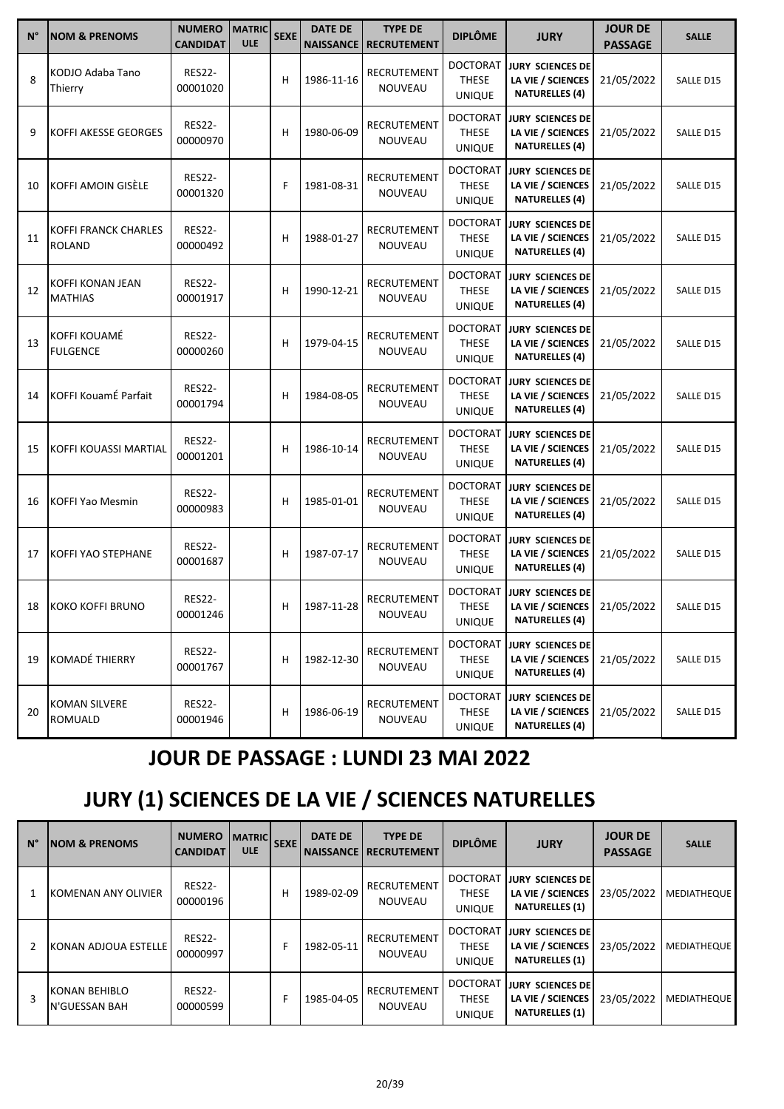| $N^{\circ}$ | <b>NOM &amp; PRENOMS</b>                     | <b>NUMERO</b><br><b>CANDIDAT</b> | <b>MATRIC</b><br><b>ULE</b> | <b>SEXE</b> | <b>DATE DE</b><br><b>NAISSANCE</b> | <b>TYPE DE</b><br><b>RECRUTEMENT</b> | <b>DIPLÔME</b>                                   | <b>JURY</b>                                                           | <b>JOUR DE</b><br><b>PASSAGE</b> | <b>SALLE</b> |
|-------------|----------------------------------------------|----------------------------------|-----------------------------|-------------|------------------------------------|--------------------------------------|--------------------------------------------------|-----------------------------------------------------------------------|----------------------------------|--------------|
| 8           | KODJO Adaba Tano<br>Thierry                  | <b>RES22-</b><br>00001020        |                             | н           | 1986-11-16                         | RECRUTEMENT<br>NOUVEAU               | <b>DOCTORAT</b><br>THESE<br><b>UNIQUE</b>        | <b>JURY SCIENCES DE</b><br>LA VIE / SCIENCES<br><b>NATURELLES (4)</b> | 21/05/2022                       | SALLE D15    |
| 9           | <b>KOFFI AKESSE GEORGES</b>                  | <b>RES22-</b><br>00000970        |                             | н           | 1980-06-09                         | RECRUTEMENT<br>NOUVEAU               | <b>DOCTORAT</b><br><b>THESE</b><br>UNIQUE        | <b>JURY SCIENCES DE</b><br>LA VIE / SCIENCES<br><b>NATURELLES (4)</b> | 21/05/2022                       | SALLE D15    |
| 10          | KOFFI AMOIN GISELE                           | <b>RES22-</b><br>00001320        |                             | F           | 1981-08-31                         | RECRUTEMENT<br>NOUVEAU               | <b>DOCTORAT</b><br><b>THESE</b><br><b>UNIQUE</b> | <b>JURY SCIENCES DE</b><br>LA VIE / SCIENCES<br><b>NATURELLES (4)</b> | 21/05/2022                       | SALLE D15    |
| 11          | <b>KOFFI FRANCK CHARLES</b><br><b>ROLAND</b> | <b>RES22-</b><br>00000492        |                             | н           | 1988-01-27                         | RECRUTEMENT<br>NOUVEAU               | <b>DOCTORAT</b><br><b>THESE</b><br><b>UNIQUE</b> | <b>JURY SCIENCES DE</b><br>LA VIE / SCIENCES<br><b>NATURELLES (4)</b> | 21/05/2022                       | SALLE D15    |
| 12          | KOFFI KONAN JEAN<br><b>MATHIAS</b>           | <b>RES22-</b><br>00001917        |                             | н           | 1990-12-21                         | RECRUTEMENT<br><b>NOUVEAU</b>        | <b>DOCTORAT</b><br><b>THESE</b><br><b>UNIQUE</b> | <b>JURY SCIENCES DE</b><br>LA VIE / SCIENCES<br><b>NATURELLES (4)</b> | 21/05/2022                       | SALLE D15    |
| 13          | KOFFI KOUAMÉ<br><b>FULGENCE</b>              | <b>RES22-</b><br>00000260        |                             | н           | 1979-04-15                         | RECRUTEMENT<br>NOUVEAU               | <b>DOCTORAT</b><br>THESE<br><b>UNIQUE</b>        | <b>JURY SCIENCES DE</b><br>LA VIE / SCIENCES<br><b>NATURELLES (4)</b> | 21/05/2022                       | SALLE D15    |
| 14          | KOFFI KouamÉ Parfait                         | <b>RES22-</b><br>00001794        |                             | н           | 1984-08-05                         | RECRUTEMENT<br><b>NOUVEAU</b>        | <b>DOCTORAT</b><br><b>THESE</b><br><b>UNIQUE</b> | <b>JURY SCIENCES DE</b><br>LA VIE / SCIENCES<br><b>NATURELLES (4)</b> | 21/05/2022                       | SALLE D15    |
| 15          | KOFFI KOUASSI MARTIAL                        | <b>RES22-</b><br>00001201        |                             | н           | 1986-10-14                         | RECRUTEMENT<br>NOUVEAU               | <b>DOCTORAT</b><br><b>THESE</b><br><b>UNIQUE</b> | <b>JURY SCIENCES DE</b><br>LA VIE / SCIENCES<br><b>NATURELLES (4)</b> | 21/05/2022                       | SALLE D15    |
| 16          | KOFFI Yao Mesmin                             | <b>RES22-</b><br>00000983        |                             | н           | 1985-01-01                         | RECRUTEMENT<br>NOUVEAU               | <b>DOCTORAT</b><br>THESE<br><b>UNIQUE</b>        | <b>JURY SCIENCES DE</b><br>LA VIE / SCIENCES<br><b>NATURELLES (4)</b> | 21/05/2022                       | SALLE D15    |
| 17          | KOFFI YAO STEPHANE                           | <b>RES22-</b><br>00001687        |                             | н           | 1987-07-17                         | RECRUTEMENT<br><b>NOUVEAU</b>        | <b>DOCTORAT</b><br><b>THESE</b><br><b>UNIQUE</b> | <b>JURY SCIENCES DE</b><br>LA VIE / SCIENCES<br><b>NATURELLES (4)</b> | 21/05/2022                       | SALLE D15    |
|             | 18 KOKO KOFFI BRUNO                          | <b>RES22-</b><br>00001246        |                             |             | 1987-11-28                         | RECRUTEMENT<br>NOUVEAU               | <b>DOCTORAT</b><br>THESE<br><b>UNIQUE</b>        | <b>JURY SCIENCES DE</b><br>LA VIE / SCIENCES<br><b>NATURELLES (4)</b> | 21/05/2022                       | SALLE D15    |
| 19          | KOMADÉ THIERRY                               | <b>RES22-</b><br>00001767        |                             | н           | 1982-12-30                         | RECRUTEMENT<br>NOUVEAU               | <b>DOCTORAT</b><br>THESE<br><b>UNIQUE</b>        | <b>JURY SCIENCES DE</b><br>LA VIE / SCIENCES<br><b>NATURELLES (4)</b> | 21/05/2022                       | SALLE D15    |
| 20          | <b>KOMAN SILVERE</b><br>ROMUALD              | <b>RES22-</b><br>00001946        |                             | н           | 1986-06-19                         | RECRUTEMENT<br>NOUVEAU               | <b>DOCTORAT</b><br>THESE<br><b>UNIQUE</b>        | JURY SCIENCES DE<br>LA VIE / SCIENCES<br><b>NATURELLES (4)</b>        | 21/05/2022                       | SALLE D15    |

## **JOUR DE PASSAGE : LUNDI 23 MAI 2022**

## **JURY (1) SCIENCES DE LA VIE / SCIENCES NATURELLES**

| $N^{\circ}$ | <b>NOM &amp; PRENOMS</b>         | <b>NUMERO</b><br><b>CANDIDAT</b> | <b>MATRIC</b><br><b>ULE</b> | <b>SEXE</b> | <b>DATE DE</b><br><b>NAISSANCE</b> | <b>TYPE DE</b><br><b>RECRUTEMENT</b> | <b>DIPLÔME</b>                                   | <b>JURY</b>                                                           | <b>JOUR DE</b><br><b>PASSAGE</b> | <b>SALLE</b>       |
|-------------|----------------------------------|----------------------------------|-----------------------------|-------------|------------------------------------|--------------------------------------|--------------------------------------------------|-----------------------------------------------------------------------|----------------------------------|--------------------|
|             | KOMENAN ANY OLIVIER              | <b>RES22-</b><br>00000196        |                             | н           | 1989-02-09                         | RECRUTEMENT<br><b>NOUVEAU</b>        | <b>DOCTORAT</b><br><b>THESE</b><br><b>UNIQUE</b> | IJURY SCIENCES DE<br>LA VIE / SCIENCES<br><b>NATURELLES (1)</b>       | 23/05/2022                       | <b>MEDIATHEQUE</b> |
| 2           | KONAN ADJOUA ESTELLE             | <b>RES22-</b><br>00000997        |                             |             | 1982-05-11                         | RECRUTEMENT<br><b>NOUVEAU</b>        | <b>DOCTORAT</b><br><b>THESE</b><br><b>UNIQUE</b> | IJURY SCIENCES DE<br>LA VIE / SCIENCES<br><b>NATURELLES (1)</b>       | 23/05/2022                       | <b>MEDIATHEQUE</b> |
| 3           | IKONAN BEHIBLO<br>lN'GUESSAN BAH | <b>RES22-</b><br>00000599        |                             |             | 1985-04-05                         | RECRUTEMENT<br><b>NOUVEAU</b>        | <b>DOCTORAT</b><br><b>THESE</b><br><b>UNIQUE</b> | <b>JURY SCIENCES DE</b><br>LA VIE / SCIENCES<br><b>NATURELLES (1)</b> | 23/05/2022                       | <b>MEDIATHEQUE</b> |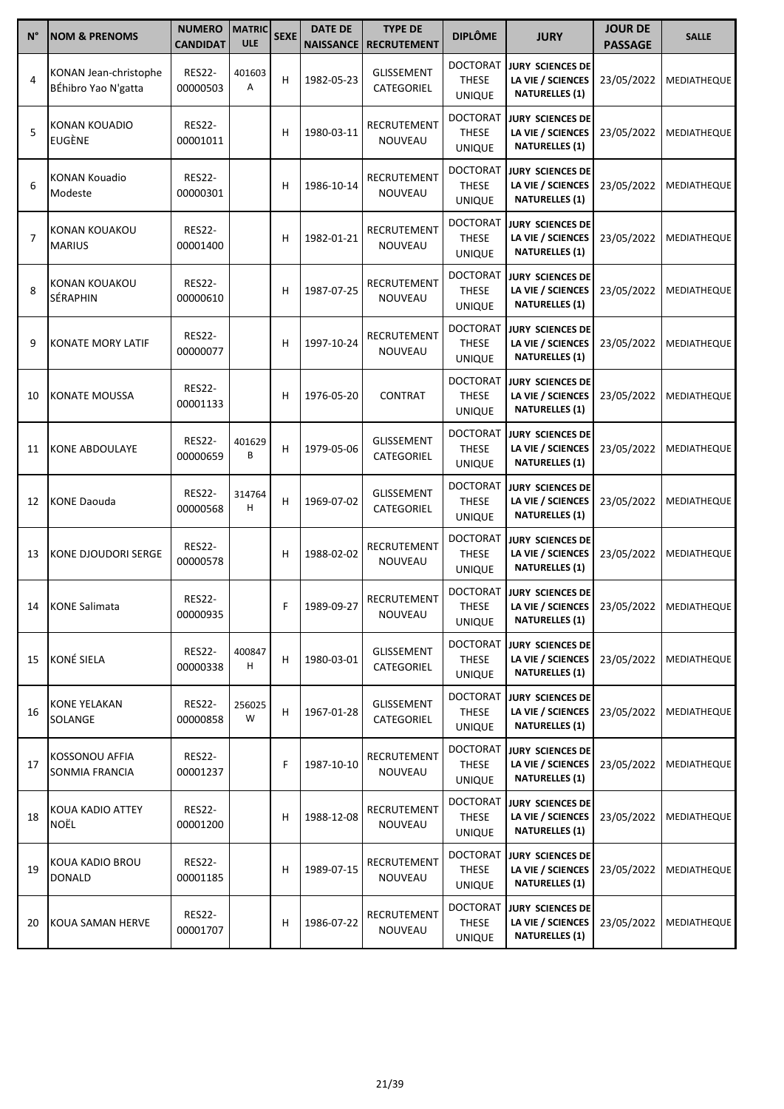| $N^{\circ}$    | <b>NOM &amp; PRENOMS</b>                     | <b>NUMERO</b><br><b>CANDIDAT</b> | <b>MATRIC</b><br><b>ULE</b> | <b>SEXE</b> | <b>DATE DE</b><br><b>NAISSANCE</b> | <b>TYPE DE</b><br><b>RECRUTEMENT</b> | <b>DIPLÔME</b>                                   | <b>JURY</b>                                                                               | <b>JOUR DE</b><br><b>PASSAGE</b> | <b>SALLE</b>       |
|----------------|----------------------------------------------|----------------------------------|-----------------------------|-------------|------------------------------------|--------------------------------------|--------------------------------------------------|-------------------------------------------------------------------------------------------|----------------------------------|--------------------|
| $\overline{4}$ | KONAN Jean-christophe<br>BÉhibro Yao N'gatta | <b>RES22-</b><br>00000503        | 401603<br>Α                 | н           | 1982-05-23                         | <b>GLISSEMENT</b><br>CATEGORIEL      | <b>DOCTORAT</b><br><b>THESE</b><br><b>UNIQUE</b> | <b>JURY SCIENCES DE</b><br>LA VIE / SCIENCES<br><b>NATURELLES (1)</b>                     | 23/05/2022                       | MEDIATHEQUE        |
| 5              | KONAN KOUADIO<br><b>EUGÈNE</b>               | <b>RES22-</b><br>00001011        |                             | н           | 1980-03-11                         | RECRUTEMENT<br><b>NOUVEAU</b>        | <b>DOCTORAT</b><br><b>THESE</b><br><b>UNIQUE</b> | <b>JURY SCIENCES DE</b><br>LA VIE / SCIENCES<br><b>NATURELLES (1)</b>                     | 23/05/2022                       | MEDIATHEQUE        |
| 6              | <b>KONAN Kouadio</b><br>Modeste              | <b>RES22-</b><br>00000301        |                             | н           | 1986-10-14                         | RECRUTEMENT<br>NOUVEAU               | <b>DOCTORAT</b><br><b>THESE</b><br><b>UNIQUE</b> | <b>JURY SCIENCES DE</b><br>LA VIE / SCIENCES<br><b>NATURELLES (1)</b>                     | 23/05/2022                       | MEDIATHEQUE        |
| $\overline{7}$ | KONAN KOUAKOU<br><b>MARIUS</b>               | <b>RES22-</b><br>00001400        |                             | н           | 1982-01-21                         | RECRUTEMENT<br>NOUVEAU               | <b>DOCTORAT</b><br><b>THESE</b><br><b>UNIQUE</b> | <b>JURY SCIENCES DE</b><br>LA VIE / SCIENCES<br><b>NATURELLES (1)</b>                     | 23/05/2022                       | MEDIATHEQUE        |
| 8              | KONAN KOUAKOU<br>SÉRAPHIN                    | <b>RES22-</b><br>00000610        |                             | н           | 1987-07-25                         | RECRUTEMENT<br><b>NOUVEAU</b>        | <b>DOCTORAT</b><br><b>THESE</b><br><b>UNIQUE</b> | <b>JURY SCIENCES DE</b><br>LA VIE / SCIENCES<br><b>NATURELLES (1)</b>                     | 23/05/2022                       | MEDIATHEQUE        |
| 9              | KONATE MORY LATIF                            | <b>RES22-</b><br>00000077        |                             | н           | 1997-10-24                         | RECRUTEMENT<br>NOUVEAU               | <b>DOCTORAT</b><br><b>THESE</b><br><b>UNIQUE</b> | <b>JURY SCIENCES DE</b><br>LA VIE / SCIENCES<br><b>NATURELLES (1)</b>                     | 23/05/2022                       | MEDIATHEQUE        |
| 10             | KONATE MOUSSA                                | <b>RES22-</b><br>00001133        |                             | н           | 1976-05-20                         | <b>CONTRAT</b>                       | <b>DOCTORAT</b><br><b>THESE</b><br><b>UNIQUE</b> | <b>JURY SCIENCES DE</b><br>LA VIE / SCIENCES<br><b>NATURELLES (1)</b>                     | 23/05/2022                       | MEDIATHEQUE        |
| 11             | <b>KONE ABDOULAYE</b>                        | <b>RES22-</b><br>00000659        | 401629<br>B                 | н           | 1979-05-06                         | <b>GLISSEMENT</b><br>CATEGORIEL      | <b>DOCTORAT</b><br><b>THESE</b><br><b>UNIQUE</b> | <b>JURY SCIENCES DE</b><br>LA VIE / SCIENCES<br><b>NATURELLES (1)</b>                     | 23/05/2022                       | MEDIATHEQUE        |
| 12             | <b>KONE Daouda</b>                           | <b>RES22-</b><br>00000568        | 314764<br>Н                 | н           | 1969-07-02                         | <b>GLISSEMENT</b><br>CATEGORIEL      | <b>DOCTORAT</b><br><b>THESE</b><br><b>UNIQUE</b> | <b>JURY SCIENCES DE</b><br>LA VIE / SCIENCES<br><b>NATURELLES (1)</b>                     | 23/05/2022                       | MEDIATHEQUE        |
| 13             | KONE DJOUDORI SERGE                          | <b>RES22-</b><br>00000578        |                             | н           | 1988-02-02                         | RECRUTEMENT<br>NOUVEAU               | <b>DOCTORAT</b><br><b>THESE</b><br><b>UNIQUE</b> | <b>JURY SCIENCES DE</b><br>LA VIE / SCIENCES<br><b>NATURELLES (1)</b>                     | 23/05/2022                       | MEDIATHEQUE        |
|                | 14 KONE Salimata                             | <b>RES22-</b><br>00000935        |                             | F           | 1989-09-27                         | RECRUTEMENT<br>NOUVEAU               | <b>DOCTORAT</b><br><b>THESE</b><br><b>UNIQUE</b> | JURY SCIENCES DE<br>LA VIE / SCIENCES   23/05/2022   MEDIATHEQUE<br><b>NATURELLES (1)</b> |                                  |                    |
| 15             | <b>KONÉ SIELA</b>                            | <b>RES22-</b><br>00000338        | 400847<br>н                 | н           | 1980-03-01                         | GLISSEMENT<br>CATEGORIEL             | <b>DOCTORAT</b><br>THESE<br><b>UNIQUE</b>        | <b>JURY SCIENCES DE</b><br>LA VIE / SCIENCES<br><b>NATURELLES (1)</b>                     | 23/05/2022                       | <b>MEDIATHEQUE</b> |
| 16             | KONE YELAKAN<br>SOLANGE                      | <b>RES22-</b><br>00000858        | 256025<br>W                 | н           | 1967-01-28                         | GLISSEMENT<br>CATEGORIEL             | <b>DOCTORAT</b><br>THESE<br><b>UNIQUE</b>        | JURY SCIENCES DE<br>LA VIE / SCIENCES<br><b>NATURELLES (1)</b>                            | 23/05/2022                       | <b>MEDIATHEQUE</b> |
| 17             | KOSSONOU AFFIA<br>SONMIA FRANCIA             | <b>RES22-</b><br>00001237        |                             | F           | 1987-10-10                         | RECRUTEMENT<br>NOUVEAU               | <b>DOCTORAT</b><br>THESE<br><b>UNIQUE</b>        | <b>JURY SCIENCES DE</b><br>LA VIE / SCIENCES<br><b>NATURELLES (1)</b>                     | 23/05/2022                       | <b>MEDIATHEQUE</b> |
| 18             | KOUA KADIO ATTEY<br>NOËL                     | <b>RES22-</b><br>00001200        |                             | н           | 1988-12-08                         | RECRUTEMENT<br>NOUVEAU               | <b>DOCTORAT</b><br>THESE<br><b>UNIQUE</b>        | <b>JURY SCIENCES DE</b><br>LA VIE / SCIENCES<br><b>NATURELLES (1)</b>                     | 23/05/2022                       | MEDIATHEQUE        |
| 19             | KOUA KADIO BROU<br><b>DONALD</b>             | <b>RES22-</b><br>00001185        |                             | н           | 1989-07-15                         | RECRUTEMENT<br>NOUVEAU               | <b>DOCTORAT</b><br>THESE<br><b>UNIQUE</b>        | JURY SCIENCES DE<br>LA VIE / SCIENCES<br><b>NATURELLES (1)</b>                            | 23/05/2022                       | <b>MEDIATHEQUE</b> |
| 20             | KOUA SAMAN HERVE                             | <b>RES22-</b><br>00001707        |                             | н           | 1986-07-22                         | RECRUTEMENT<br>NOUVEAU               | <b>DOCTORAT</b><br>THESE<br><b>UNIQUE</b>        | <b>JURY SCIENCES DE</b><br>LA VIE / SCIENCES<br><b>NATURELLES (1)</b>                     | 23/05/2022                       | <b>MEDIATHEQUE</b> |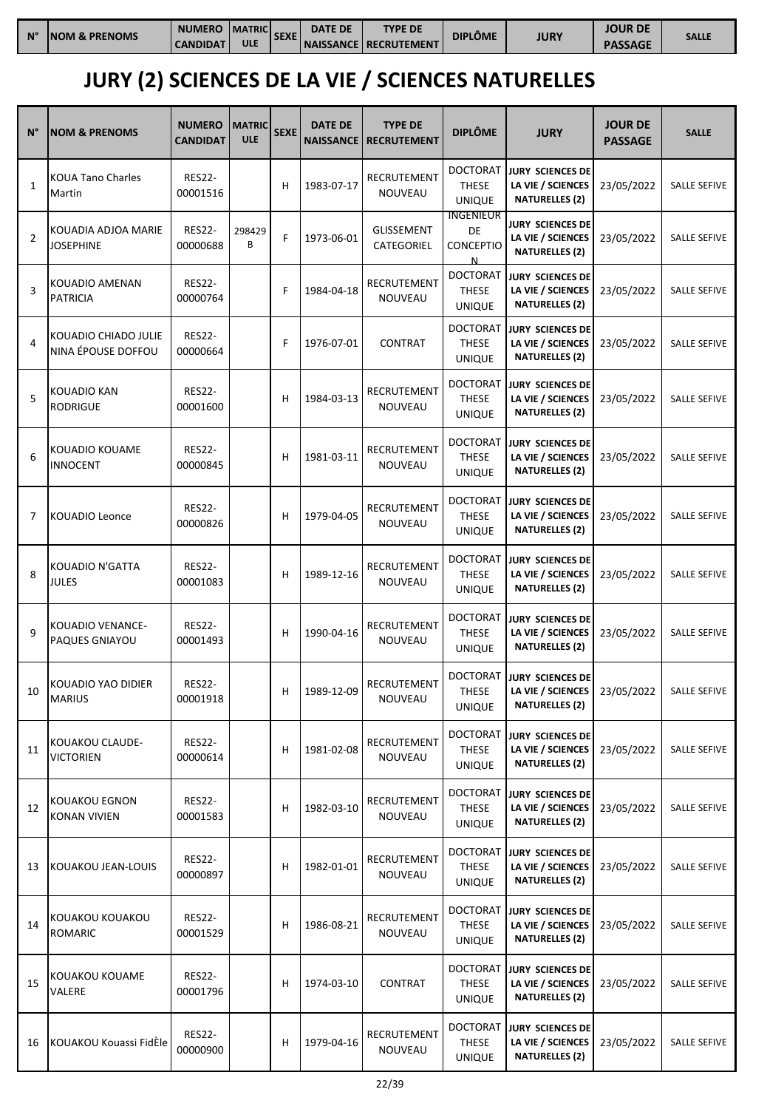| $N^{\circ}$ | <b>INOM &amp; PRENOMS</b> | <b>NUMERO</b><br><b>CANDIDAT</b> | <b>MATRICI</b><br><b>ULE</b> | <b>SEXE</b> | <b>DATE DE</b> | <b>TYPE DE</b><br><b>NAISSANCE RECRUTEMENT</b> | DIPLÔME | <b>JURY</b> | JOUR DE        | <b>SALLE</b> |
|-------------|---------------------------|----------------------------------|------------------------------|-------------|----------------|------------------------------------------------|---------|-------------|----------------|--------------|
|             |                           |                                  |                              |             |                |                                                |         |             | <b>PASSAGE</b> |              |

# **JURY (2) SCIENCES DE LA VIE / SCIENCES NATURELLES**

| N°           | <b>NOM &amp; PRENOMS</b>                   | <b>NUMERO</b><br><b>CANDIDAT</b> | <b>MATRIC</b><br><b>ULE</b> | <b>SEXE</b> | <b>DATE DE</b><br><b>NAISSANCE</b> | <b>TYPE DE</b><br><b>RECRUTEMENT</b> | <b>DIPLÔME</b>                                   | <b>JURY</b>                                                           | <b>JOUR DE</b><br><b>PASSAGE</b> | <b>SALLE</b>        |
|--------------|--------------------------------------------|----------------------------------|-----------------------------|-------------|------------------------------------|--------------------------------------|--------------------------------------------------|-----------------------------------------------------------------------|----------------------------------|---------------------|
| $\mathbf{1}$ | <b>KOUA Tano Charles</b><br>Martin         | <b>RES22-</b><br>00001516        |                             | Н           | 1983-07-17                         | RECRUTEMENT<br>NOUVEAU               | <b>DOCTORAT</b><br><b>THESE</b><br><b>UNIQUE</b> | JURY SCIENCES DE<br>LA VIE / SCIENCES<br><b>NATURELLES (2)</b>        | 23/05/2022                       | <b>SALLE SEFIVE</b> |
| 2            | KOUADIA ADJOA MARIE<br><b>JOSEPHINE</b>    | <b>RES22-</b><br>00000688        | 298429<br>В                 | F           | 1973-06-01                         | GLISSEMENT<br>CATEGORIEL             | <b>INGENIEUR</b><br>DE<br><b>CONCEPTIO</b><br>N  | <b>JURY SCIENCES DE</b><br>LA VIE / SCIENCES<br><b>NATURELLES (2)</b> | 23/05/2022                       | <b>SALLE SEFIVE</b> |
| 3            | KOUADIO AMENAN<br><b>PATRICIA</b>          | <b>RES22-</b><br>00000764        |                             | F           | 1984-04-18                         | RECRUTEMENT<br>NOUVEAU               | <b>DOCTORAT</b><br><b>THESE</b><br><b>UNIQUE</b> | <b>JURY SCIENCES DE</b><br>LA VIE / SCIENCES<br><b>NATURELLES (2)</b> | 23/05/2022                       | <b>SALLE SEFIVE</b> |
| 4            | KOUADIO CHIADO JULIE<br>NINA ÉPOUSE DOFFOU | <b>RES22-</b><br>00000664        |                             | F           | 1976-07-01                         | <b>CONTRAT</b>                       | <b>DOCTORAT</b><br><b>THESE</b><br><b>UNIQUE</b> | <b>JURY SCIENCES DE</b><br>LA VIE / SCIENCES<br><b>NATURELLES (2)</b> | 23/05/2022                       | <b>SALLE SEFIVE</b> |
| 5            | KOUADIO KAN<br><b>RODRIGUE</b>             | <b>RES22-</b><br>00001600        |                             | Н           | 1984-03-13                         | RECRUTEMENT<br>NOUVEAU               | <b>DOCTORAT</b><br><b>THESE</b><br><b>UNIQUE</b> | <b>JURY SCIENCES DE</b><br>LA VIE / SCIENCES<br><b>NATURELLES (2)</b> | 23/05/2022                       | <b>SALLE SEFIVE</b> |
| 6            | KOUADIO KOUAME<br><b>INNOCENT</b>          | <b>RES22-</b><br>00000845        |                             | Н           | 1981-03-11                         | <b>RECRUTEMENT</b><br>NOUVEAU        | <b>DOCTORAT</b><br><b>THESE</b><br><b>UNIQUE</b> | JURY SCIENCES DE<br>LA VIE / SCIENCES<br><b>NATURELLES (2)</b>        | 23/05/2022                       | <b>SALLE SEFIVE</b> |
| 7            | KOUADIO Leonce                             | <b>RES22-</b><br>00000826        |                             | н           | 1979-04-05                         | RECRUTEMENT<br>NOUVEAU               | DOCTORAT<br><b>THESE</b><br><b>UNIQUE</b>        | <b>JURY SCIENCES DE</b><br>LA VIE / SCIENCES<br><b>NATURELLES (2)</b> | 23/05/2022                       | <b>SALLE SEFIVE</b> |
| 8            | KOUADIO N'GATTA<br><b>JULES</b>            | <b>RES22-</b><br>00001083        |                             | н           | 1989-12-16                         | RECRUTEMENT<br>NOUVEAU               | <b>DOCTORAT</b><br><b>THESE</b><br><b>UNIQUE</b> | <b>JURY SCIENCES DE</b><br>LA VIE / SCIENCES<br><b>NATURELLES (2)</b> | 23/05/2022                       | <b>SALLE SEFIVE</b> |
| 9            | KOUADIO VENANCE-<br><b>PAQUES GNIAYOU</b>  | <b>RES22-</b><br>00001493        |                             | н           | 1990-04-16                         | RECRUTEMENT<br><b>NOUVEAU</b>        | DOCTORAT<br><b>THESE</b><br><b>UNIQUE</b>        | <b>JURY SCIENCES DE</b><br>LA VIE / SCIENCES<br><b>NATURELLES (2)</b> | 23/05/2022                       | <b>SALLE SEFIVE</b> |
| 10           | KOUADIO YAO DIDIER<br><b>MARIUS</b>        | <b>RES22-</b><br>00001918        |                             | н           | 1989-12-09                         | RECRUTEMENT<br>NOUVEAU               | <b>DOCTORAT</b><br><b>THESE</b><br><b>UNIQUE</b> | <b>JURY SCIENCES DE</b><br>LA VIE / SCIENCES<br><b>NATURELLES (2)</b> | 23/05/2022                       | <b>SALLE SEFIVE</b> |
| 11           | KOUAKOU CLAUDE-<br><b>VICTORIEN</b>        | <b>RES22-</b><br>00000614        |                             | н           | 1981-02-08                         | RECRUTEMENT<br>NOUVEAU               | <b>DOCTORAT</b><br>THESE<br><b>UNIQUE</b>        | JURY SCIENCES DE<br>LA VIE / SCIENCES<br><b>NATURELLES (2)</b>        | 23/05/2022                       | <b>SALLE SEFIVE</b> |
| 12           | KOUAKOU EGNON<br><b>KONAN VIVIEN</b>       | <b>RES22-</b><br>00001583        |                             | н           | 1982-03-10                         | RECRUTEMENT<br>NOUVEAU               | <b>DOCTORAT</b><br><b>THESE</b><br><b>UNIQUE</b> | JURY SCIENCES DE<br>LA VIE / SCIENCES<br><b>NATURELLES (2)</b>        | 23/05/2022                       | SALLE SEFIVE        |
| 13           | KOUAKOU JEAN-LOUIS                         | <b>RES22-</b><br>00000897        |                             | н           | 1982-01-01                         | RECRUTEMENT<br>NOUVEAU               | <b>DOCTORAT</b><br><b>THESE</b><br><b>UNIQUE</b> | JURY SCIENCES DE<br>LA VIE / SCIENCES<br><b>NATURELLES (2)</b>        | 23/05/2022                       | SALLE SEFIVE        |
| 14           | KOUAKOU KOUAKOU<br><b>ROMARIC</b>          | <b>RES22-</b><br>00001529        |                             | н           | 1986-08-21                         | RECRUTEMENT<br>NOUVEAU               | DOCTORAT<br><b>THESE</b><br><b>UNIQUE</b>        | JURY SCIENCES DE<br>LA VIE / SCIENCES<br><b>NATURELLES (2)</b>        | 23/05/2022                       | SALLE SEFIVE        |
| 15           | KOUAKOU KOUAME<br>VALERE                   | <b>RES22-</b><br>00001796        |                             | н           | 1974-03-10                         | <b>CONTRAT</b>                       | <b>DOCTORAT</b><br><b>THESE</b><br><b>UNIQUE</b> | <b>JURY SCIENCES DE</b><br>LA VIE / SCIENCES<br><b>NATURELLES (2)</b> | 23/05/2022                       | <b>SALLE SEFIVE</b> |
| 16           | KOUAKOU Kouassi FidÈle                     | <b>RES22-</b><br>00000900        |                             | н           | 1979-04-16                         | RECRUTEMENT<br>NOUVEAU               | <b>DOCTORAT</b><br><b>THESE</b><br><b>UNIQUE</b> | JURY SCIENCES DE<br>LA VIE / SCIENCES<br><b>NATURELLES (2)</b>        | 23/05/2022                       | SALLE SEFIVE        |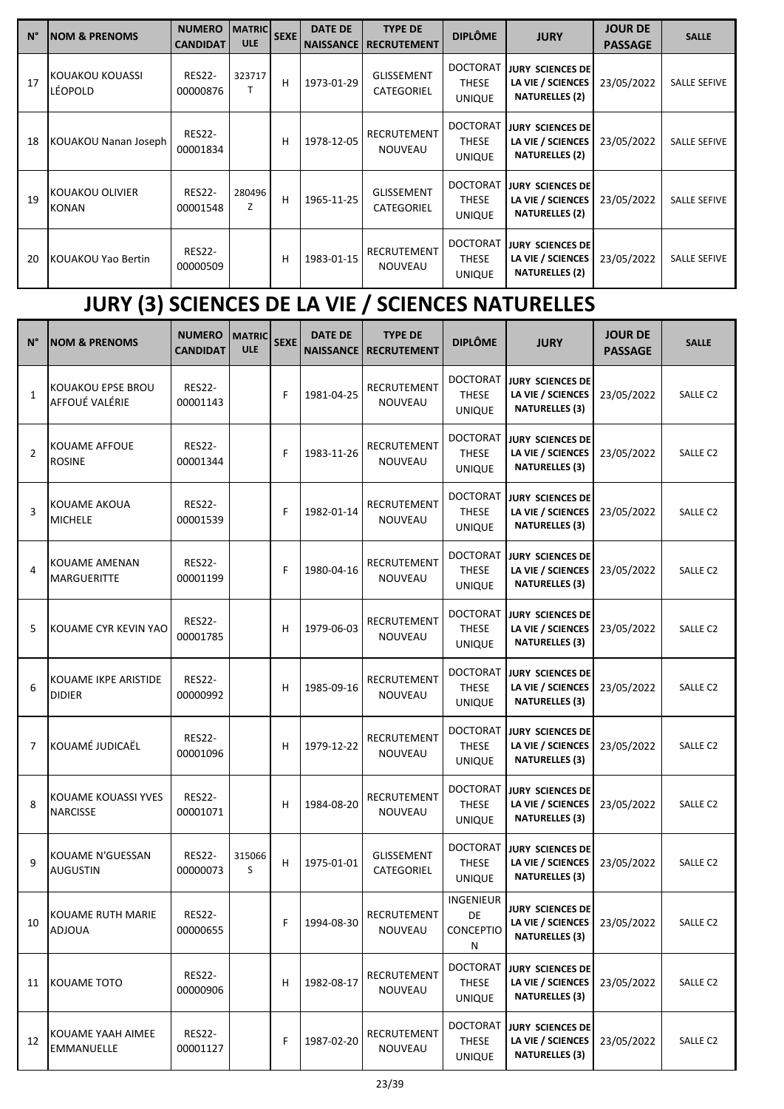| $N^{\circ}$ | <b>NOM &amp; PRENOMS</b>        | <b>NUMERO</b><br><b>CANDIDAT</b> | <b>MATRIC</b><br><b>ULE</b> | <b>SEXE</b> | <b>DATE DE</b><br><b>NAISSANCE</b> | <b>TYPE DE</b><br><b>RECRUTEMENT</b> | <b>DIPLÔME</b>                                   | <b>JURY</b>                                                           | <b>JOUR DE</b><br><b>PASSAGE</b> | <b>SALLE</b>        |
|-------------|---------------------------------|----------------------------------|-----------------------------|-------------|------------------------------------|--------------------------------------|--------------------------------------------------|-----------------------------------------------------------------------|----------------------------------|---------------------|
| 17          | KOUAKOU KOUASSI<br>LÉOPOLD      | <b>RES22-</b><br>00000876        | 323717                      | н           | 1973-01-29                         | <b>GLISSEMENT</b><br>CATEGORIEL      | <b>DOCTORAT</b><br><b>THESE</b><br><b>UNIQUE</b> | <b>JURY SCIENCES DE</b><br>LA VIE / SCIENCES<br><b>NATURELLES (2)</b> | 23/05/2022                       | <b>SALLE SEFIVE</b> |
| 18          | KOUAKOU Nanan Joseph            | <b>RES22-</b><br>00001834        |                             | н           | 1978-12-05                         | <b>RECRUTEMENT</b><br><b>NOUVEAU</b> | <b>DOCTORAT</b><br><b>THESE</b><br><b>UNIQUE</b> | <b>JURY SCIENCES DE</b><br>LA VIE / SCIENCES<br><b>NATURELLES (2)</b> | 23/05/2022                       | <b>SALLE SEFIVE</b> |
| 19          | KOUAKOU OLIVIER<br><b>KONAN</b> | <b>RES22-</b><br>00001548        | 280496<br>Z                 | H           | 1965-11-25                         | <b>GLISSEMENT</b><br>CATEGORIEL      | <b>DOCTORAT</b><br><b>THESE</b><br><b>UNIQUE</b> | <b>JURY SCIENCES DE</b><br>LA VIE / SCIENCES<br><b>NATURELLES (2)</b> | 23/05/2022                       | <b>SALLE SEFIVE</b> |
| 20          | <b>KOUAKOU Yao Bertin</b>       | <b>RES22-</b><br>00000509        |                             | н           | 1983-01-15                         | <b>RECRUTEMENT</b><br><b>NOUVEAU</b> | <b>DOCTORAT</b><br><b>THESE</b><br><b>UNIQUE</b> | <b>JURY SCIENCES DE</b><br>LA VIE / SCIENCES<br><b>NATURELLES (2)</b> | 23/05/2022                       | <b>SALLE SEFIVE</b> |

# **JURY (3) SCIENCES DE LA VIE / SCIENCES NATURELLES**

| $N^{\circ}$    | <b>NOM &amp; PRENOMS</b>               | <b>NUMERO</b><br><b>CANDIDAT</b> | <b>MATRIC</b><br><b>ULE</b> | <b>SEXE</b> | <b>DATE DE</b><br><b>NAISSANCE</b> | <b>TYPE DE</b><br><b>RECRUTEMENT</b> | <b>DIPLÔME</b>                                   | <b>JURY</b>                                                           | <b>JOUR DE</b><br><b>PASSAGE</b> | <b>SALLE</b> |
|----------------|----------------------------------------|----------------------------------|-----------------------------|-------------|------------------------------------|--------------------------------------|--------------------------------------------------|-----------------------------------------------------------------------|----------------------------------|--------------|
| $\mathbf{1}$   | KOUAKOU EPSE BROU<br>AFFOUÉ VALÉRIE    | <b>RES22-</b><br>00001143        |                             | F           | 1981-04-25                         | RECRUTEMENT<br>NOUVEAU               | <b>DOCTORAT</b><br><b>THESE</b><br><b>UNIQUE</b> | <b>JURY SCIENCES DE</b><br>LA VIE / SCIENCES<br><b>NATURELLES (3)</b> | 23/05/2022                       | SALLE C2     |
| $\overline{2}$ | KOUAME AFFOUE<br><b>ROSINE</b>         | <b>RES22-</b><br>00001344        |                             | F           | 1983-11-26                         | RECRUTEMENT<br><b>NOUVEAU</b>        | <b>DOCTORAT</b><br><b>THESE</b><br><b>UNIQUE</b> | <b>JURY SCIENCES DE</b><br>LA VIE / SCIENCES<br><b>NATURELLES (3)</b> | 23/05/2022                       | SALLE C2     |
| 3              | KOUAME AKOUA<br><b>MICHELE</b>         | <b>RES22-</b><br>00001539        |                             | F           | 1982-01-14                         | <b>RECRUTEMENT</b><br>NOUVEAU        | <b>DOCTORAT</b><br>THESE<br><b>UNIQUE</b>        | <b>JURY SCIENCES DE</b><br>LA VIE / SCIENCES<br><b>NATURELLES (3)</b> | 23/05/2022                       | SALLE C2     |
| 4              | KOUAME AMENAN<br><b>MARGUERITTE</b>    | <b>RES22-</b><br>00001199        |                             | F           | 1980-04-16                         | RECRUTEMENT<br>NOUVEAU               | <b>DOCTORAT</b><br><b>THESE</b><br><b>UNIQUE</b> | <b>JURY SCIENCES DE</b><br>LA VIE / SCIENCES<br><b>NATURELLES (3)</b> | 23/05/2022                       | SALLE C2     |
| 5              | KOUAME CYR KEVIN YAO                   | <b>RES22-</b><br>00001785        |                             | н           | 1979-06-03                         | RECRUTEMENT<br>NOUVEAU               | <b>DOCTORAT</b><br><b>THESE</b><br>UNIQUE        | <b>JURY SCIENCES DE</b><br>LA VIE / SCIENCES<br><b>NATURELLES (3)</b> | 23/05/2022                       | SALLE C2     |
| 6              | KOUAME IKPE ARISTIDE<br><b>DIDIER</b>  | <b>RES22-</b><br>00000992        |                             | н           | 1985-09-16                         | RECRUTEMENT<br>NOUVEAU               | <b>DOCTORAT</b><br><b>THESE</b><br><b>UNIQUE</b> | JURY SCIENCES DE<br>LA VIE / SCIENCES<br><b>NATURELLES (3)</b>        | 23/05/2022                       | SALLE C2     |
| $\overline{7}$ | KOUAMÉ JUDICAËL                        | <b>RES22-</b><br>00001096        |                             | н           | 1979-12-22                         | RECRUTEMENT<br>NOUVEAU               | <b>DOCTORAT</b><br><b>THESE</b><br><b>UNIQUE</b> | <b>JURY SCIENCES DE</b><br>LA VIE / SCIENCES<br><b>NATURELLES (3)</b> | 23/05/2022                       | SALLE C2     |
| 8              | KOUAME KOUASSI YVES<br><b>NARCISSE</b> | <b>RES22-</b><br>00001071        |                             | н           | 1984-08-20                         | RECRUTEMENT<br>NOUVEAU               | <b>DOCTORAT</b><br><b>THESE</b><br><b>UNIQUE</b> | JURY SCIENCES DE<br>LA VIE / SCIENCES<br><b>NATURELLES (3)</b>        | 23/05/2022                       | SALLE C2     |
| 9              | KOUAME N'GUESSAN<br><b>AUGUSTIN</b>    | <b>RES22-</b><br>00000073        | 315066<br>S                 | н           | 1975-01-01                         | GLISSEMENT<br>CATEGORIEL             | <b>DOCTORAT</b><br><b>THESE</b><br><b>UNIQUE</b> | <b>JURY SCIENCES DE</b><br>LA VIE / SCIENCES<br><b>NATURELLES (3)</b> | 23/05/2022                       | SALLE C2     |
| 10             | KOUAME RUTH MARIE<br>ADJOUA            | <b>RES22-</b><br>00000655        |                             | F           | 1994-08-30                         | RECRUTEMENT<br>NOUVEAU               | <b>INGENIEUR</b><br>DE<br>CONCEPTIO<br>Ν         | JURY SCIENCES DE<br>LA VIE / SCIENCES<br><b>NATURELLES (3)</b>        | 23/05/2022                       | SALLE C2     |
| 11             | KOUAME TOTO                            | <b>RES22-</b><br>00000906        |                             | н           | 1982-08-17                         | RECRUTEMENT<br>NOUVEAU               | <b>DOCTORAT</b><br><b>THESE</b><br><b>UNIQUE</b> | <b>JURY SCIENCES DE</b><br>LA VIE / SCIENCES<br><b>NATURELLES (3)</b> | 23/05/2022                       | SALLE C2     |
| 12             | KOUAME YAAH AIMEE<br>EMMANUELLE        | <b>RES22-</b><br>00001127        |                             | F           | 1987-02-20                         | RECRUTEMENT<br>NOUVEAU               | <b>DOCTORAT</b><br><b>THESE</b><br><b>UNIQUE</b> | <b>JURY SCIENCES DE</b><br>LA VIE / SCIENCES<br><b>NATURELLES (3)</b> | 23/05/2022                       | SALLE C2     |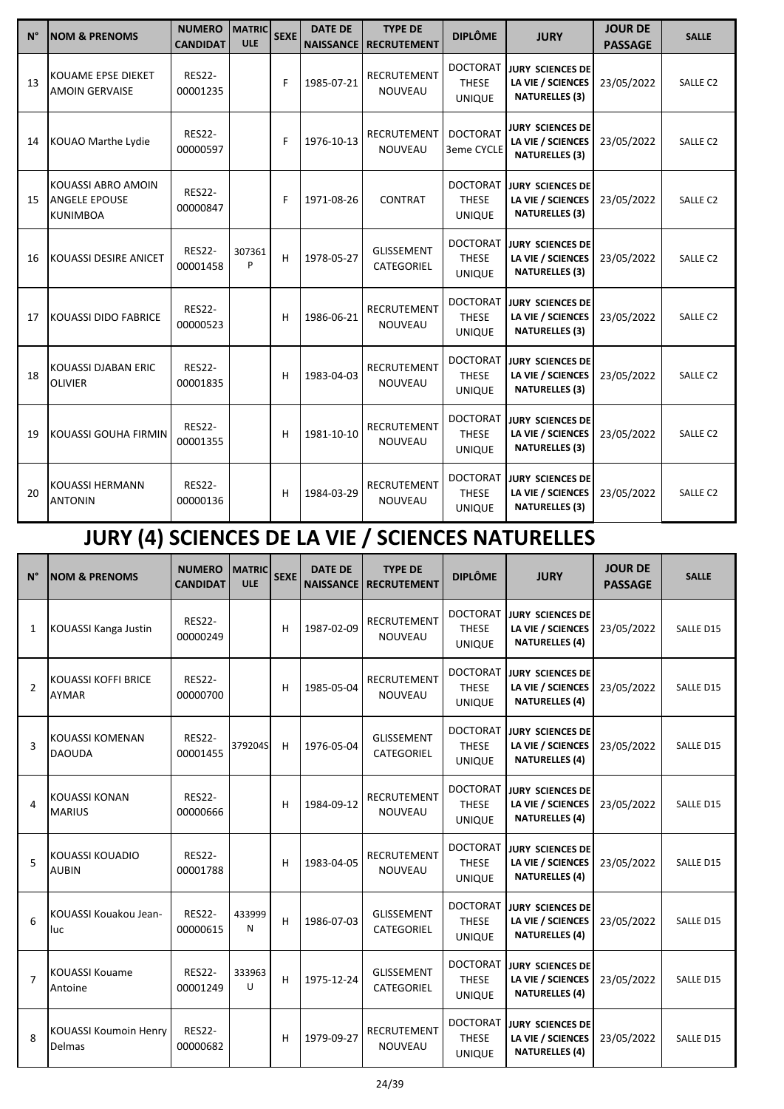| $N^{\circ}$ | <b>NOM &amp; PRENOMS</b>                                      | <b>NUMERO</b><br><b>CANDIDAT</b> | <b>MATRIC</b><br><b>ULE</b> | <b>SEXE</b> | <b>DATE DE</b><br><b>NAISSANCE</b> | <b>TYPE DE</b><br><b>RECRUTEMENT</b> | <b>DIPLÔME</b>                                   | <b>JURY</b>                                                           | <b>JOUR DE</b><br><b>PASSAGE</b> | <b>SALLE</b>        |
|-------------|---------------------------------------------------------------|----------------------------------|-----------------------------|-------------|------------------------------------|--------------------------------------|--------------------------------------------------|-----------------------------------------------------------------------|----------------------------------|---------------------|
| 13          | KOUAME EPSE DIEKET<br><b>AMOIN GERVAISE</b>                   | <b>RES22-</b><br>00001235        |                             | F           | 1985-07-21                         | <b>RECRUTEMENT</b><br><b>NOUVEAU</b> | <b>DOCTORAT</b><br><b>THESE</b><br><b>UNIQUE</b> | JURY SCIENCES DE<br>LA VIE / SCIENCES<br><b>NATURELLES (3)</b>        | 23/05/2022                       | SALLE C2            |
| 14          | KOUAO Marthe Lydie                                            | <b>RES22-</b><br>00000597        |                             | F           | 1976-10-13                         | <b>RECRUTEMENT</b><br><b>NOUVEAU</b> | <b>DOCTORAT</b><br>3eme CYCLE                    | <b>JURY SCIENCES DE</b><br>LA VIE / SCIENCES<br><b>NATURELLES (3)</b> | 23/05/2022                       | SALLE <sub>C2</sub> |
| 15          | KOUASSI ABRO AMOIN<br><b>ANGELE EPOUSE</b><br><b>KUNIMBOA</b> | <b>RES22-</b><br>00000847        |                             | F           | 1971-08-26                         | <b>CONTRAT</b>                       | <b>DOCTORAT</b><br><b>THESE</b><br><b>UNIQUE</b> | JURY SCIENCES DE<br>LA VIE / SCIENCES<br><b>NATURELLES (3)</b>        | 23/05/2022                       | SALLE <sub>C2</sub> |
| 16          | <b>KOUASSI DESIRE ANICET</b>                                  | <b>RES22-</b><br>00001458        | 307361<br>P                 | H           | 1978-05-27                         | <b>GLISSEMENT</b><br>CATEGORIEL      | <b>DOCTORAT</b><br><b>THESE</b><br><b>UNIQUE</b> | <b>JURY SCIENCES DE</b><br>LA VIE / SCIENCES<br><b>NATURELLES (3)</b> | 23/05/2022                       | SALLE <sub>C2</sub> |
| 17          | <b>KOUASSI DIDO FABRICE</b>                                   | <b>RES22-</b><br>00000523        |                             | н           | 1986-06-21                         | <b>RECRUTEMENT</b><br><b>NOUVEAU</b> | <b>DOCTORAT</b><br><b>THESE</b><br><b>UNIQUE</b> | <b>JURY SCIENCES DE</b><br>LA VIE / SCIENCES<br><b>NATURELLES (3)</b> | 23/05/2022                       | SALLE <sub>C2</sub> |
| 18          | KOUASSI DJABAN ERIC<br><b>OLIVIER</b>                         | <b>RES22-</b><br>00001835        |                             | н           | 1983-04-03                         | <b>RECRUTEMENT</b><br><b>NOUVEAU</b> | <b>DOCTORAT</b><br><b>THESE</b><br><b>UNIQUE</b> | <b>JURY SCIENCES DE</b><br>LA VIE / SCIENCES<br><b>NATURELLES (3)</b> | 23/05/2022                       | SALLE <sub>C2</sub> |
| 19          | <b>KOUASSI GOUHA FIRMIN</b>                                   | <b>RES22-</b><br>00001355        |                             | н           | 1981-10-10                         | <b>RECRUTEMENT</b><br><b>NOUVEAU</b> | <b>DOCTORAT</b><br><b>THESE</b><br><b>UNIQUE</b> | <b>JURY SCIENCES DE</b><br>LA VIE / SCIENCES<br><b>NATURELLES (3)</b> | 23/05/2022                       | SALLE <sub>C2</sub> |
| 20          | <b>KOUASSI HERMANN</b><br><b>ANTONIN</b>                      | <b>RES22-</b><br>00000136        |                             | н           | 1984-03-29                         | <b>RECRUTEMENT</b><br><b>NOUVEAU</b> | <b>DOCTORAT</b><br><b>THESE</b><br><b>UNIQUE</b> | <b>JURY SCIENCES DE</b><br>LA VIE / SCIENCES<br><b>NATURELLES (3)</b> | 23/05/2022                       | SALLE <sub>C2</sub> |

# **JURY (4) SCIENCES DE LA VIE / SCIENCES NATURELLES**

| $N^{\circ}$    | <b>NOM &amp; PRENOMS</b>                   | <b>NUMERO</b><br><b>CANDIDAT</b> | <b>MATRIC</b><br><b>ULE</b> | <b>SEXE</b> | <b>DATE DE</b><br><b>NAISSANCE</b> | <b>TYPE DE</b><br><b>RECRUTEMENT</b> | <b>DIPLÔME</b>                                   | <b>JURY</b>                                                           | <b>JOUR DE</b><br><b>PASSAGE</b> | <b>SALLE</b>     |
|----------------|--------------------------------------------|----------------------------------|-----------------------------|-------------|------------------------------------|--------------------------------------|--------------------------------------------------|-----------------------------------------------------------------------|----------------------------------|------------------|
| $\mathbf{1}$   | KOUASSI Kanga Justin                       | <b>RES22-</b><br>00000249        |                             | н           | 1987-02-09                         | <b>RECRUTEMENT</b><br><b>NOUVEAU</b> | <b>DOCTORAT</b><br><b>THESE</b><br><b>UNIQUE</b> | <b>JURY SCIENCES DE</b><br>LA VIE / SCIENCES<br><b>NATURELLES (4)</b> | 23/05/2022                       | SALLE D15        |
| $\overline{2}$ | <b>KOUASSI KOFFI BRICE</b><br><b>AYMAR</b> | <b>RES22-</b><br>00000700        |                             | н           | 1985-05-04                         | <b>RECRUTEMENT</b><br><b>NOUVEAU</b> | <b>DOCTORAT</b><br><b>THESE</b><br><b>UNIQUE</b> | <b>JURY SCIENCES DE</b><br>LA VIE / SCIENCES<br><b>NATURELLES (4)</b> | 23/05/2022                       | SALLE D15        |
| 3              | <b>KOUASSI KOMENAN</b><br><b>DAOUDA</b>    | <b>RES22-</b><br>00001455        | 379204S                     | н           | 1976-05-04                         | <b>GLISSEMENT</b><br>CATEGORIEL      | <b>DOCTORAT</b><br><b>THESE</b><br><b>UNIQUE</b> | JURY SCIENCES DE<br>LA VIE / SCIENCES<br><b>NATURELLES (4)</b>        | 23/05/2022                       | SALLE D15        |
| 4              | <b>KOUASSI KONAN</b><br><b>MARIUS</b>      | <b>RES22-</b><br>00000666        |                             | н           | 1984-09-12                         | <b>RECRUTEMENT</b><br><b>NOUVEAU</b> | <b>DOCTORAT</b><br><b>THESE</b><br><b>UNIQUE</b> | <b>JURY SCIENCES DE</b><br>LA VIE / SCIENCES<br><b>NATURELLES (4)</b> | 23/05/2022                       | SALLE D15        |
| 5              | <b>KOUASSI KOUADIO</b><br><b>AUBIN</b>     | <b>RES22-</b><br>00001788        |                             | н           | 1983-04-05                         | <b>RECRUTEMENT</b><br><b>NOUVEAU</b> | <b>DOCTORAT</b><br><b>THESE</b><br><b>UNIQUE</b> | <b>JURY SCIENCES DE</b><br>LA VIE / SCIENCES<br><b>NATURELLES (4)</b> | 23/05/2022                       | SALLE D15        |
| 6              | KOUASSI Kouakou Jean-<br>luc               | <b>RES22-</b><br>00000615        | 433999<br>N                 | н           | 1986-07-03                         | <b>GLISSEMENT</b><br>CATEGORIEL      | <b>DOCTORAT</b><br><b>THESE</b><br><b>UNIQUE</b> | <b>JURY SCIENCES DE</b><br>LA VIE / SCIENCES<br><b>NATURELLES (4)</b> | 23/05/2022                       | SALLE D15        |
| $\overline{7}$ | <b>KOUASSI Kouame</b><br>Antoine           | <b>RES22-</b><br>00001249        | 333963<br>U                 | H           | 1975-12-24                         | <b>GLISSEMENT</b><br>CATEGORIEL      | <b>DOCTORAT</b><br><b>THESE</b><br><b>UNIQUE</b> | JURY SCIENCES DE<br>LA VIE / SCIENCES<br><b>NATURELLES (4)</b>        | 23/05/2022                       | SALLE D15        |
| 8              | <b>KOUASSI Koumoin Henry</b><br>Delmas     | <b>RES22-</b><br>00000682        |                             | н           | 1979-09-27                         | <b>RECRUTEMENT</b><br><b>NOUVEAU</b> | <b>DOCTORAT</b><br><b>THESE</b><br><b>UNIQUE</b> | <b>JURY SCIENCES DE</b><br>LA VIE / SCIENCES<br><b>NATURELLES (4)</b> | 23/05/2022                       | <b>SALLE D15</b> |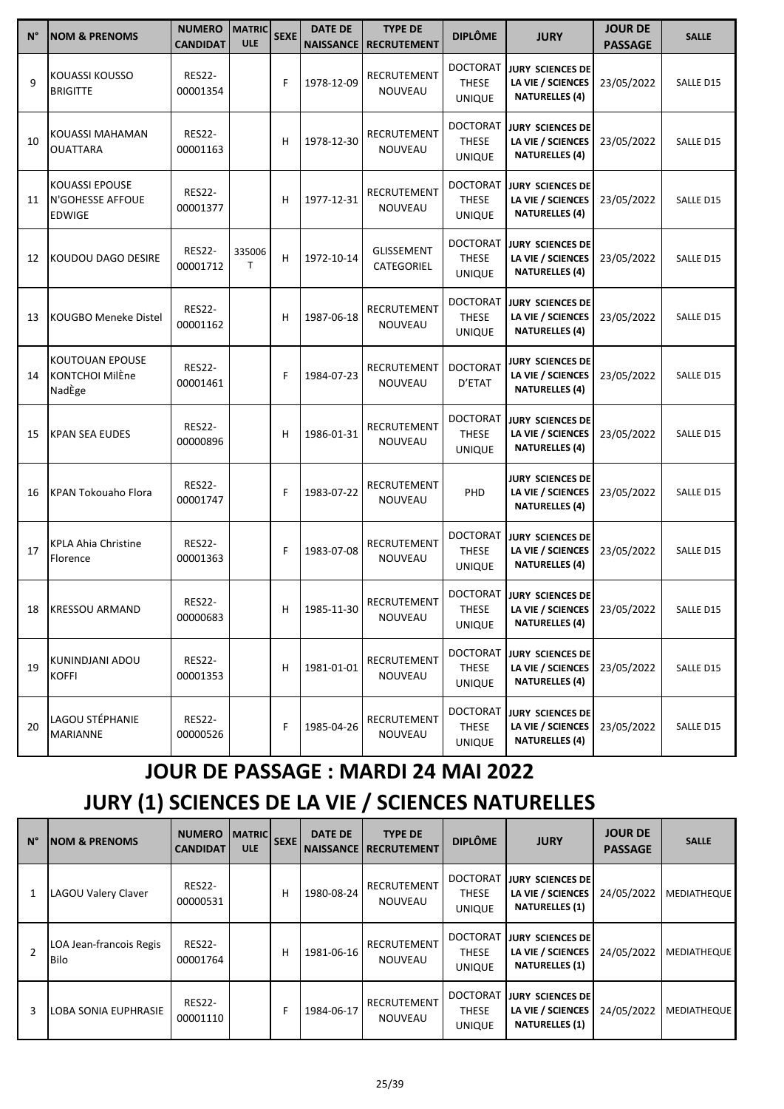| $N^{\circ}$ | <b>NOM &amp; PRENOMS</b>                                   | <b>NUMERO</b><br><b>CANDIDAT</b> | <b>MATRIC</b><br><b>ULE</b> | <b>SEXE</b> | <b>DATE DE</b><br><b>NAISSANCE</b> | <b>TYPE DE</b><br><b>RECRUTEMENT</b> | <b>DIPLÔME</b>                                   | <b>JURY</b>                                                           | <b>JOUR DE</b><br><b>PASSAGE</b> | <b>SALLE</b> |
|-------------|------------------------------------------------------------|----------------------------------|-----------------------------|-------------|------------------------------------|--------------------------------------|--------------------------------------------------|-----------------------------------------------------------------------|----------------------------------|--------------|
| 9           | KOUASSI KOUSSO<br><b>BRIGITTE</b>                          | <b>RES22-</b><br>00001354        |                             | F           | 1978-12-09                         | RECRUTEMENT<br>NOUVEAU               | <b>DOCTORAT</b><br><b>THESE</b><br><b>UNIQUE</b> | <b>JURY SCIENCES DE</b><br>LA VIE / SCIENCES<br><b>NATURELLES (4)</b> | 23/05/2022                       | SALLE D15    |
| 10          | KOUASSI MAHAMAN<br><b>OUATTARA</b>                         | <b>RES22-</b><br>00001163        |                             | н           | 1978-12-30                         | RECRUTEMENT<br><b>NOUVEAU</b>        | <b>DOCTORAT</b><br><b>THESE</b><br><b>UNIQUE</b> | <b>JURY SCIENCES DE</b><br>LA VIE / SCIENCES<br><b>NATURELLES (4)</b> | 23/05/2022                       | SALLE D15    |
| 11          | <b>KOUASSI EPOUSE</b><br>N'GOHESSE AFFOUE<br><b>EDWIGE</b> | <b>RES22-</b><br>00001377        |                             | н           | 1977-12-31                         | <b>RECRUTEMENT</b><br>NOUVEAU        | <b>DOCTORAT</b><br><b>THESE</b><br><b>UNIQUE</b> | <b>JURY SCIENCES DE</b><br>LA VIE / SCIENCES<br><b>NATURELLES (4)</b> | 23/05/2022                       | SALLE D15    |
| 12          | KOUDOU DAGO DESIRE                                         | <b>RES22-</b><br>00001712        | 335006<br>$\mathsf{T}$      | H           | 1972-10-14                         | <b>GLISSEMENT</b><br>CATEGORIEL      | <b>DOCTORAT</b><br><b>THESE</b><br><b>UNIQUE</b> | <b>JURY SCIENCES DE</b><br>LA VIE / SCIENCES<br><b>NATURELLES (4)</b> | 23/05/2022                       | SALLE D15    |
| 13          | <b>KOUGBO Meneke Distel</b>                                | <b>RES22-</b><br>00001162        |                             | н           | 1987-06-18                         | RECRUTEMENT<br>NOUVEAU               | <b>DOCTORAT</b><br><b>THESE</b><br><b>UNIQUE</b> | <b>JURY SCIENCES DE</b><br>LA VIE / SCIENCES<br><b>NATURELLES (4)</b> | 23/05/2022                       | SALLE D15    |
| 14          | <b>KOUTOUAN EPOUSE</b><br>KONTCHOI MilÈne<br>NadEge        | <b>RES22-</b><br>00001461        |                             | F           | 1984-07-23                         | RECRUTEMENT<br>NOUVEAU               | <b>DOCTORAT</b><br>D'ETAT                        | JURY SCIENCES DE<br>LA VIE / SCIENCES<br><b>NATURELLES (4)</b>        | 23/05/2022                       | SALLE D15    |
| 15          | <b>KPAN SEA EUDES</b>                                      | <b>RES22-</b><br>00000896        |                             | н           | 1986-01-31                         | RECRUTEMENT<br>NOUVEAU               | <b>DOCTORAT</b><br><b>THESE</b><br><b>UNIQUE</b> | <b>JURY SCIENCES DE</b><br>LA VIE / SCIENCES<br><b>NATURELLES (4)</b> | 23/05/2022                       | SALLE D15    |
| 16          | <b>KPAN Tokouaho Flora</b>                                 | <b>RES22-</b><br>00001747        |                             | F           | 1983-07-22                         | RECRUTEMENT<br><b>NOUVEAU</b>        | PHD                                              | JURY SCIENCES DE<br>LA VIE / SCIENCES<br><b>NATURELLES (4)</b>        | 23/05/2022                       | SALLE D15    |
| 17          | <b>KPLA Ahia Christine</b><br>Florence                     | <b>RES22-</b><br>00001363        |                             | F           | 1983-07-08                         | RECRUTEMENT<br>NOUVEAU               | <b>DOCTORAT</b><br><b>THESE</b><br><b>UNIQUE</b> | <b>JURY SCIENCES DE</b><br>LA VIE / SCIENCES<br><b>NATURELLES (4)</b> | 23/05/2022                       | SALLE D15    |
| 18          | KRESSOU ARMAND                                             | <b>RES22-</b><br>00000683        |                             | H,          | 1985-11-30                         | RECRUTEMENT<br>NOUVEAU               | <b>DOCTORAT</b><br><b>THESE</b><br><b>UNIQUE</b> | <b>JURY SCIENCES DE</b><br>LA VIE / SCIENCES<br><b>NATURELLES (4)</b> | 23/05/2022                       | SALLE D15    |
| 19          | KUNINDJANI ADOU<br><b>KOFFI</b>                            | <b>RES22-</b><br>00001353        |                             | н           | 1981-01-01                         | RECRUTEMENT<br>NOUVEAU               | <b>DOCTORAT</b><br>THESE<br><b>UNIQUE</b>        | <b>JURY SCIENCES DE</b><br>LA VIE / SCIENCES<br><b>NATURELLES (4)</b> | 23/05/2022                       | SALLE D15    |
| 20          | LAGOU STÉPHANIE<br>MARIANNE                                | RES22-<br>00000526               |                             | F           | 1985-04-26                         | RECRUTEMENT<br>NOUVEAU               | DOCTORAT<br>THESE<br><b>UNIQUE</b>               | <b>JURY SCIENCES DE</b><br>LA VIE / SCIENCES<br><b>NATURELLES (4)</b> | 23/05/2022                       | SALLE D15    |

## **JOUR DE PASSAGE : MARDI 24 MAI 2022**

## **JURY (1) SCIENCES DE LA VIE / SCIENCES NATURELLES**

| $N^{\circ}$    | <b>NOM &amp; PRENOMS</b>               | <b>NUMERO</b><br><b>CANDIDAT</b> | <b>MATRIC</b><br><b>ULE</b> | <b>SEXE</b> | <b>DATE DE</b><br><b>NAISSANCE</b> | <b>TYPE DE</b><br><b>RECRUTEMENT</b> | <b>DIPLÔME</b>                                   | <b>JURY</b>                                                     | <b>JOUR DE</b><br><b>PASSAGE</b> | <b>SALLE</b>       |
|----------------|----------------------------------------|----------------------------------|-----------------------------|-------------|------------------------------------|--------------------------------------|--------------------------------------------------|-----------------------------------------------------------------|----------------------------------|--------------------|
| 1              | LAGOU Valery Claver                    | <b>RES22-</b><br>00000531        |                             | н           | 1980-08-24                         | <b>RECRUTEMENT</b><br><b>NOUVEAU</b> | <b>DOCTORAT</b><br><b>THESE</b><br><b>UNIQUE</b> | JURY SCIENCES DE<br>LA VIE / SCIENCES<br><b>NATURELLES (1)</b>  | 24/05/2022                       | <b>MEDIATHEQUE</b> |
| $\overline{2}$ | LOA Jean-francois Regis<br><b>Bilo</b> | <b>RES22-</b><br>00001764        |                             | н           | 1981-06-16                         | RECRUTEMENT<br><b>NOUVEAU</b>        | <b>DOCTORAT</b><br><b>THESE</b><br><b>UNIQUE</b> | JURY SCIENCES DEI<br>LA VIE / SCIENCES<br><b>NATURELLES (1)</b> | 24/05/2022                       | <b>MEDIATHEQUE</b> |
| 3              | <b>LOBA SONIA EUPHRASIE</b>            | <b>RES22-</b><br>00001110        |                             |             | 1984-06-17                         | RECRUTEMENT<br><b>NOUVEAU</b>        | <b>DOCTORAT</b><br><b>THESE</b><br><b>UNIQUE</b> | JURY SCIENCES DE<br>LA VIE / SCIENCES<br><b>NATURELLES (1)</b>  | 24/05/2022                       | <b>MEDIATHEQUE</b> |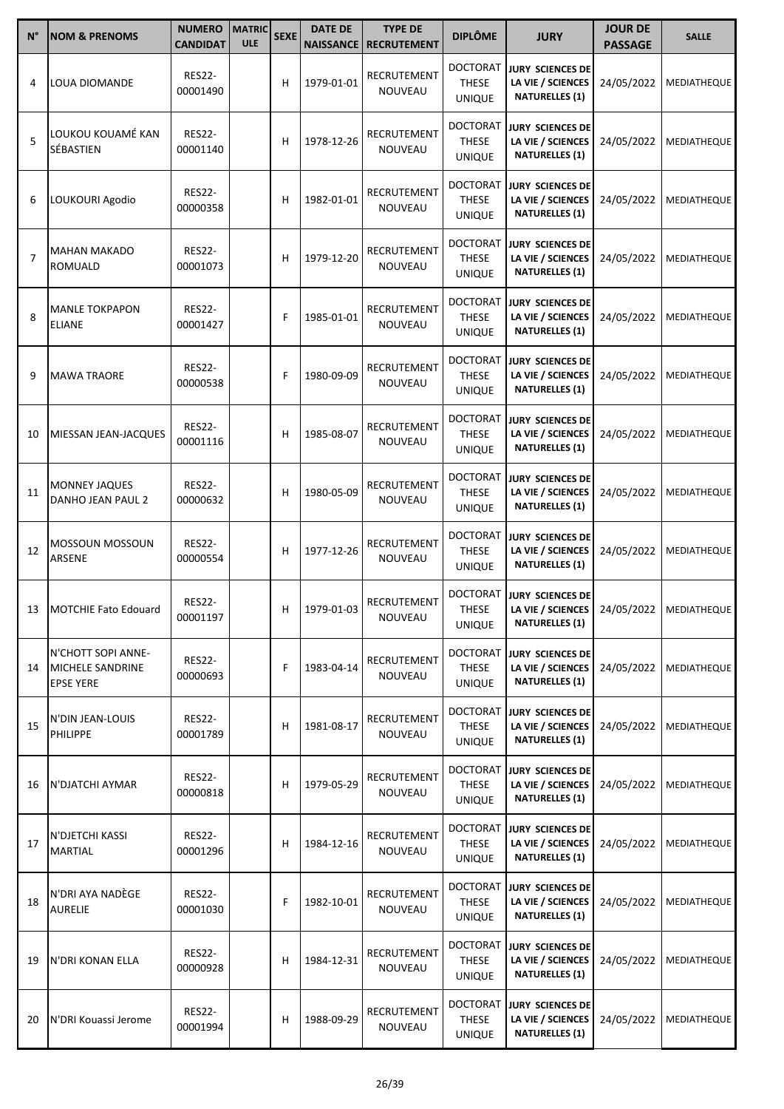| $N^{\circ}$    | <b>NOM &amp; PRENOMS</b>                                   | <b>NUMERO</b><br><b>CANDIDAT</b> | <b>MATRIC</b><br><b>ULE</b> | <b>SEXE</b> | <b>DATE DE</b><br><b>NAISSANCE</b> | <b>TYPE DE</b><br><b>RECRUTEMENT</b> | <b>DIPLÔME</b>                                   | <b>JURY</b>                                                                                      | <b>JOUR DE</b><br><b>PASSAGE</b> | <b>SALLE</b>       |
|----------------|------------------------------------------------------------|----------------------------------|-----------------------------|-------------|------------------------------------|--------------------------------------|--------------------------------------------------|--------------------------------------------------------------------------------------------------|----------------------------------|--------------------|
| 4              | LOUA DIOMANDE                                              | <b>RES22-</b><br>00001490        |                             | н           | 1979-01-01                         | RECRUTEMENT<br>NOUVEAU               | <b>DOCTORAT</b><br><b>THESE</b><br><b>UNIQUE</b> | <b>JURY SCIENCES DE</b><br>LA VIE / SCIENCES<br><b>NATURELLES (1)</b>                            | 24/05/2022                       | MEDIATHEQUE        |
| 5              | LOUKOU KOUAMÉ KAN<br>SÉBASTIEN                             | <b>RES22-</b><br>00001140        |                             | н           | 1978-12-26                         | RECRUTEMENT<br><b>NOUVEAU</b>        | <b>DOCTORAT</b><br><b>THESE</b><br><b>UNIQUE</b> | <b>JURY SCIENCES DE</b><br>LA VIE / SCIENCES<br><b>NATURELLES (1)</b>                            | 24/05/2022                       | MEDIATHEQUE        |
| 6              | LOUKOURI Agodio                                            | <b>RES22-</b><br>00000358        |                             | н           | 1982-01-01                         | RECRUTEMENT<br>NOUVEAU               | <b>DOCTORAT</b><br><b>THESE</b><br><b>UNIQUE</b> | <b>JURY SCIENCES DE</b><br>LA VIE / SCIENCES<br><b>NATURELLES (1)</b>                            | 24/05/2022                       | MEDIATHEQUE        |
| $\overline{7}$ | <b>MAHAN MAKADO</b><br>ROMUALD                             | <b>RES22-</b><br>00001073        |                             | н           | 1979-12-20                         | RECRUTEMENT<br>NOUVEAU               | <b>DOCTORAT</b><br><b>THESE</b><br><b>UNIQUE</b> | JURY SCIENCES DE<br>LA VIE / SCIENCES<br><b>NATURELLES (1)</b>                                   | 24/05/2022                       | MEDIATHEQUE        |
| 8              | <b>MANLE TOKPAPON</b><br><b>ELIANE</b>                     | <b>RES22-</b><br>00001427        |                             | F           | 1985-01-01                         | RECRUTEMENT<br><b>NOUVEAU</b>        | <b>DOCTORAT</b><br><b>THESE</b><br><b>UNIQUE</b> | JURY SCIENCES DE<br>LA VIE / SCIENCES<br><b>NATURELLES (1)</b>                                   | 24/05/2022                       | MEDIATHEQUE        |
| 9              | <b>MAWA TRAORE</b>                                         | <b>RES22-</b><br>00000538        |                             | F           | 1980-09-09                         | RECRUTEMENT<br>NOUVEAU               | <b>DOCTORAT</b><br><b>THESE</b><br><b>UNIQUE</b> | <b>JURY SCIENCES DE</b><br>LA VIE / SCIENCES<br><b>NATURELLES (1)</b>                            | 24/05/2022                       | MEDIATHEQUE        |
| 10             | MIESSAN JEAN-JACQUES                                       | <b>RES22-</b><br>00001116        |                             | н           | 1985-08-07                         | RECRUTEMENT<br><b>NOUVEAU</b>        | <b>DOCTORAT</b><br><b>THESE</b><br><b>UNIQUE</b> | <b>JURY SCIENCES DE</b><br>LA VIE / SCIENCES<br><b>NATURELLES (1)</b>                            | 24/05/2022                       | MEDIATHEQUE        |
| 11             | <b>MONNEY JAQUES</b><br>DANHO JEAN PAUL 2                  | <b>RES22-</b><br>00000632        |                             | н           | 1980-05-09                         | RECRUTEMENT<br>NOUVEAU               | <b>DOCTORAT</b><br><b>THESE</b><br><b>UNIQUE</b> | <b>JURY SCIENCES DE</b><br>LA VIE / SCIENCES<br><b>NATURELLES (1)</b>                            | 24/05/2022                       | MEDIATHEQUE        |
| 12             | MOSSOUN MOSSOUN<br>ARSENE                                  | <b>RES22-</b><br>00000554        |                             | н           | 1977-12-26                         | RECRUTEMENT<br><b>NOUVEAU</b>        | <b>DOCTORAT</b><br><b>THESE</b><br><b>UNIQUE</b> | <b>JURY SCIENCES DE</b><br>LA VIE / SCIENCES<br><b>NATURELLES (1)</b>                            | 24/05/2022                       | <b>MEDIATHEQUE</b> |
|                | 13   MOTCHIE Fato Edouard                                  | <b>RES22-</b><br>00001197        |                             | H.          | 1979-01-03                         | RECRUTEMENT<br>NOUVEAU               | <b>DOCTORAT</b><br><b>THESE</b><br><b>UNIQUE</b> | <b>JURY SCIENCES DE</b><br>LA VIE / SCIENCES   24/05/2022   MEDIATHEQUE<br><b>NATURELLES (1)</b> |                                  |                    |
| 14             | N'CHOTT SOPI ANNE-<br>MICHELE SANDRINE<br><b>EPSE YERE</b> | <b>RES22-</b><br>00000693        |                             | F           | 1983-04-14                         | RECRUTEMENT<br>NOUVEAU               | <b>DOCTORAT</b><br><b>THESE</b><br><b>UNIQUE</b> | JURY SCIENCES DE<br>LA VIE / SCIENCES<br><b>NATURELLES (1)</b>                                   | 24/05/2022                       | <b>MEDIATHEQUE</b> |
| 15             | N'DIN JEAN-LOUIS<br>PHILIPPE                               | <b>RES22-</b><br>00001789        |                             | н           | 1981-08-17                         | <b>RECRUTEMENT</b><br><b>NOUVEAU</b> | <b>DOCTORAT</b><br>THESE<br><b>UNIQUE</b>        | <b>JURY SCIENCES DE</b><br>LA VIE / SCIENCES<br><b>NATURELLES (1)</b>                            | 24/05/2022                       | <b>MEDIATHEQUE</b> |
| 16             | N'DJATCHI AYMAR                                            | <b>RES22-</b><br>00000818        |                             | н           | 1979-05-29                         | RECRUTEMENT<br>NOUVEAU               | <b>DOCTORAT</b><br><b>THESE</b><br><b>UNIQUE</b> | JURY SCIENCES DE<br>LA VIE / SCIENCES<br><b>NATURELLES (1)</b>                                   | 24/05/2022                       | <b>MEDIATHEQUE</b> |
| 17             | N'DJETCHI KASSI<br><b>MARTIAL</b>                          | <b>RES22-</b><br>00001296        |                             | н           | 1984-12-16                         | RECRUTEMENT<br>NOUVEAU               | <b>DOCTORAT</b><br>THESE<br><b>UNIQUE</b>        | <b>JURY SCIENCES DE</b><br>LA VIE / SCIENCES<br><b>NATURELLES (1)</b>                            | 24/05/2022                       | <b>MEDIATHEQUE</b> |
| 18             | N'DRI AYA NADÈGE<br><b>AURELIE</b>                         | <b>RES22-</b><br>00001030        |                             | F           | 1982-10-01                         | RECRUTEMENT<br>NOUVEAU               | <b>DOCTORAT</b><br><b>THESE</b><br><b>UNIQUE</b> | JURY SCIENCES DE<br>LA VIE / SCIENCES<br><b>NATURELLES (1)</b>                                   | 24/05/2022                       | MEDIATHEQUE        |
| 19             | N'DRI KONAN ELLA                                           | <b>RES22-</b><br>00000928        |                             | н           | 1984-12-31                         | RECRUTEMENT<br>NOUVEAU               | <b>DOCTORAT</b><br><b>THESE</b><br><b>UNIQUE</b> | JURY SCIENCES DE<br>LA VIE / SCIENCES<br><b>NATURELLES (1)</b>                                   | 24/05/2022                       | MEDIATHEQUE        |
| 20             | N'DRI Kouassi Jerome                                       | <b>RES22-</b><br>00001994        |                             | н           | 1988-09-29                         | RECRUTEMENT<br>NOUVEAU               | <b>DOCTORAT</b><br><b>THESE</b><br><b>UNIQUE</b> | JURY SCIENCES DE<br>LA VIE / SCIENCES<br><b>NATURELLES (1)</b>                                   | 24/05/2022                       | MEDIATHEQUE        |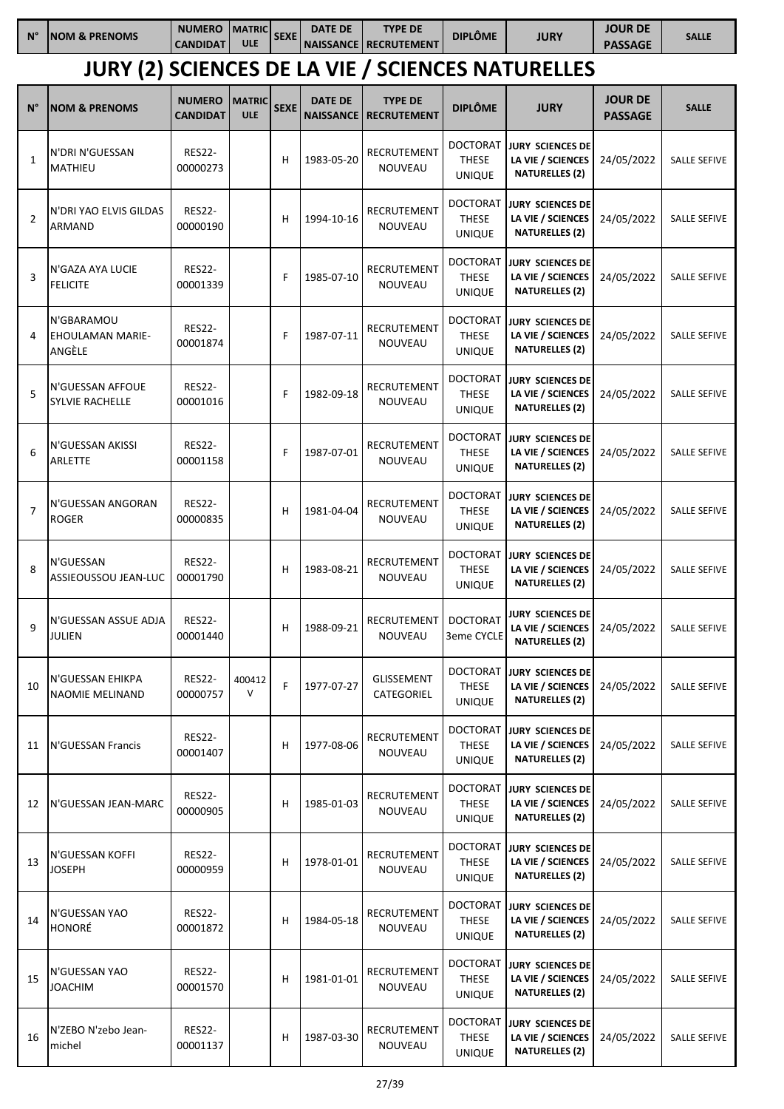| $N^{\circ}$    | <b>NOM &amp; PRENOMS</b>                        | <b>NUMERO</b><br><b>CANDIDAT</b> | <b>MATRIC</b><br><b>ULE</b> | <b>SEXE</b> | <b>DATE DE</b>                     | <b>TYPE DE</b><br><b>NAISSANCE   RECRUTEMENT</b> | <b>DIPLÔME</b>                                   | <b>JURY</b>                                                           | <b>JOUR DE</b><br><b>PASSAGE</b> | <b>SALLE</b>        |
|----------------|-------------------------------------------------|----------------------------------|-----------------------------|-------------|------------------------------------|--------------------------------------------------|--------------------------------------------------|-----------------------------------------------------------------------|----------------------------------|---------------------|
|                |                                                 |                                  |                             |             |                                    |                                                  |                                                  | <b>JURY (2) SCIENCES DE LA VIE / SCIENCES NATURELLES</b>              |                                  |                     |
| $N^{\circ}$    | <b>NOM &amp; PRENOMS</b>                        | <b>NUMERO</b><br><b>CANDIDAT</b> | <b>MATRIC</b><br><b>ULE</b> | <b>SEXE</b> | <b>DATE DE</b><br><b>NAISSANCE</b> | <b>TYPE DE</b><br><b>RECRUTEMENT</b>             | <b>DIPLÔME</b>                                   | <b>JURY</b>                                                           | <b>JOUR DE</b><br><b>PASSAGE</b> | <b>SALLE</b>        |
| $\mathbf{1}$   | N'DRI N'GUESSAN<br><b>MATHIEU</b>               | <b>RES22-</b><br>00000273        |                             | н           | 1983-05-20                         | RECRUTEMENT<br><b>NOUVEAU</b>                    | <b>DOCTORAT</b><br><b>THESE</b><br><b>UNIQUE</b> | <b>JURY SCIENCES DE</b><br>LA VIE / SCIENCES<br><b>NATURELLES (2)</b> | 24/05/2022                       | <b>SALLE SEFIVE</b> |
| 2              | N'DRI YAO ELVIS GILDAS<br>ARMAND                | <b>RES22-</b><br>00000190        |                             | н           | 1994-10-16                         | RECRUTEMENT<br><b>NOUVEAU</b>                    | <b>DOCTORAT</b><br><b>THESE</b><br><b>UNIQUE</b> | <b>JURY SCIENCES DE</b><br>LA VIE / SCIENCES<br><b>NATURELLES (2)</b> | 24/05/2022                       | <b>SALLE SEFIVE</b> |
| 3              | N'GAZA AYA LUCIE<br><b>FELICITE</b>             | <b>RES22-</b><br>00001339        |                             | F           | 1985-07-10                         | RECRUTEMENT<br><b>NOUVEAU</b>                    | <b>DOCTORAT</b><br><b>THESE</b><br><b>UNIQUE</b> | <b>JURY SCIENCES DE</b><br>LA VIE / SCIENCES<br><b>NATURELLES (2)</b> | 24/05/2022                       | <b>SALLE SEFIVE</b> |
| 4              | N'GBARAMOU<br><b>EHOULAMAN MARIE-</b><br>ANGÈLE | <b>RES22-</b><br>00001874        |                             | F           | 1987-07-11                         | RECRUTEMENT<br><b>NOUVEAU</b>                    | <b>DOCTORAT</b><br><b>THESE</b><br><b>UNIQUE</b> | <b>JURY SCIENCES DE</b><br>LA VIE / SCIENCES<br><b>NATURELLES (2)</b> | 24/05/2022                       | <b>SALLE SEFIVE</b> |
| 5              | N'GUESSAN AFFOUE<br><b>SYLVIE RACHELLE</b>      | <b>RES22-</b><br>00001016        |                             | F           | 1982-09-18                         | RECRUTEMENT<br><b>NOUVEAU</b>                    | <b>DOCTORAT</b><br><b>THESE</b><br><b>UNIQUE</b> | <b>JURY SCIENCES DE</b><br>LA VIE / SCIENCES<br><b>NATURELLES (2)</b> | 24/05/2022                       | <b>SALLE SEFIVE</b> |
| 6              | N'GUESSAN AKISSI<br>ARLETTE                     | <b>RES22-</b><br>00001158        |                             | F           | 1987-07-01                         | RECRUTEMENT<br><b>NOUVEAU</b>                    | <b>DOCTORAT</b><br><b>THESE</b><br><b>UNIQUE</b> | <b>JURY SCIENCES DE</b><br>LA VIE / SCIENCES<br><b>NATURELLES (2)</b> | 24/05/2022                       | <b>SALLE SEFIVE</b> |
| $\overline{7}$ | N'GUESSAN ANGORAN<br><b>ROGER</b>               | <b>RES22-</b><br>00000835        |                             | н           | 1981-04-04                         | RECRUTEMENT<br>NOUVEAU                           | <b>DOCTORAT</b><br><b>THESE</b><br><b>UNIQUE</b> | <b>JURY SCIENCES DE</b><br>LA VIE / SCIENCES<br><b>NATURELLES (2)</b> | 24/05/2022                       | <b>SALLE SEFIVE</b> |
| 8              | N'GUESSAN<br>ASSIEOUSSOU JEAN-LUC               | <b>RES22-</b><br>00001790        |                             | Н           | 1983-08-21                         | RECRUTEMENT<br>NOUVEAU                           | <b>DOCTORAT</b><br><b>THESE</b><br>UNIQUE        | JURY SCIENCES DE<br>LA VIE / SCIENCES<br><b>NATURELLES (2)</b>        | 24/05/2022                       | <b>SALLE SEFIVE</b> |
| 9              | N'GUESSAN ASSUE ADJA<br><b>JULIEN</b>           | <b>RES22-</b><br>00001440        |                             | н           | 1988-09-21                         | RECRUTEMENT<br>NOUVEAU                           | <b>DOCTORAT</b><br>3eme CYCLE                    | <b>JURY SCIENCES DE</b><br>LA VIE / SCIENCES<br><b>NATURELLES (2)</b> | 24/05/2022                       | <b>SALLE SEFIVE</b> |
| 10             | N'GUESSAN EHIKPA<br>NAOMIE MELINAND             | <b>RES22-</b><br>00000757        | 400412<br>$\vee$            | F           | 1977-07-27                         | <b>GLISSEMENT</b><br>CATEGORIEL                  | <b>DOCTORAT</b><br><b>THESE</b><br><b>UNIQUE</b> | JURY SCIENCES DE<br>LA VIE / SCIENCES<br><b>NATURELLES (2)</b>        | 24/05/2022                       | <b>SALLE SEFIVE</b> |
| 11             | N'GUESSAN Francis                               | <b>RES22-</b><br>00001407        |                             | н           | 1977-08-06                         | RECRUTEMENT<br>NOUVEAU                           | <b>DOCTORAT</b><br><b>THESE</b><br><b>UNIQUE</b> | <b>JURY SCIENCES DE</b><br>LA VIE / SCIENCES<br><b>NATURELLES (2)</b> | 24/05/2022                       | SALLE SEFIVE        |
| 12             | N'GUESSAN JEAN-MARC                             | <b>RES22-</b><br>00000905        |                             | н           | 1985-01-03                         | RECRUTEMENT<br>NOUVEAU                           | <b>DOCTORAT</b><br><b>THESE</b><br><b>UNIQUE</b> | <b>JURY SCIENCES DE</b><br>LA VIE / SCIENCES<br><b>NATURELLES (2)</b> | 24/05/2022                       | SALLE SEFIVE        |
| 13             | N'GUESSAN KOFFI<br><b>JOSEPH</b>                | <b>RES22-</b><br>00000959        |                             | н           | 1978-01-01                         | RECRUTEMENT<br>NOUVEAU                           | <b>DOCTORAT</b><br><b>THESE</b><br><b>UNIQUE</b> | <b>JURY SCIENCES DE</b><br>LA VIE / SCIENCES<br><b>NATURELLES (2)</b> | 24/05/2022                       | SALLE SEFIVE        |
| 14             | N'GUESSAN YAO<br>HONORÉ                         | <b>RES22-</b><br>00001872        |                             | н           | 1984-05-18                         | RECRUTEMENT<br>NOUVEAU                           | <b>DOCTORAT</b><br><b>THESE</b><br><b>UNIQUE</b> | JURY SCIENCES DE<br>LA VIE / SCIENCES<br><b>NATURELLES (2)</b>        | 24/05/2022                       | <b>SALLE SEFIVE</b> |
| 15             | N'GUESSAN YAO<br><b>JOACHIM</b>                 | <b>RES22-</b><br>00001570        |                             | н           | 1981-01-01                         | RECRUTEMENT<br>NOUVEAU                           | <b>DOCTORAT</b><br><b>THESE</b><br><b>UNIQUE</b> | <b>JURY SCIENCES DE</b><br>LA VIE / SCIENCES<br><b>NATURELLES (2)</b> | 24/05/2022                       | <b>SALLE SEFIVE</b> |
| 16             | N'ZEBO N'zebo Jean-<br>michel                   | <b>RES22-</b><br>00001137        |                             | н           | 1987-03-30                         | RECRUTEMENT<br>NOUVEAU                           | <b>DOCTORAT</b><br>THESE<br><b>UNIQUE</b>        | <b>JURY SCIENCES DE</b><br>LA VIE / SCIENCES<br><b>NATURELLES (2)</b> | 24/05/2022                       | SALLE SEFIVE        |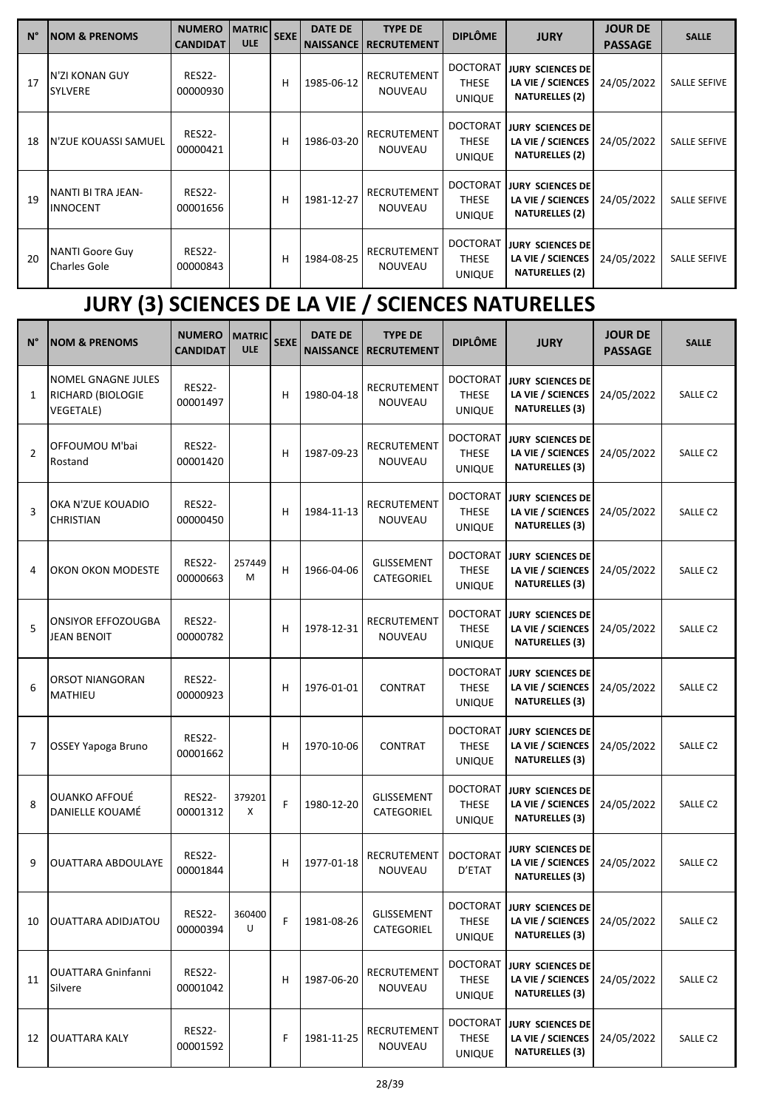| $N^{\circ}$ | <b>INOM &amp; PRENOMS</b>              | <b>NUMERO</b><br><b>CANDIDAT</b> | <b>MATRIC</b><br><b>ULE</b> | <b>SEXE</b> | <b>DATE DE</b><br><b>NAISSANCE</b> | <b>TYPE DE</b><br><b>RECRUTEMENT</b> | <b>DIPLÔME</b>                                   | <b>JURY</b>                                                           | <b>JOUR DE</b><br><b>PASSAGE</b> | <b>SALLE</b>        |
|-------------|----------------------------------------|----------------------------------|-----------------------------|-------------|------------------------------------|--------------------------------------|--------------------------------------------------|-----------------------------------------------------------------------|----------------------------------|---------------------|
| 17          | N'ZI KONAN GUY<br><b>SYLVERE</b>       | <b>RES22-</b><br>00000930        |                             | н           | 1985-06-12                         | <b>RECRUTEMENT</b><br><b>NOUVEAU</b> | <b>DOCTORAT</b><br><b>THESE</b><br><b>UNIQUE</b> | <b>JURY SCIENCES DE</b><br>LA VIE / SCIENCES<br><b>NATURELLES (2)</b> | 24/05/2022                       | <b>SALLE SEFIVE</b> |
| 18          | N'ZUE KOUASSI SAMUEL                   | <b>RES22-</b><br>00000421        |                             | н           | 1986-03-20                         | <b>RECRUTEMENT</b><br><b>NOUVEAU</b> | <b>DOCTORAT</b><br><b>THESE</b><br><b>UNIQUE</b> | <b>JURY SCIENCES DE</b><br>LA VIE / SCIENCES<br><b>NATURELLES (2)</b> | 24/05/2022                       | <b>SALLE SEFIVE</b> |
| 19          | NANTI BI TRA JEAN-<br>INNOCENT         | <b>RES22-</b><br>00001656        |                             | н           | 1981-12-27                         | RECRUTEMENT<br><b>NOUVEAU</b>        | <b>DOCTORAT</b><br><b>THESE</b><br><b>UNIQUE</b> | <b>JURY SCIENCES DE</b><br>LA VIE / SCIENCES<br><b>NATURELLES (2)</b> | 24/05/2022                       | <b>SALLE SEFIVE</b> |
| 20          | <b>NANTI Goore Guy</b><br>Charles Gole | <b>RES22-</b><br>00000843        |                             | н           | 1984-08-25                         | <b>RECRUTEMENT</b><br><b>NOUVEAU</b> | <b>DOCTORAT</b><br><b>THESE</b><br><b>UNIQUE</b> | <b>JURY SCIENCES DE</b><br>LA VIE / SCIENCES<br><b>NATURELLES (2)</b> | 24/05/2022                       | <b>SALLE SEFIVE</b> |

# **JURY (3) SCIENCES DE LA VIE / SCIENCES NATURELLES**

| $N^{\circ}$    | <b>NOM &amp; PRENOMS</b>                                           | <b>NUMERO</b><br><b>CANDIDAT</b> | <b>MATRIC</b><br><b>ULE</b> | <b>SEXE</b> | <b>DATE DE</b><br><b>NAISSANCE</b> | <b>TYPE DE</b><br><b>RECRUTEMENT</b> | <b>DIPLÔME</b>                                   | <b>JURY</b>                                                           | <b>JOUR DE</b><br><b>PASSAGE</b> | <b>SALLE</b>        |
|----------------|--------------------------------------------------------------------|----------------------------------|-----------------------------|-------------|------------------------------------|--------------------------------------|--------------------------------------------------|-----------------------------------------------------------------------|----------------------------------|---------------------|
| 1              | <b>NOMEL GNAGNE JULES</b><br>RICHARD (BIOLOGIE<br><b>VEGETALE)</b> | <b>RES22-</b><br>00001497        |                             | н           | 1980-04-18                         | RECRUTEMENT<br>NOUVEAU               | <b>DOCTORAT</b><br><b>THESE</b><br><b>UNIQUE</b> | <b>JURY SCIENCES DE</b><br>LA VIE / SCIENCES<br><b>NATURELLES (3)</b> | 24/05/2022                       | SALLE C2            |
| $\overline{2}$ | OFFOUMOU M'bai<br>Rostand                                          | <b>RES22-</b><br>00001420        |                             | н           | 1987-09-23                         | RECRUTEMENT<br><b>NOUVEAU</b>        | <b>DOCTORAT</b><br><b>THESE</b><br><b>UNIQUE</b> | <b>JURY SCIENCES DE</b><br>LA VIE / SCIENCES<br><b>NATURELLES (3)</b> | 24/05/2022                       | SALLE C2            |
| 3              | OKA N'ZUE KOUADIO<br><b>CHRISTIAN</b>                              | <b>RES22-</b><br>00000450        |                             | н           | 1984-11-13                         | <b>RECRUTEMENT</b><br><b>NOUVEAU</b> | <b>DOCTORAT</b><br><b>THESE</b><br><b>UNIQUE</b> | <b>JURY SCIENCES DE</b><br>LA VIE / SCIENCES<br><b>NATURELLES (3)</b> | 24/05/2022                       | SALLE <sub>C2</sub> |
| 4              | OKON OKON MODESTE                                                  | <b>RES22-</b><br>00000663        | 257449<br>M                 | н           | 1966-04-06                         | GLISSEMENT<br>CATEGORIEL             | <b>DOCTORAT</b><br><b>THESE</b><br><b>UNIQUE</b> | <b>JURY SCIENCES DE</b><br>LA VIE / SCIENCES<br><b>NATURELLES (3)</b> | 24/05/2022                       | SALLE C2            |
| 5              | <b>ONSIYOR EFFOZOUGBA</b><br><b>JEAN BENOIT</b>                    | <b>RES22-</b><br>00000782        |                             | н           | 1978-12-31                         | RECRUTEMENT<br>NOUVEAU               | <b>DOCTORAT</b><br><b>THESE</b><br><b>UNIQUE</b> | <b>JURY SCIENCES DE</b><br>LA VIE / SCIENCES<br><b>NATURELLES (3)</b> | 24/05/2022                       | SALLE C2            |
| 6              | ORSOT NIANGORAN<br><b>MATHIEU</b>                                  | <b>RES22-</b><br>00000923        |                             | н           | 1976-01-01                         | <b>CONTRAT</b>                       | <b>DOCTORAT</b><br><b>THESE</b><br><b>UNIQUE</b> | <b>JURY SCIENCES DE</b><br>LA VIE / SCIENCES<br><b>NATURELLES (3)</b> | 24/05/2022                       | SALLE C2            |
| 7              | OSSEY Yapoga Bruno                                                 | <b>RES22-</b><br>00001662        |                             | н           | 1970-10-06                         | CONTRAT                              | <b>DOCTORAT</b><br><b>THESE</b><br><b>UNIQUE</b> | <b>JURY SCIENCES DE</b><br>LA VIE / SCIENCES<br><b>NATURELLES (3)</b> | 24/05/2022                       | SALLE C2            |
| 8              | OUANKO AFFOUË<br>DANIELLE KOUAMÉ                                   | <b>RES22-</b><br>00001312        | 379201<br>X                 | F           | 1980-12-20                         | <b>GLISSEMENT</b><br>CATEGORIEL      | <b>DOCTORAT</b><br><b>THESE</b><br>UNIQUE        | <b>JURY SCIENCES DE</b><br>LA VIE / SCIENCES<br><b>NATURELLES (3)</b> | 24/05/2022                       | SALLE C2            |
| 9              | <b>OUATTARA ABDOULAYE</b>                                          | <b>RES22-</b><br>00001844        |                             | н           | 1977-01-18                         | RECRUTEMENT<br>NOUVEAU               | <b>DOCTORAT</b><br>D'ETAT                        | <b>JURY SCIENCES DE</b><br>LA VIE / SCIENCES<br><b>NATURELLES (3)</b> | 24/05/2022                       | <b>SALLE C2</b>     |
| 10             | OUATTARA ADIDJATOU                                                 | RES22-<br>00000394               | 360400<br>U                 | F           | 1981-08-26                         | GLISSEMENT<br>CATEGORIEL             | <b>DOCTORAT</b><br><b>THESE</b><br><b>UNIQUE</b> | JURY SCIENCES DE<br>LA VIE / SCIENCES<br><b>NATURELLES (3)</b>        | 24/05/2022                       | SALLE C2            |
| 11             | <b>OUATTARA Gninfanni</b><br>Silvere                               | <b>RES22-</b><br>00001042        |                             | н           | 1987-06-20                         | RECRUTEMENT<br>NOUVEAU               | <b>DOCTORAT</b><br>THESE<br><b>UNIQUE</b>        | <b>JURY SCIENCES DE</b><br>LA VIE / SCIENCES<br><b>NATURELLES (3)</b> | 24/05/2022                       | SALLE C2            |
| 12             | <b>OUATTARA KALY</b>                                               | <b>RES22-</b><br>00001592        |                             | F           | 1981-11-25                         | RECRUTEMENT<br><b>NOUVEAU</b>        | <b>DOCTORAT</b><br><b>THESE</b><br><b>UNIQUE</b> | <b>JURY SCIENCES DE</b><br>LA VIE / SCIENCES<br><b>NATURELLES (3)</b> | 24/05/2022                       | SALLE C2            |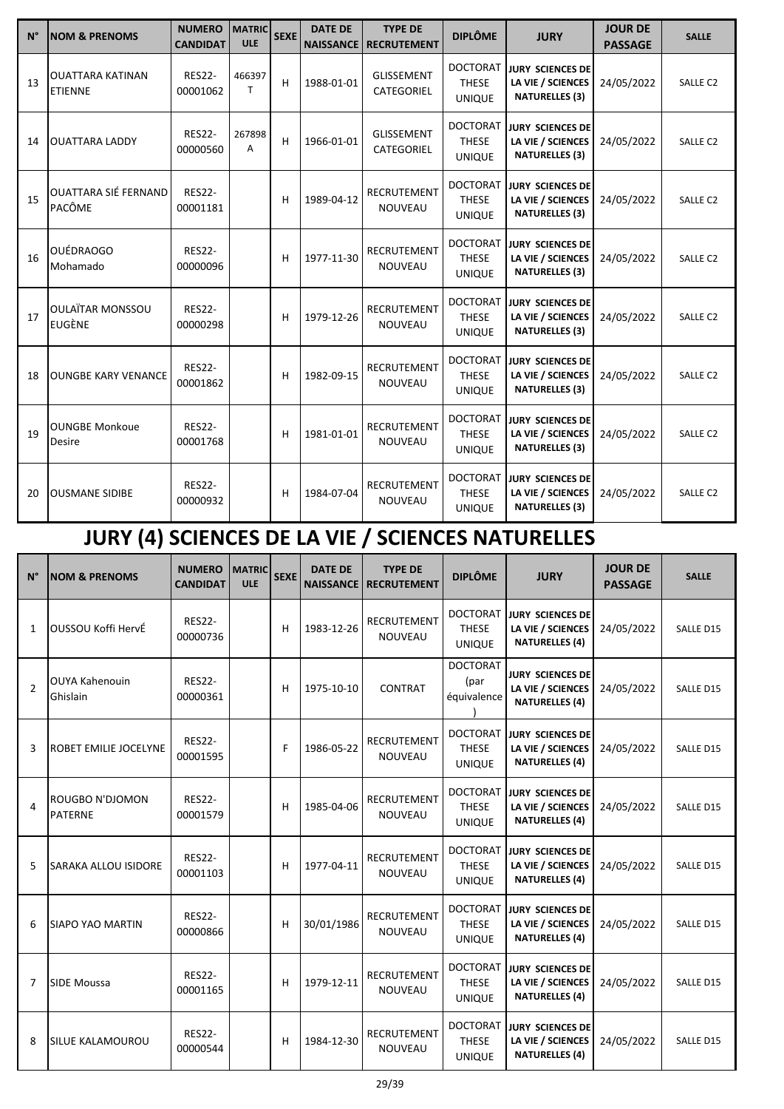| $N^{\circ}$ | <b>NOM &amp; PRENOMS</b>                  | <b>NUMERO</b><br><b>CANDIDAT</b> | <b>MATRIC</b><br><b>ULE</b> | <b>SEXE</b> | <b>DATE DE</b><br><b>NAISSANCE</b> | <b>TYPE DE</b><br><b>RECRUTEMENT</b> | <b>DIPLÔME</b>                                   | <b>JURY</b>                                                           | <b>JOUR DE</b><br><b>PASSAGE</b> | <b>SALLE</b>        |
|-------------|-------------------------------------------|----------------------------------|-----------------------------|-------------|------------------------------------|--------------------------------------|--------------------------------------------------|-----------------------------------------------------------------------|----------------------------------|---------------------|
| 13          | <b>OUATTARA KATINAN</b><br><b>ETIENNE</b> | <b>RES22-</b><br>00001062        | 466397<br>T.                | н           | 1988-01-01                         | <b>GLISSEMENT</b><br>CATEGORIEL      | <b>DOCTORAT</b><br><b>THESE</b><br><b>UNIQUE</b> | <b>JURY SCIENCES DE</b><br>LA VIE / SCIENCES<br><b>NATURELLES (3)</b> | 24/05/2022                       | SALLE <sub>C2</sub> |
| 14          | <b>OUATTARA LADDY</b>                     | <b>RES22-</b><br>00000560        | 267898<br>A                 | H           | 1966-01-01                         | <b>GLISSEMENT</b><br>CATEGORIEL      | <b>DOCTORAT</b><br><b>THESE</b><br><b>UNIQUE</b> | <b>JURY SCIENCES DE</b><br>LA VIE / SCIENCES<br><b>NATURELLES (3)</b> | 24/05/2022                       | SALLE <sub>C2</sub> |
| 15          | <b>OUATTARA SIÉ FERNAND</b><br>PACÔME     | <b>RES22-</b><br>00001181        |                             | н           | 1989-04-12                         | <b>RECRUTEMENT</b><br><b>NOUVEAU</b> | <b>DOCTORAT</b><br><b>THESE</b><br><b>UNIQUE</b> | JURY SCIENCES DE<br>LA VIE / SCIENCES<br><b>NATURELLES (3)</b>        | 24/05/2022                       | SALLE <sub>C2</sub> |
| 16          | <b>OUÉDRAOGO</b><br>Mohamado              | <b>RES22-</b><br>00000096        |                             | H           | 1977-11-30                         | <b>RECRUTEMENT</b><br><b>NOUVEAU</b> | <b>DOCTORAT</b><br><b>THESE</b><br><b>UNIQUE</b> | <b>JURY SCIENCES DE</b><br>LA VIE / SCIENCES<br><b>NATURELLES (3)</b> | 24/05/2022                       | SALLE C2            |
| 17          | <b>OULAÏTAR MONSSOU</b><br><b>EUGÈNE</b>  | <b>RES22-</b><br>00000298        |                             | н           | 1979-12-26                         | <b>RECRUTEMENT</b><br><b>NOUVEAU</b> | <b>DOCTORAT</b><br><b>THESE</b><br><b>UNIQUE</b> | <b>JURY SCIENCES DE</b><br>LA VIE / SCIENCES<br><b>NATURELLES (3)</b> | 24/05/2022                       | SALLE <sub>C2</sub> |
| 18          | <b>OUNGBE KARY VENANCE</b>                | <b>RES22-</b><br>00001862        |                             | н           | 1982-09-15                         | <b>RECRUTEMENT</b><br><b>NOUVEAU</b> | <b>DOCTORAT</b><br><b>THESE</b><br><b>UNIQUE</b> | JURY SCIENCES DE<br>LA VIE / SCIENCES<br><b>NATURELLES (3)</b>        | 24/05/2022                       | SALLE <sub>C2</sub> |
| 19          | <b>OUNGBE Monkoue</b><br>Desire           | <b>RES22-</b><br>00001768        |                             | Н           | 1981-01-01                         | <b>RECRUTEMENT</b><br><b>NOUVEAU</b> | <b>DOCTORAT</b><br><b>THESE</b><br><b>UNIQUE</b> | <b>JURY SCIENCES DE</b><br>LA VIE / SCIENCES<br><b>NATURELLES (3)</b> | 24/05/2022                       | SALLE C2            |
| 20          | <b>OUSMANE SIDIBE</b>                     | <b>RES22-</b><br>00000932        |                             | н           | 1984-07-04                         | <b>RECRUTEMENT</b><br><b>NOUVEAU</b> | <b>DOCTORAT</b><br><b>THESE</b><br><b>UNIQUE</b> | <b>JURY SCIENCES DE</b><br>LA VIE / SCIENCES<br><b>NATURELLES (3)</b> | 24/05/2022                       | SALLE <sub>C2</sub> |

# **JURY (4) SCIENCES DE LA VIE / SCIENCES NATURELLES**

| $N^{\circ}$    | <b>NOM &amp; PRENOMS</b>                 | <b>NUMERO</b><br><b>CANDIDAT</b> | <b>MATRIC</b><br><b>ULE</b> | <b>SEXE</b> | <b>DATE DE</b><br><b>NAISSANCE</b> | <b>TYPE DE</b><br><b>RECRUTEMENT</b> | <b>DIPLÔME</b>                                   | <b>JURY</b>                                                           | <b>JOUR DE</b><br><b>PASSAGE</b> | <b>SALLE</b>     |
|----------------|------------------------------------------|----------------------------------|-----------------------------|-------------|------------------------------------|--------------------------------------|--------------------------------------------------|-----------------------------------------------------------------------|----------------------------------|------------------|
| $\mathbf{1}$   | OUSSOU Koffi HervÉ                       | <b>RES22-</b><br>00000736        |                             | н           | 1983-12-26                         | RECRUTEMENT<br><b>NOUVEAU</b>        | <b>DOCTORAT</b><br><b>THESE</b><br><b>UNIQUE</b> | <b>JURY SCIENCES DE</b><br>LA VIE / SCIENCES<br><b>NATURELLES (4)</b> | 24/05/2022                       | SALLE D15        |
| $\mathfrak{p}$ | <b>OUYA Kahenouin</b><br>Ghislain        | <b>RES22-</b><br>00000361        |                             | н           | 1975-10-10                         | <b>CONTRAT</b>                       | <b>DOCTORAT</b><br>(par<br>équivalence           | <b>JURY SCIENCES DE</b><br>LA VIE / SCIENCES<br><b>NATURELLES (4)</b> | 24/05/2022                       | SALLE D15        |
| 3              | <b>ROBET EMILIE JOCELYNE</b>             | <b>RES22-</b><br>00001595        |                             | F           | 1986-05-22                         | <b>RECRUTEMENT</b><br><b>NOUVEAU</b> | <b>DOCTORAT</b><br><b>THESE</b><br><b>UNIQUE</b> | <b>JURY SCIENCES DE</b><br>LA VIE / SCIENCES<br><b>NATURELLES (4)</b> | 24/05/2022                       | SALLE D15        |
| 4              | <b>ROUGBO N'DJOMON</b><br><b>PATERNE</b> | <b>RES22-</b><br>00001579        |                             | н           | 1985-04-06                         | <b>RECRUTEMENT</b><br><b>NOUVEAU</b> | <b>DOCTORAT</b><br><b>THESE</b><br><b>UNIQUE</b> | <b>JURY SCIENCES DE</b><br>LA VIE / SCIENCES<br><b>NATURELLES (4)</b> | 24/05/2022                       | SALLE D15        |
| 5              | <b>SARAKA ALLOU ISIDORE</b>              | <b>RES22-</b><br>00001103        |                             | н           | 1977-04-11                         | <b>RECRUTEMENT</b><br><b>NOUVEAU</b> | <b>DOCTORAT</b><br><b>THESE</b><br><b>UNIQUE</b> | <b>JURY SCIENCES DE</b><br>LA VIE / SCIENCES<br><b>NATURELLES (4)</b> | 24/05/2022                       | SALLE D15        |
| 6              | <b>SIAPO YAO MARTIN</b>                  | <b>RES22-</b><br>00000866        |                             | н           | 30/01/1986                         | <b>RECRUTEMENT</b><br><b>NOUVEAU</b> | <b>DOCTORAT</b><br><b>THESE</b><br><b>UNIQUE</b> | <b>JURY SCIENCES DE</b><br>LA VIE / SCIENCES<br><b>NATURELLES (4)</b> | 24/05/2022                       | <b>SALLE D15</b> |
| $\overline{7}$ | <b>SIDE Moussa</b>                       | <b>RES22-</b><br>00001165        |                             | н           | 1979-12-11                         | RECRUTEMENT<br><b>NOUVEAU</b>        | <b>DOCTORAT</b><br><b>THESE</b><br><b>UNIQUE</b> | <b>JURY SCIENCES DE</b><br>LA VIE / SCIENCES<br><b>NATURELLES (4)</b> | 24/05/2022                       | SALLE D15        |
| 8              | <b>SILUE KALAMOUROU</b>                  | <b>RES22-</b><br>00000544        |                             | н           | 1984-12-30                         | <b>RECRUTEMENT</b><br><b>NOUVEAU</b> | <b>DOCTORAT</b><br><b>THESE</b><br><b>UNIQUE</b> | <b>JURY SCIENCES DE</b><br>LA VIE / SCIENCES<br><b>NATURELLES (4)</b> | 24/05/2022                       | SALLE D15        |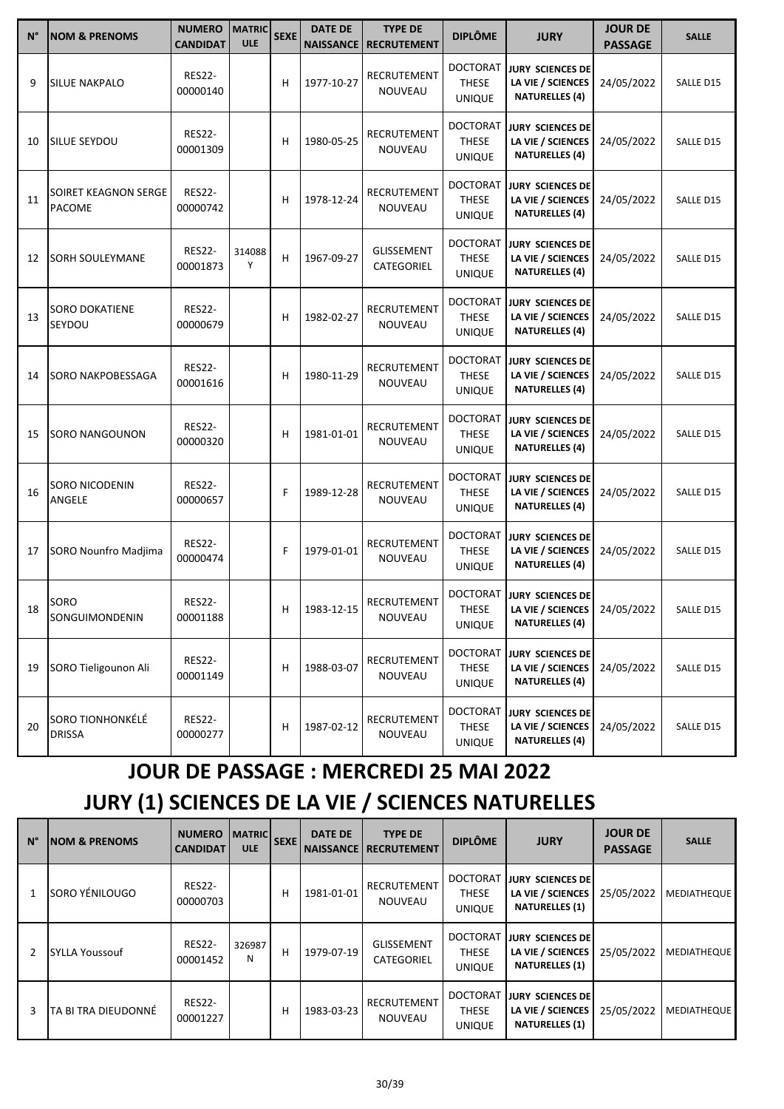| N° | <b>NOM &amp; PRENOMS</b>              | <b>NUMERO</b><br><b>CANDIDAT</b> | <b>MATRIC</b><br><b>ULE</b> | <b>SEXE</b> | <b>DATE DE</b><br><b>NAISSANCE</b> | <b>TYPE DE</b><br><b>RECRUTEMENT</b> | <b>DIPLÔME</b>                                   | <b>JURY</b>                                                           | <b>JOUR DE</b><br><b>PASSAGE</b> | <b>SALLE</b> |
|----|---------------------------------------|----------------------------------|-----------------------------|-------------|------------------------------------|--------------------------------------|--------------------------------------------------|-----------------------------------------------------------------------|----------------------------------|--------------|
| 9  | <b>SILUE NAKPALO</b>                  | <b>RES22-</b><br>00000140        |                             | н           | 1977-10-27                         | RECRUTEMENT<br><b>NOUVEAU</b>        | <b>DOCTORAT</b><br><b>THESE</b><br>UNIQUE        | <b>JURY SCIENCES DE</b><br>LA VIE / SCIENCES<br><b>NATURELLES (4)</b> | 24/05/2022                       | SALLE D15    |
| 10 | SILUE SEYDOU                          | <b>RES22-</b><br>00001309        |                             | н           | 1980-05-25                         | RECRUTEMENT<br><b>NOUVEAU</b>        | <b>DOCTORAT</b><br><b>THESE</b><br><b>UNIQUE</b> | <b>JURY SCIENCES DE</b><br>LA VIE / SCIENCES<br><b>NATURELLES (4)</b> | 24/05/2022                       | SALLE D15    |
| 11 | SOIRET KEAGNON SERGE<br><b>PACOME</b> | <b>RES22-</b><br>00000742        |                             | н           | 1978-12-24                         | RECRUTEMENT<br>NOUVEAU               | <b>DOCTORAT</b><br><b>THESE</b><br><b>UNIQUE</b> | <b>JURY SCIENCES DE</b><br>LA VIE / SCIENCES<br><b>NATURELLES (4)</b> | 24/05/2022                       | SALLE D15    |
| 12 | SORH SOULEYMANE                       | <b>RES22-</b><br>00001873        | 314088<br>Y                 | н           | 1967-09-27                         | <b>GLISSEMENT</b><br>CATEGORIEL      | <b>DOCTORAT</b><br><b>THESE</b><br>UNIQUE        | <b>JURY SCIENCES DE</b><br>LA VIE / SCIENCES<br><b>NATURELLES (4)</b> | 24/05/2022                       | SALLE D15    |
| 13 | SORO DOKATIENE<br>SEYDOU              | <b>RES22-</b><br>00000679        |                             | н           | 1982-02-27                         | RECRUTEMENT<br>NOUVEAU               | <b>DOCTORAT</b><br><b>THESE</b><br><b>UNIQUE</b> | <b>JURY SCIENCES DE</b><br>LA VIE / SCIENCES<br><b>NATURELLES (4)</b> | 24/05/2022                       | SALLE D15    |
| 14 | SORO NAKPOBESSAGA                     | <b>RES22-</b><br>00001616        |                             | н           | 1980-11-29                         | RECRUTEMENT<br><b>NOUVEAU</b>        | <b>DOCTORAT</b><br><b>THESE</b><br><b>UNIQUE</b> | <b>JURY SCIENCES DE</b><br>LA VIE / SCIENCES<br><b>NATURELLES (4)</b> | 24/05/2022                       | SALLE D15    |
| 15 | SORO NANGOUNON                        | <b>RES22-</b><br>00000320        |                             | н           | 1981-01-01                         | RECRUTEMENT<br>NOUVEAU               | <b>DOCTORAT</b><br><b>THESE</b><br><b>UNIQUE</b> | <b>JURY SCIENCES DE</b><br>LA VIE / SCIENCES<br><b>NATURELLES (4)</b> | 24/05/2022                       | SALLE D15    |
| 16 | <b>SORO NICODENIN</b><br>ANGELE       | <b>RES22-</b><br>00000657        |                             | F           | 1989-12-28                         | RECRUTEMENT<br>NOUVEAU               | <b>DOCTORAT</b><br><b>THESE</b><br><b>UNIQUE</b> | <b>JURY SCIENCES DE</b><br>LA VIE / SCIENCES<br><b>NATURELLES (4)</b> | 24/05/2022                       | SALLE D15    |
| 17 | SORO Nounfro Madjima                  | <b>RES22-</b><br>00000474        |                             | F           | 1979-01-01                         | RECRUTEMENT<br><b>NOUVEAU</b>        | <b>DOCTORAT</b><br><b>THESE</b><br>UNIQUE        | <b>JURY SCIENCES DE</b><br>LA VIE / SCIENCES<br><b>NATURELLES (4)</b> | 24/05/2022                       | SALLE D15    |
| 18 | <b>SORO</b><br>SONGUIMONDENIN         | <b>RES22-</b><br>00001188        |                             | н           | 1983-12-15                         | RECRUTEMENT<br>NOUVEAU               | <b>DOCTORAT</b><br>THESE<br><b>UNIQUE</b>        | <b>JURY SCIENCES DE</b><br>LA VIE / SCIENCES<br><b>NATURELLES (4)</b> | 24/05/2022                       | SALLE D15    |
| 19 | SORO Tieligounon Ali                  | <b>RES22-</b><br>00001149        |                             | н           | 1988-03-07                         | RECRUTEMENT<br>NOUVEAU               | <b>DOCTORAT</b><br>THESE<br><b>UNIQUE</b>        | <b>JURY SCIENCES DE</b><br>LA VIE / SCIENCES<br><b>NATURELLES (4)</b> | 24/05/2022                       | SALLE D15    |
| 20 | SORO TIONHONKÉLÉ<br>DRISSA            | <b>RES22-</b><br>00000277        |                             | н           | 1987-02-12                         | RECRUTEMENT<br>NOUVEAU               | <b>DOCTORAT</b><br>THESE<br><b>UNIQUE</b>        | <b>JURY SCIENCES DE</b><br>LA VIE / SCIENCES<br><b>NATURELLES (4)</b> | 24/05/2022                       | SALLE D15    |

## **JOUR DE PASSAGE : MERCREDI 25 MAI 2022**

## **JURY (1) SCIENCES DE LA VIE / SCIENCES NATURELLES**

| $N^{\circ}$ | <b>NOM &amp; PRENOMS</b> | <b>NUMERO</b><br><b>CANDIDAT</b> | <b>MATRIC</b><br><b>ULE</b> | <b>SEXE</b> | <b>DATE DE</b><br><b>NAISSANCE</b> | <b>TYPE DE</b><br><b>RECRUTEMENT</b> | <b>DIPLÔME</b>                                   | <b>JURY</b>                                                           | <b>JOUR DE</b><br><b>PASSAGE</b> | <b>SALLE</b>       |
|-------------|--------------------------|----------------------------------|-----------------------------|-------------|------------------------------------|--------------------------------------|--------------------------------------------------|-----------------------------------------------------------------------|----------------------------------|--------------------|
|             | SORO YÉNILOUGO           | <b>RES22-</b><br>00000703        |                             | н           | 1981-01-01                         | RECRUTEMENT<br><b>NOUVEAU</b>        | <b>DOCTORAT</b><br><b>THESE</b><br><b>UNIQUE</b> | <b>JURY SCIENCES DE</b><br>LA VIE / SCIENCES<br><b>NATURELLES (1)</b> | 25/05/2022                       | <b>MEDIATHEQUE</b> |
| 2           | <b>SYLLA Youssouf</b>    | <b>RES22-</b><br>00001452        | 326987<br>N                 | н           | 1979-07-19                         | <b>GLISSEMENT</b><br>CATEGORIEL      | <b>DOCTORAT</b><br><b>THESE</b><br><b>UNIQUE</b> | <b>JURY SCIENCES DE</b><br>LA VIE / SCIENCES<br><b>NATURELLES (1)</b> | 25/05/2022                       | <b>MEDIATHEQUE</b> |
| 3           | TA BI TRA DIEUDONNÉ      | <b>RES22-</b><br>00001227        |                             | н           | 1983-03-23                         | RECRUTEMENT<br><b>NOUVEAU</b>        | <b>DOCTORAT</b><br><b>THESE</b><br><b>UNIQUE</b> | <b>JURY SCIENCES DE</b><br>LA VIE / SCIENCES<br><b>NATURELLES (1)</b> | 25/05/2022                       | <b>MEDIATHEQUE</b> |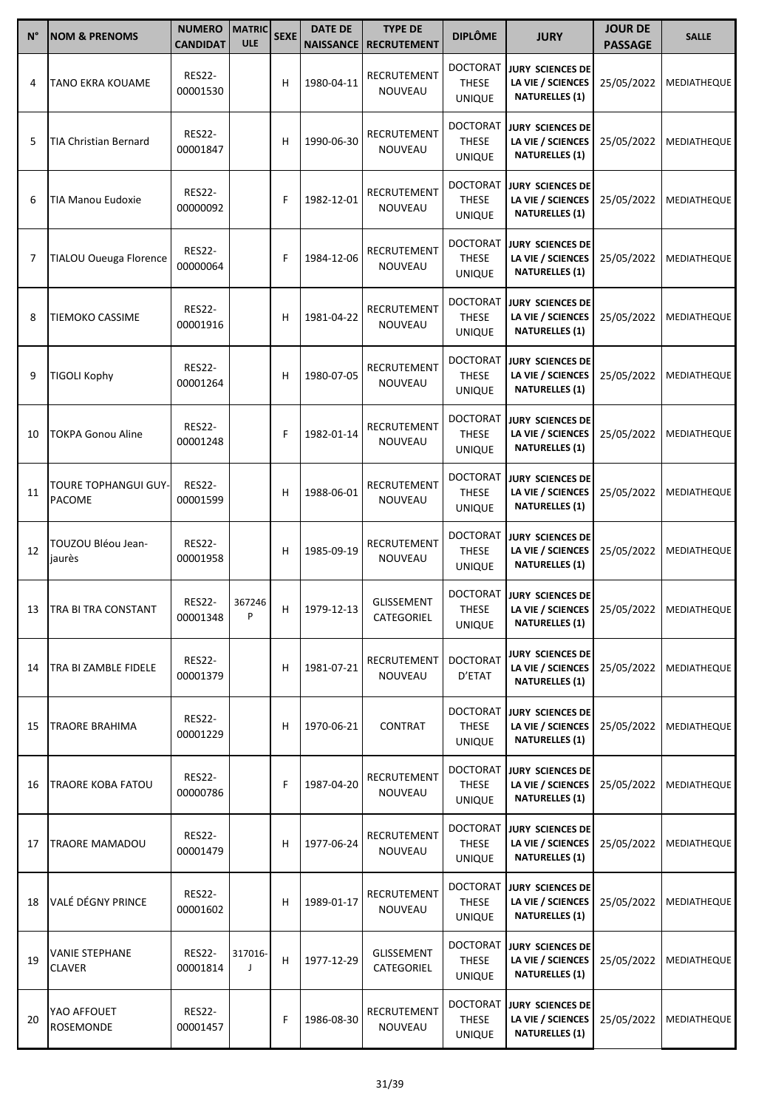| $N^{\circ}$ | <b>NOM &amp; PRENOMS</b>               | <b>NUMERO</b><br><b>CANDIDAT</b> | <b>MATRIC</b><br><b>ULE</b> | <b>SEXE</b> | <b>DATE DE</b><br><b>NAISSANCE</b> | <b>TYPE DE</b><br><b>RECRUTEMENT</b> | <b>DIPLÔME</b>                                   | <b>JURY</b>                                                                                      | <b>JOUR DE</b><br><b>PASSAGE</b> | <b>SALLE</b>       |
|-------------|----------------------------------------|----------------------------------|-----------------------------|-------------|------------------------------------|--------------------------------------|--------------------------------------------------|--------------------------------------------------------------------------------------------------|----------------------------------|--------------------|
| 4           | TANO EKRA KOUAME                       | <b>RES22-</b><br>00001530        |                             | н           | 1980-04-11                         | RECRUTEMENT<br>NOUVEAU               | <b>DOCTORAT</b><br><b>THESE</b><br><b>UNIQUE</b> | <b>JURY SCIENCES DE</b><br>LA VIE / SCIENCES<br><b>NATURELLES (1)</b>                            | 25/05/2022                       | MEDIATHEQUE        |
| 5           | TIA Christian Bernard                  | <b>RES22-</b><br>00001847        |                             | н           | 1990-06-30                         | RECRUTEMENT<br><b>NOUVEAU</b>        | <b>DOCTORAT</b><br><b>THESE</b><br><b>UNIQUE</b> | JURY SCIENCES DE<br>LA VIE / SCIENCES<br><b>NATURELLES (1)</b>                                   | 25/05/2022                       | MEDIATHEQUE        |
| 6           | TIA Manou Eudoxie                      | <b>RES22-</b><br>00000092        |                             | F           | 1982-12-01                         | RECRUTEMENT<br>NOUVEAU               | <b>DOCTORAT</b><br><b>THESE</b><br><b>UNIQUE</b> | <b>JURY SCIENCES DE</b><br>LA VIE / SCIENCES<br><b>NATURELLES (1)</b>                            | 25/05/2022                       | MEDIATHEQUE        |
| 7           | TIALOU Oueuga Florence                 | <b>RES22-</b><br>00000064        |                             | F           | 1984-12-06                         | RECRUTEMENT<br><b>NOUVEAU</b>        | <b>DOCTORAT</b><br><b>THESE</b><br><b>UNIQUE</b> | JURY SCIENCES DE<br>LA VIE / SCIENCES<br><b>NATURELLES (1)</b>                                   | 25/05/2022                       | <b>MEDIATHEQUE</b> |
| 8           | TIEMOKO CASSIME                        | <b>RES22-</b><br>00001916        |                             | н           | 1981-04-22                         | RECRUTEMENT<br><b>NOUVEAU</b>        | <b>DOCTORAT</b><br><b>THESE</b><br><b>UNIQUE</b> | JURY SCIENCES DE<br>LA VIE / SCIENCES<br><b>NATURELLES (1)</b>                                   | 25/05/2022                       | MEDIATHEQUE        |
| 9           | <b>TIGOLI Kophy</b>                    | <b>RES22-</b><br>00001264        |                             | н           | 1980-07-05                         | RECRUTEMENT<br>NOUVEAU               | <b>DOCTORAT</b><br><b>THESE</b><br><b>UNIQUE</b> | <b>JURY SCIENCES DE</b><br>LA VIE / SCIENCES<br><b>NATURELLES (1)</b>                            | 25/05/2022                       | <b>MEDIATHEQUE</b> |
| 10          | TOKPA Gonou Aline                      | <b>RES22-</b><br>00001248        |                             | F           | 1982-01-14                         | RECRUTEMENT<br><b>NOUVEAU</b>        | <b>DOCTORAT</b><br><b>THESE</b><br><b>UNIQUE</b> | <b>JURY SCIENCES DE</b><br>LA VIE / SCIENCES<br><b>NATURELLES (1)</b>                            | 25/05/2022                       | MEDIATHEQUE        |
| 11          | TOURE TOPHANGUI GUY-<br>PACOME         | <b>RES22-</b><br>00001599        |                             | н           | 1988-06-01                         | RECRUTEMENT<br>NOUVEAU               | <b>DOCTORAT</b><br><b>THESE</b><br><b>UNIQUE</b> | <b>JURY SCIENCES DE</b><br>LA VIE / SCIENCES<br><b>NATURELLES (1)</b>                            | 25/05/2022                       | MEDIATHEQUE        |
| 12          | TOUZOU Bléou Jean-<br>jaurès           | <b>RES22-</b><br>00001958        |                             | н           | 1985-09-19                         | RECRUTEMENT<br><b>NOUVEAU</b>        | <b>DOCTORAT</b><br><b>THESE</b><br><b>UNIQUE</b> | <b>JURY SCIENCES DE</b><br>LA VIE / SCIENCES<br><b>NATURELLES (1)</b>                            | 25/05/2022                       | <b>MEDIATHEQUE</b> |
|             | 13   TRA BI TRA CONSTANT               | <b>RES22-</b><br>00001348        | 367246<br>P                 | н           | 1979-12-13                         | <b>GLISSEMENT</b><br>CATEGORIEL      | <b>DOCTORAT</b><br><b>THESE</b><br><b>UNIQUE</b> | <b>JURY SCIENCES DE</b><br>LA VIE / SCIENCES   25/05/2022   MEDIATHEQUE<br><b>NATURELLES (1)</b> |                                  |                    |
| 14          | TRA BI ZAMBLE FIDELE                   | <b>RES22-</b><br>00001379        |                             | н           | 1981-07-21                         | RECRUTEMENT<br>NOUVEAU               | <b>DOCTORAT</b><br>D'ETAT                        | <b>JURY SCIENCES DE</b><br>LA VIE / SCIENCES<br><b>NATURELLES (1)</b>                            | 25/05/2022                       | <b>MEDIATHEQUE</b> |
| 15          | TRAORE BRAHIMA                         | <b>RES22-</b><br>00001229        |                             | н           | 1970-06-21                         | <b>CONTRAT</b>                       | <b>DOCTORAT</b><br><b>THESE</b><br><b>UNIQUE</b> | <b>JURY SCIENCES DE</b><br>LA VIE / SCIENCES<br><b>NATURELLES (1)</b>                            | 25/05/2022                       | <b>MEDIATHEQUE</b> |
| 16          | TRAORE KOBA FATOU                      | <b>RES22-</b><br>00000786        |                             | F           | 1987-04-20                         | RECRUTEMENT<br>NOUVEAU               | <b>DOCTORAT</b><br><b>THESE</b><br><b>UNIQUE</b> | JURY SCIENCES DE<br>LA VIE / SCIENCES<br><b>NATURELLES (1)</b>                                   | 25/05/2022                       | <b>MEDIATHEQUE</b> |
| 17          | <b>TRAORE MAMADOU</b>                  | <b>RES22-</b><br>00001479        |                             | н           | 1977-06-24                         | RECRUTEMENT<br>NOUVEAU               | <b>DOCTORAT</b><br>THESE<br><b>UNIQUE</b>        | <b>JURY SCIENCES DE</b><br>LA VIE / SCIENCES<br><b>NATURELLES (1)</b>                            | 25/05/2022                       | <b>MEDIATHEQUE</b> |
| 18          | VALÉ DÉGNY PRINCE                      | <b>RES22-</b><br>00001602        |                             | н           | 1989-01-17                         | RECRUTEMENT<br>NOUVEAU               | <b>DOCTORAT</b><br><b>THESE</b><br><b>UNIQUE</b> | JURY SCIENCES DE<br>LA VIE / SCIENCES<br><b>NATURELLES (1)</b>                                   | 25/05/2022                       | MEDIATHEQUE        |
| 19          | <b>VANIE STEPHANE</b><br><b>CLAVER</b> | <b>RES22-</b><br>00001814        | 317016-<br>J                | н           | 1977-12-29                         | <b>GLISSEMENT</b><br>CATEGORIEL      | <b>DOCTORAT</b><br><b>THESE</b><br><b>UNIQUE</b> | JURY SCIENCES DE<br>LA VIE / SCIENCES<br><b>NATURELLES (1)</b>                                   | 25/05/2022                       | MEDIATHEQUE        |
| 20          | YAO AFFOUET<br>ROSEMONDE               | <b>RES22-</b><br>00001457        |                             | F           | 1986-08-30                         | RECRUTEMENT<br>NOUVEAU               | <b>DOCTORAT</b><br><b>THESE</b><br><b>UNIQUE</b> | JURY SCIENCES DE<br>LA VIE / SCIENCES<br><b>NATURELLES (1)</b>                                   | 25/05/2022                       | MEDIATHEQUE        |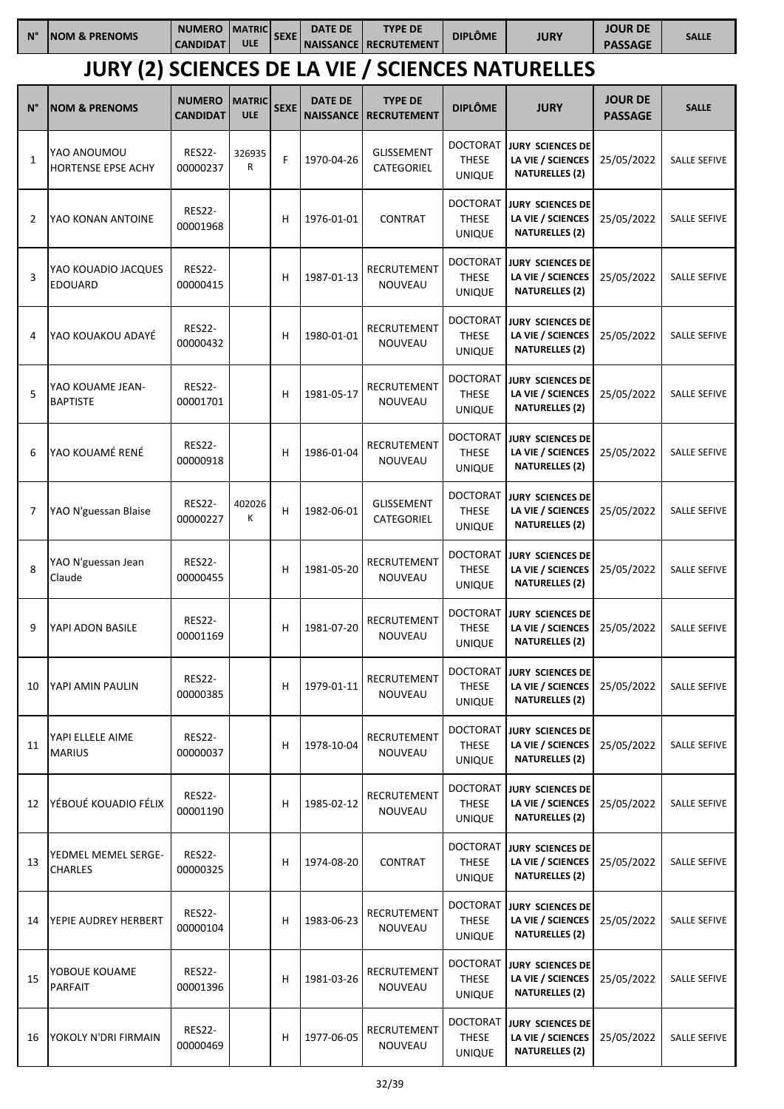| $N^{\circ}$    | <b>NOM &amp; PRENOMS</b>                                 | <b>NUMERO</b><br><b>CANDIDAT</b> | <b>MATRIC</b><br><b>ULE</b> | <b>SEXE</b> | <b>DATE DE</b>                     | <b>TYPE DE</b><br><b>NAISSANCE   RECRUTEMENT</b> | <b>DIPLÔME</b>                                   | <b>JURY</b>                                                           | <b>JOUR DE</b><br><b>PASSAGE</b> | <b>SALLE</b>        |
|----------------|----------------------------------------------------------|----------------------------------|-----------------------------|-------------|------------------------------------|--------------------------------------------------|--------------------------------------------------|-----------------------------------------------------------------------|----------------------------------|---------------------|
|                | <b>JURY (2) SCIENCES DE LA VIE / SCIENCES NATURELLES</b> |                                  |                             |             |                                    |                                                  |                                                  |                                                                       |                                  |                     |
| $N^{\circ}$    | <b>NOM &amp; PRENOMS</b>                                 | <b>NUMERO</b><br><b>CANDIDAT</b> | <b>MATRIC</b><br><b>ULE</b> | <b>SEXE</b> | <b>DATE DE</b><br><b>NAISSANCE</b> | <b>TYPE DE</b><br><b>RECRUTEMENT</b>             | <b>DIPLÔME</b>                                   | <b>JURY</b>                                                           | <b>JOUR DE</b><br><b>PASSAGE</b> | <b>SALLE</b>        |
| $\mathbf{1}$   | YAO ANOUMOU<br><b>HORTENSE EPSE ACHY</b>                 | <b>RES22-</b><br>00000237        | 326935<br>R                 | F           | 1970-04-26                         | <b>GLISSEMENT</b><br>CATEGORIEL                  | <b>DOCTORAT</b><br><b>THESE</b><br><b>UNIQUE</b> | <b>JURY SCIENCES DE</b><br>LA VIE / SCIENCES<br><b>NATURELLES (2)</b> | 25/05/2022                       | <b>SALLE SEFIVE</b> |
| 2              | YAO KONAN ANTOINE                                        | <b>RES22-</b><br>00001968        |                             | н           | 1976-01-01                         | <b>CONTRAT</b>                                   | <b>DOCTORAT</b><br><b>THESE</b><br><b>UNIQUE</b> | <b>JURY SCIENCES DE</b><br>LA VIE / SCIENCES<br><b>NATURELLES (2)</b> | 25/05/2022                       | <b>SALLE SEFIVE</b> |
| 3              | YAO KOUADIO JACQUES<br><b>EDOUARD</b>                    | <b>RES22-</b><br>00000415        |                             | н           | 1987-01-13                         | RECRUTEMENT<br>NOUVEAU                           | <b>DOCTORAT</b><br><b>THESE</b><br><b>UNIQUE</b> | <b>JURY SCIENCES DE</b><br>LA VIE / SCIENCES<br><b>NATURELLES (2)</b> | 25/05/2022                       | <b>SALLE SEFIVE</b> |
| 4              | YAO KOUAKOU ADAYÉ                                        | <b>RES22-</b><br>00000432        |                             | н           | 1980-01-01                         | RECRUTEMENT<br>NOUVEAU                           | <b>DOCTORAT</b><br><b>THESE</b><br><b>UNIQUE</b> | JURY SCIENCES DE<br>LA VIE / SCIENCES<br><b>NATURELLES (2)</b>        | 25/05/2022                       | <b>SALLE SEFIVE</b> |
| 5              | YAO KOUAME JEAN-<br><b>BAPTISTE</b>                      | <b>RES22-</b><br>00001701        |                             | н           | 1981-05-17                         | RECRUTEMENT<br><b>NOUVEAU</b>                    | <b>DOCTORAT</b><br><b>THESE</b><br><b>UNIQUE</b> | <b>JURY SCIENCES DE</b><br>LA VIE / SCIENCES<br><b>NATURELLES (2)</b> | 25/05/2022                       | <b>SALLE SEFIVE</b> |
| 6              | YAO KOUAMÉ RENÉ                                          | <b>RES22-</b><br>00000918        |                             | н           | 1986-01-04                         | RECRUTEMENT<br>NOUVEAU                           | <b>DOCTORAT</b><br><b>THESE</b><br><b>UNIQUE</b> | <b>JURY SCIENCES DE</b><br>LA VIE / SCIENCES<br><b>NATURELLES (2)</b> | 25/05/2022                       | <b>SALLE SEFIVE</b> |
| $\overline{7}$ | YAO N'guessan Blaise                                     | <b>RES22-</b><br>00000227        | 402026<br>Κ                 | н           | 1982-06-01                         | <b>GLISSEMENT</b><br>CATEGORIEL                  | <b>DOCTORAT</b><br><b>THESE</b><br><b>UNIQUE</b> | <b>JURY SCIENCES DE</b><br>LA VIE / SCIENCES<br><b>NATURELLES (2)</b> | 25/05/2022                       | <b>SALLE SEFIVE</b> |
| 8              | YAO N'guessan Jean<br>Claude                             | <b>RES22-</b><br>00000455        |                             | н           | 1981-05-20                         | RECRUTEMENT<br>NOUVEAU                           | <b>DOCTORAT</b><br><b>THESE</b><br><b>UNIQUE</b> | <b>JURY SCIENCES DE</b><br>LA VIE / SCIENCES<br><b>NATURELLES (2)</b> | 25/05/2022                       | <b>SALLE SEFIVE</b> |
| 9              | YAPI ADON BASILE                                         | <b>RES22-</b><br>00001169        |                             | н           | 1981-07-20                         | RECRUTEMENT<br><b>NOUVEAU</b>                    | <b>DOCTORAT</b><br><b>THESE</b><br><b>UNIQUE</b> | JURY SCIENCES DE<br>LA VIE / SCIENCES<br><b>NATURELLES (2)</b>        | 25/05/2022                       | SALLE SEFIVE        |
| 10             | YAPI AMIN PAULIN                                         | <b>RES22-</b><br>00000385        |                             | н           | 1979-01-11                         | RECRUTEMENT<br><b>NOUVEAU</b>                    | <b>DOCTORAT</b><br><b>THESE</b><br><b>UNIQUE</b> | <b>JURY SCIENCES DE</b><br>LA VIE / SCIENCES<br><b>NATURELLES (2)</b> | 25/05/2022                       | SALLE SEFIVE        |
| 11             | YAPI ELLELE AIME<br><b>MARIUS</b>                        | <b>RES22-</b><br>00000037        |                             | н           | 1978-10-04                         | RECRUTEMENT<br>NOUVEAU                           | <b>DOCTORAT</b><br><b>THESE</b><br><b>UNIQUE</b> | <b>JURY SCIENCES DE</b><br>LA VIE / SCIENCES<br><b>NATURELLES (2)</b> | 25/05/2022                       | SALLE SEFIVE        |
| 12             | YÉBOUÉ KOUADIO FÉLIX                                     | <b>RES22-</b><br>00001190        |                             | н           | 1985-02-12                         | RECRUTEMENT<br>NOUVEAU                           | <b>DOCTORAT</b><br><b>THESE</b><br><b>UNIQUE</b> | <b>JURY SCIENCES DE</b><br>LA VIE / SCIENCES<br><b>NATURELLES (2)</b> | 25/05/2022                       | SALLE SEFIVE        |
| 13             | YEDMEL MEMEL SERGE-<br><b>CHARLES</b>                    | <b>RES22-</b><br>00000325        |                             | н           | 1974-08-20                         | CONTRAT                                          | <b>DOCTORAT</b><br>THESE<br><b>UNIQUE</b>        | <b>JURY SCIENCES DE</b><br>LA VIE / SCIENCES<br><b>NATURELLES (2)</b> | 25/05/2022                       | SALLE SEFIVE        |
| 14             | YEPIE AUDREY HERBERT                                     | <b>RES22-</b><br>00000104        |                             | н           | 1983-06-23                         | RECRUTEMENT<br>NOUVEAU                           | <b>DOCTORAT</b><br><b>THESE</b><br><b>UNIQUE</b> | <b>JURY SCIENCES DE</b><br>LA VIE / SCIENCES<br><b>NATURELLES (2)</b> | 25/05/2022                       | SALLE SEFIVE        |
| 15             | YOBOUE KOUAME<br>PARFAIT                                 | <b>RES22-</b><br>00001396        |                             | н           | 1981-03-26                         | RECRUTEMENT<br>NOUVEAU                           | <b>DOCTORAT</b><br><b>THESE</b><br><b>UNIQUE</b> | <b>JURY SCIENCES DE</b><br>LA VIE / SCIENCES<br><b>NATURELLES (2)</b> | 25/05/2022                       | SALLE SEFIVE        |
| 16             | YOKOLY N'DRI FIRMAIN                                     | <b>RES22-</b><br>00000469        |                             | н           | 1977-06-05                         | RECRUTEMENT<br>NOUVEAU                           | <b>DOCTORAT</b><br>THESE<br><b>UNIQUE</b>        | JURY SCIENCES DE<br>LA VIE / SCIENCES<br><b>NATURELLES (2)</b>        | 25/05/2022                       | SALLE SEFIVE        |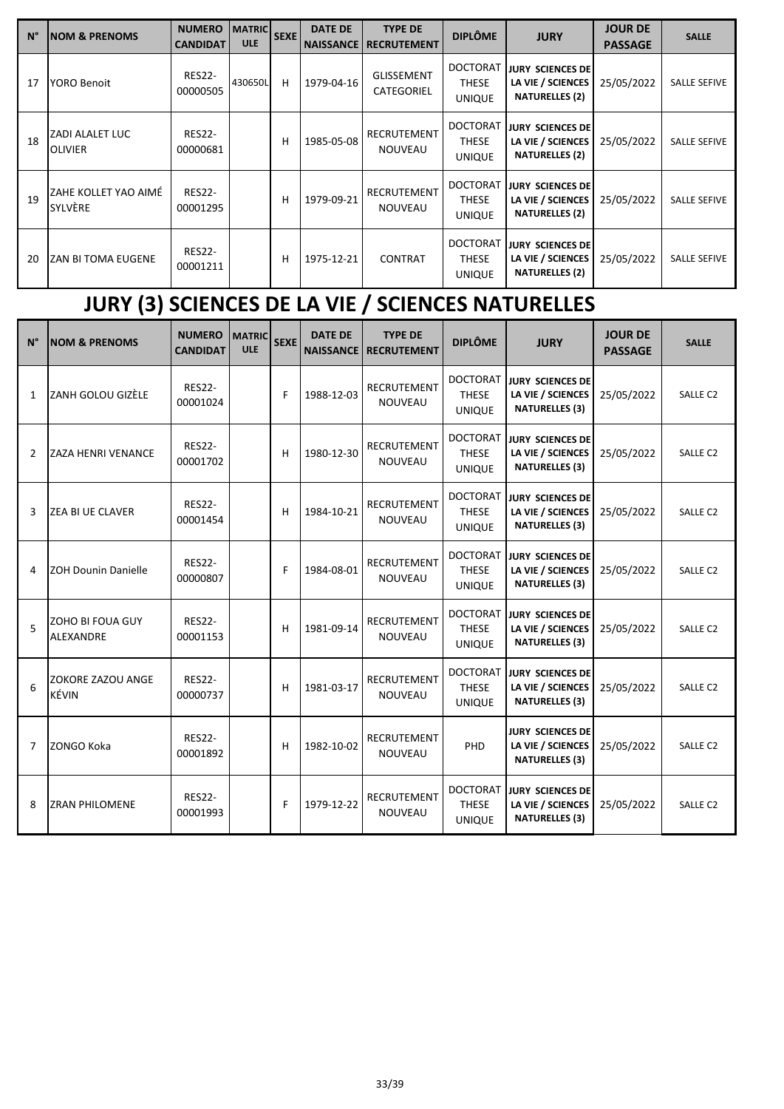| $N^{\circ}$ | <b>NOM &amp; PRENOMS</b>                 | <b>NUMERO</b><br><b>CANDIDAT</b> | <b>MATRIC</b><br><b>ULE</b> | <b>SEXE</b> | <b>DATE DE</b><br><b>NAISSANCE</b> | <b>TYPE DE</b><br><b>RECRUTEMENT</b> | <b>DIPLÔME</b>                                   | <b>JURY</b>                                                           | <b>JOUR DE</b><br><b>PASSAGE</b> | <b>SALLE</b>        |
|-------------|------------------------------------------|----------------------------------|-----------------------------|-------------|------------------------------------|--------------------------------------|--------------------------------------------------|-----------------------------------------------------------------------|----------------------------------|---------------------|
| 17          | <b>YORO Benoit</b>                       | <b>RES22-</b><br>00000505        | 430650L                     | н           | 1979-04-16                         | <b>GLISSEMENT</b><br>CATEGORIEL      | <b>DOCTORAT</b><br><b>THESE</b><br><b>UNIQUE</b> | <b>JURY SCIENCES DE</b><br>LA VIE / SCIENCES<br><b>NATURELLES (2)</b> | 25/05/2022                       | <b>SALLE SEFIVE</b> |
| 18          | <b>ZADI ALALET LUC</b><br><b>OLIVIER</b> | <b>RES22-</b><br>00000681        |                             | н           | 1985-05-08                         | <b>RECRUTEMENT</b><br><b>NOUVEAU</b> | <b>DOCTORAT</b><br><b>THESE</b><br><b>UNIQUE</b> | <b>JURY SCIENCES DE</b><br>LA VIE / SCIENCES<br><b>NATURELLES (2)</b> | 25/05/2022                       | <b>SALLE SEFIVE</b> |
| 19          | IZAHE KOLLET YAO AIMÉ<br>SYLVÈRE         | <b>RES22-</b><br>00001295        |                             | н           | 1979-09-21                         | <b>RECRUTEMENT</b><br><b>NOUVEAU</b> | <b>DOCTORAT</b><br><b>THESE</b><br><b>UNIQUE</b> | <b>JURY SCIENCES DE</b><br>LA VIE / SCIENCES<br><b>NATURELLES (2)</b> | 25/05/2022                       | <b>SALLE SEFIVE</b> |
| 20          | <b>ZAN BI TOMA EUGENE</b>                | <b>RES22-</b><br>00001211        |                             | н           | 1975-12-21                         | <b>CONTRAT</b>                       | <b>DOCTORAT</b><br><b>THESE</b><br><b>UNIQUE</b> | <b>JURY SCIENCES DE</b><br>LA VIE / SCIENCES<br><b>NATURELLES (2)</b> | 25/05/2022                       | <b>SALLE SEFIVE</b> |

# **JURY (3) SCIENCES DE LA VIE / SCIENCES NATURELLES**

| $N^{\circ}$ | <b>NOM &amp; PRENOMS</b>             | <b>NUMERO</b><br><b>CANDIDAT</b> | <b>MATRIC</b><br><b>ULE</b> | <b>SEXE</b> | <b>DATE DE</b><br><b>NAISSANCE</b> | <b>TYPE DE</b><br><b>RECRUTEMENT</b> | <b>DIPLÔME</b>                                   | <b>JURY</b>                                                           | <b>JOUR DE</b><br><b>PASSAGE</b> | <b>SALLE</b>         |
|-------------|--------------------------------------|----------------------------------|-----------------------------|-------------|------------------------------------|--------------------------------------|--------------------------------------------------|-----------------------------------------------------------------------|----------------------------------|----------------------|
| 1           | IZANH GOLOU GIZÈLE                   | <b>RES22-</b><br>00001024        |                             | F           | 1988-12-03                         | <b>RECRUTEMENT</b><br><b>NOUVEAU</b> | <b>DOCTORAT</b><br><b>THESE</b><br><b>UNIQUE</b> | <b>JURY SCIENCES DE</b><br>LA VIE / SCIENCES<br><b>NATURELLES (3)</b> | 25/05/2022                       | SALLE C2             |
| 2           | <b>ZAZA HENRI VENANCE</b>            | <b>RES22-</b><br>00001702        |                             | н           | 1980-12-30                         | <b>RECRUTEMENT</b><br><b>NOUVEAU</b> | <b>DOCTORAT</b><br><b>THESE</b><br><b>UNIQUE</b> | <b>JURY SCIENCES DE</b><br>LA VIE / SCIENCES<br><b>NATURELLES (3)</b> | 25/05/2022                       | SALLE C2             |
| 3           | IZEA BI UE CLAVER                    | <b>RES22-</b><br>00001454        |                             | н           | 1984-10-21                         | <b>RECRUTEMENT</b><br><b>NOUVEAU</b> | <b>DOCTORAT</b><br><b>THESE</b><br><b>UNIQUE</b> | JURY SCIENCES DE<br>LA VIE / SCIENCES<br><b>NATURELLES (3)</b>        | 25/05/2022                       | SALLE C <sub>2</sub> |
| 4           | <b>ZOH Dounin Danielle</b>           | <b>RES22-</b><br>00000807        |                             | F           | 1984-08-01                         | <b>RECRUTEMENT</b><br><b>NOUVEAU</b> | <b>DOCTORAT</b><br><b>THESE</b><br><b>UNIQUE</b> | <b>JURY SCIENCES DE</b><br>LA VIE / SCIENCES<br><b>NATURELLES (3)</b> | 25/05/2022                       | SALLE <sub>C2</sub>  |
| 5           | ZOHO BI FOUA GUY<br><b>ALEXANDRE</b> | <b>RES22-</b><br>00001153        |                             | н           | 1981-09-14                         | <b>RECRUTEMENT</b><br><b>NOUVEAU</b> | <b>DOCTORAT</b><br><b>THESE</b><br><b>UNIQUE</b> | <b>JURY SCIENCES DE</b><br>LA VIE / SCIENCES<br><b>NATURELLES (3)</b> | 25/05/2022                       | SALLE <sub>C2</sub>  |
| 6           | <b>ZOKORE ZAZOU ANGE</b><br>KÉVIN    | <b>RES22-</b><br>00000737        |                             | н           | 1981-03-17                         | <b>RECRUTEMENT</b><br><b>NOUVEAU</b> | <b>DOCTORAT</b><br><b>THESE</b><br><b>UNIQUE</b> | <b>JURY SCIENCES DE</b><br>LA VIE / SCIENCES<br><b>NATURELLES (3)</b> | 25/05/2022                       | SALLE C2             |
| 7           | ZONGO Koka                           | <b>RES22-</b><br>00001892        |                             | H           | 1982-10-02                         | RECRUTEMENT<br><b>NOUVEAU</b>        | PH <sub>D</sub>                                  | <b>JURY SCIENCES DE</b><br>LA VIE / SCIENCES<br><b>NATURELLES (3)</b> | 25/05/2022                       | <b>SALLE C2</b>      |
| 8           | <b>ZRAN PHILOMENE</b>                | <b>RES22-</b><br>00001993        |                             | F           | 1979-12-22                         | <b>RECRUTEMENT</b><br><b>NOUVEAU</b> | <b>DOCTORAT</b><br><b>THESE</b><br><b>UNIQUE</b> | <b>JURY SCIENCES DE</b><br>LA VIE / SCIENCES<br><b>NATURELLES (3)</b> | 25/05/2022                       | SALLE <sub>C2</sub>  |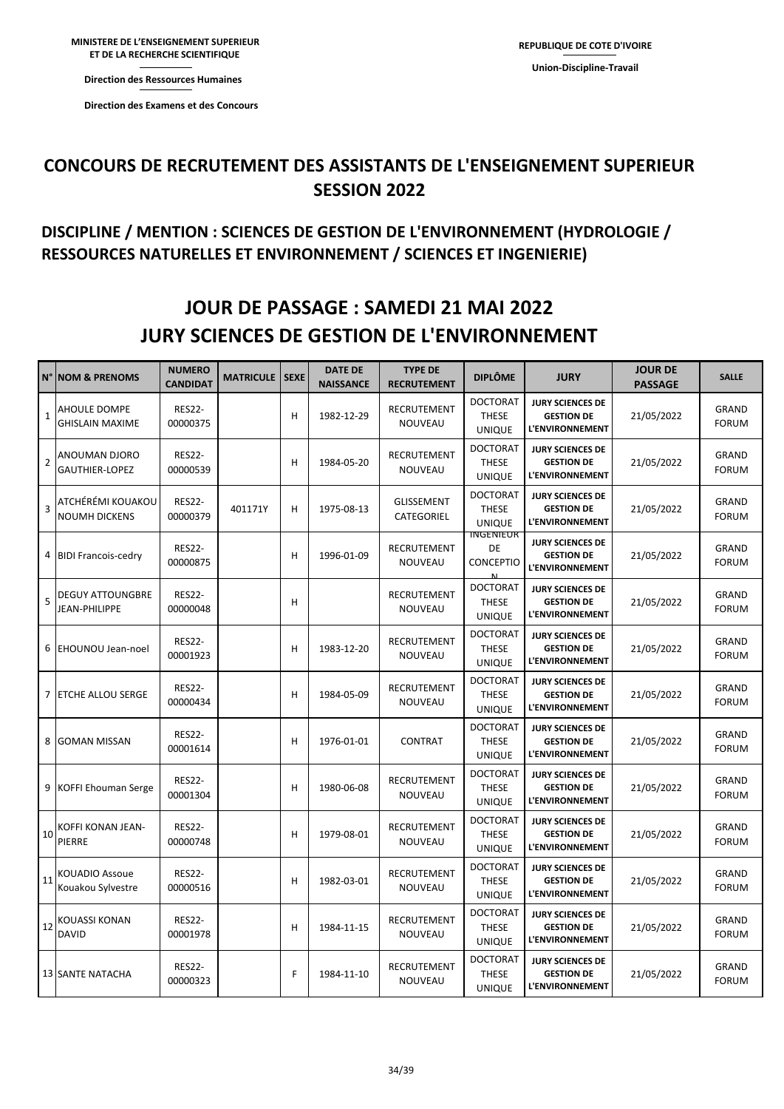**Direction des Ressources Direction des Ressources Humaines** 

**Direction des Examens et des Concours** 

#### **DISCIPLINE / MENTION : SCIENCES DE GESTION DE L'ENVIRONNEMENT (HYDROLOGIE / RESSOURCES NATURELLES ET ENVIRONNEMENT / SCIENCES ET INGENIERIE)**

## **JOUR DE PASSAGE : SAMEDI 21 MAI 2022 JURY SCIENCES DE GESTION DE L'ENVIRONNEMENT**

|                | <b>N° NOM &amp; PRENOMS</b>                   | <b>NUMERO</b><br><b>CANDIDAT</b> | <b>MATRICULE</b> | <b>SEXE</b> | <b>DATE DE</b><br><b>NAISSANCE</b> | <b>TYPE DE</b><br><b>RECRUTEMENT</b> | <b>DIPLÔME</b>                                   | <b>JURY</b>                                                            | <b>JOUR DE</b><br><b>PASSAGE</b> | <b>SALLE</b>                 |
|----------------|-----------------------------------------------|----------------------------------|------------------|-------------|------------------------------------|--------------------------------------|--------------------------------------------------|------------------------------------------------------------------------|----------------------------------|------------------------------|
| $\mathbf{1}$   | <b>AHOULE DOMPE</b><br><b>GHISLAIN MAXIME</b> | <b>RES22-</b><br>00000375        |                  | H           | 1982-12-29                         | RECRUTEMENT<br>NOUVEAU               | <b>DOCTORAT</b><br><b>THESE</b><br><b>UNIQUE</b> | <b>JURY SCIENCES DE</b><br><b>GESTION DE</b><br><b>L'ENVIRONNEMENT</b> | 21/05/2022                       | GRAND<br><b>FORUM</b>        |
| $\overline{2}$ | ANOUMAN DJORO<br>GAUTHIER-LOPEZ               | <b>RES22-</b><br>00000539        |                  | H           | 1984-05-20                         | RECRUTEMENT<br>NOUVEAU               | <b>DOCTORAT</b><br><b>THESE</b><br><b>UNIQUE</b> | <b>JURY SCIENCES DE</b><br><b>GESTION DE</b><br>L'ENVIRONNEMENT        | 21/05/2022                       | GRAND<br><b>FORUM</b>        |
| 3              | ATCHÉRÉMI KOUAKOU<br><b>NOUMH DICKENS</b>     | <b>RES22-</b><br>00000379        | 401171Y          | H           | 1975-08-13                         | <b>GLISSEMENT</b><br>CATEGORIEL      | <b>DOCTORAT</b><br><b>THESE</b><br><b>UNIQUE</b> | <b>JURY SCIENCES DE</b><br><b>GESTION DE</b><br><b>L'ENVIRONNEMENT</b> | 21/05/2022                       | <b>GRAND</b><br><b>FORUM</b> |
|                | 4 BIDI Francois-cedry                         | <b>RES22-</b><br>00000875        |                  | H           | 1996-01-09                         | RECRUTEMENT<br>NOUVEAU               | <b>INGENIEUR</b><br>DE<br><b>CONCEPTIO</b>       | <b>JURY SCIENCES DE</b><br><b>GESTION DE</b><br><b>L'ENVIRONNEMENT</b> | 21/05/2022                       | <b>GRAND</b><br><b>FORUM</b> |
| 5              | <b>DEGUY ATTOUNGBRE</b><br>JEAN-PHILIPPE      | <b>RES22-</b><br>00000048        |                  | н           |                                    | RECRUTEMENT<br>NOUVEAU               | <b>DOCTORAT</b><br><b>THESE</b><br><b>UNIQUE</b> | <b>JURY SCIENCES DE</b><br><b>GESTION DE</b><br><b>L'ENVIRONNEMENT</b> | 21/05/2022                       | <b>GRAND</b><br><b>FORUM</b> |
| 6              | <b>EHOUNOU Jean-noel</b>                      | <b>RES22-</b><br>00001923        |                  | н           | 1983-12-20                         | RECRUTEMENT<br>NOUVEAU               | <b>DOCTORAT</b><br>THESE<br><b>UNIQUE</b>        | <b>JURY SCIENCES DE</b><br><b>GESTION DE</b><br><b>L'ENVIRONNEMENT</b> | 21/05/2022                       | GRAND<br><b>FORUM</b>        |
|                | 7 ETCHE ALLOU SERGE                           | <b>RES22-</b><br>00000434        |                  | H           | 1984-05-09                         | RECRUTEMENT<br>NOUVEAU               | <b>DOCTORAT</b><br><b>THESE</b><br><b>UNIQUE</b> | <b>JURY SCIENCES DE</b><br><b>GESTION DE</b><br><b>L'ENVIRONNEMENT</b> | 21/05/2022                       | GRAND<br><b>FORUM</b>        |
| 8              | <b>GOMAN MISSAN</b>                           | <b>RES22-</b><br>00001614        |                  | H           | 1976-01-01                         | <b>CONTRAT</b>                       | <b>DOCTORAT</b><br><b>THESE</b><br><b>UNIQUE</b> | <b>JURY SCIENCES DE</b><br><b>GESTION DE</b><br>L'ENVIRONNEMENT        | 21/05/2022                       | <b>GRAND</b><br><b>FORUM</b> |
| 9              | KOFFI Ehouman Serge                           | <b>RES22-</b><br>00001304        |                  | H           | 1980-06-08                         | RECRUTEMENT<br>NOUVEAU               | <b>DOCTORAT</b><br><b>THESE</b><br><b>UNIQUE</b> | <b>JURY SCIENCES DE</b><br><b>GESTION DE</b><br><b>L'ENVIRONNEMENT</b> | 21/05/2022                       | <b>GRAND</b><br><b>FORUM</b> |
|                | 10 KOFFI KONAN JEAN-<br>PIERRE                | <b>RES22-</b><br>00000748        |                  | H           | 1979-08-01                         | RECRUTEMENT<br>NOUVEAU               | <b>DOCTORAT</b><br><b>THESE</b><br><b>UNIQUE</b> | <b>JURY SCIENCES DE</b><br><b>GESTION DE</b><br>L'ENVIRONNEMENT        | 21/05/2022                       | <b>GRAND</b><br><b>FORUM</b> |
| 11             | <b>KOUADIO Assoue</b><br>Kouakou Sylvestre    | <b>RES22-</b><br>00000516        |                  | н           | 1982-03-01                         | RECRUTEMENT<br>NOUVEAU               | <b>DOCTORAT</b><br><b>THESE</b><br><b>UNIQUE</b> | <b>JURY SCIENCES DE</b><br><b>GESTION DE</b><br><b>L'ENVIRONNEMENT</b> | 21/05/2022                       | <b>GRAND</b><br><b>FORUM</b> |
|                | 12 KOUASSI KONAN<br><b>DAVID</b>              | <b>RES22-</b><br>00001978        |                  | H           | 1984-11-15                         | RECRUTEMENT<br>NOUVEAU               | <b>DOCTORAT</b><br><b>THESE</b><br><b>UNIQUE</b> | <b>JURY SCIENCES DE</b><br><b>GESTION DE</b><br><b>L'ENVIRONNEMENT</b> | 21/05/2022                       | <b>GRAND</b><br><b>FORUM</b> |
|                | <b>13 SANTE NATACHA</b>                       | <b>RES22-</b><br>00000323        |                  | F           | 1984-11-10                         | RECRUTEMENT<br>NOUVEAU               | <b>DOCTORAT</b><br><b>THESE</b><br><b>UNIQUE</b> | <b>JURY SCIENCES DE</b><br><b>GESTION DE</b><br>L'ENVIRONNEMENT        | 21/05/2022                       | GRAND<br><b>FORUM</b>        |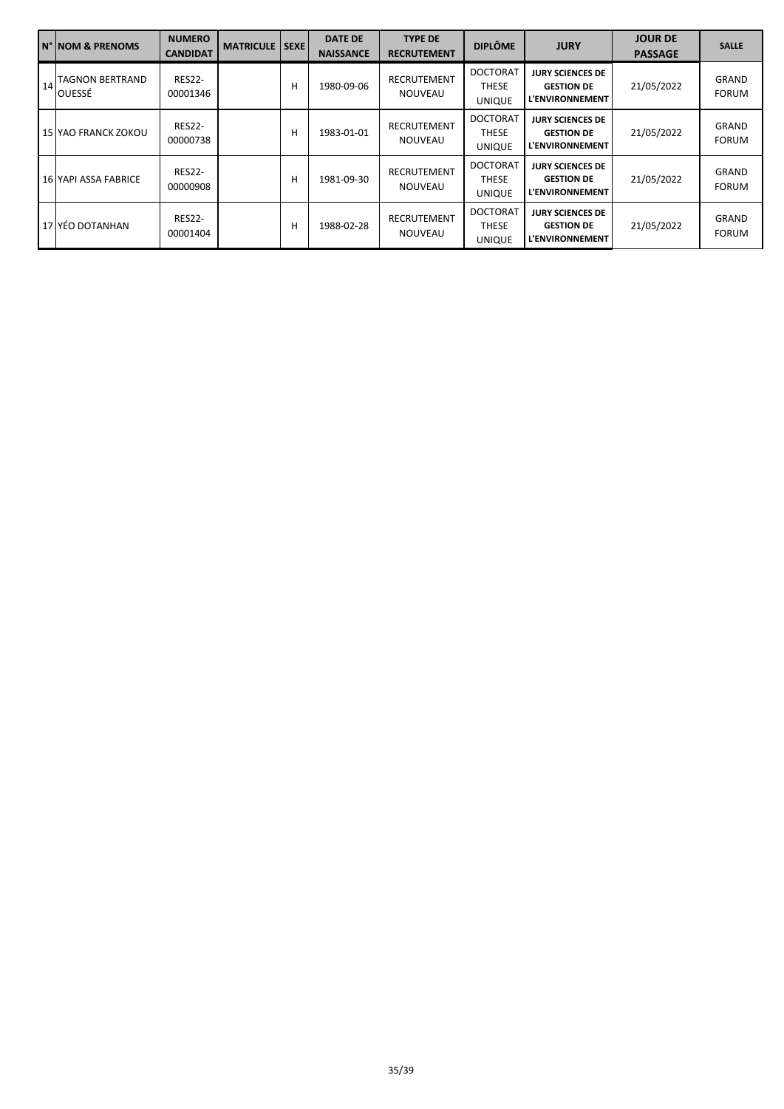|    | N° NOM & PRENOMS                  | <b>NUMERO</b><br>CANDIDAT | <b>MATRICULE</b> I | <b>SEXE</b> | <b>DATE DE</b><br><b>NAISSANCE</b> | <b>TYPE DE</b><br><b>RECRUTEMENT</b> | <b>DIPLÔME</b>                            | <b>JURY</b>                                                            | <b>JOUR DE</b><br><b>PASSAGE</b> | <b>SALLE</b>                 |
|----|-----------------------------------|---------------------------|--------------------|-------------|------------------------------------|--------------------------------------|-------------------------------------------|------------------------------------------------------------------------|----------------------------------|------------------------------|
| 14 | <b>ITAGNON BERTRAND</b><br>OUESSÉ | <b>RES22-</b><br>00001346 |                    | н           | 1980-09-06                         | RECRUTEMENT<br><b>NOUVEAU</b>        | <b>DOCTORAT</b><br>THESE<br><b>UNIQUE</b> | <b>JURY SCIENCES DE</b><br><b>GESTION DE</b><br><b>L'ENVIRONNEMENT</b> | 21/05/2022                       | <b>GRAND</b><br><b>FORUM</b> |
|    | 15 YAO FRANCK ZOKOU               | <b>RES22-</b><br>00000738 |                    | н           | 1983-01-01                         | <b>RECRUTEMENT</b><br><b>NOUVEAU</b> | <b>DOCTORAT</b><br>THESE<br><b>UNIQUE</b> | <b>JURY SCIENCES DE</b><br><b>GESTION DE</b><br><b>L'ENVIRONNEMENT</b> | 21/05/2022                       | <b>GRAND</b><br><b>FORUM</b> |
|    | 16 YAPI ASSA FABRICE              | <b>RES22-</b><br>00000908 |                    | н           | 1981-09-30                         | <b>RECRUTEMENT</b><br><b>NOUVEAU</b> | <b>DOCTORAT</b><br>THESE<br><b>UNIQUE</b> | <b>JURY SCIENCES DE</b><br><b>GESTION DE</b><br><b>L'ENVIRONNEMENT</b> | 21/05/2022                       | <b>GRAND</b><br><b>FORUM</b> |
|    | 17 YÉO DOTANHAN                   | <b>RES22-</b><br>00001404 |                    | н           | 1988-02-28                         | RECRUTEMENT<br><b>NOUVEAU</b>        | <b>DOCTORAT</b><br>THESE<br><b>UNIQUE</b> | <b>JURY SCIENCES DE</b><br><b>GESTION DE</b><br><b>L'ENVIRONNEMENT</b> | 21/05/2022                       | <b>GRAND</b><br><b>FORUM</b> |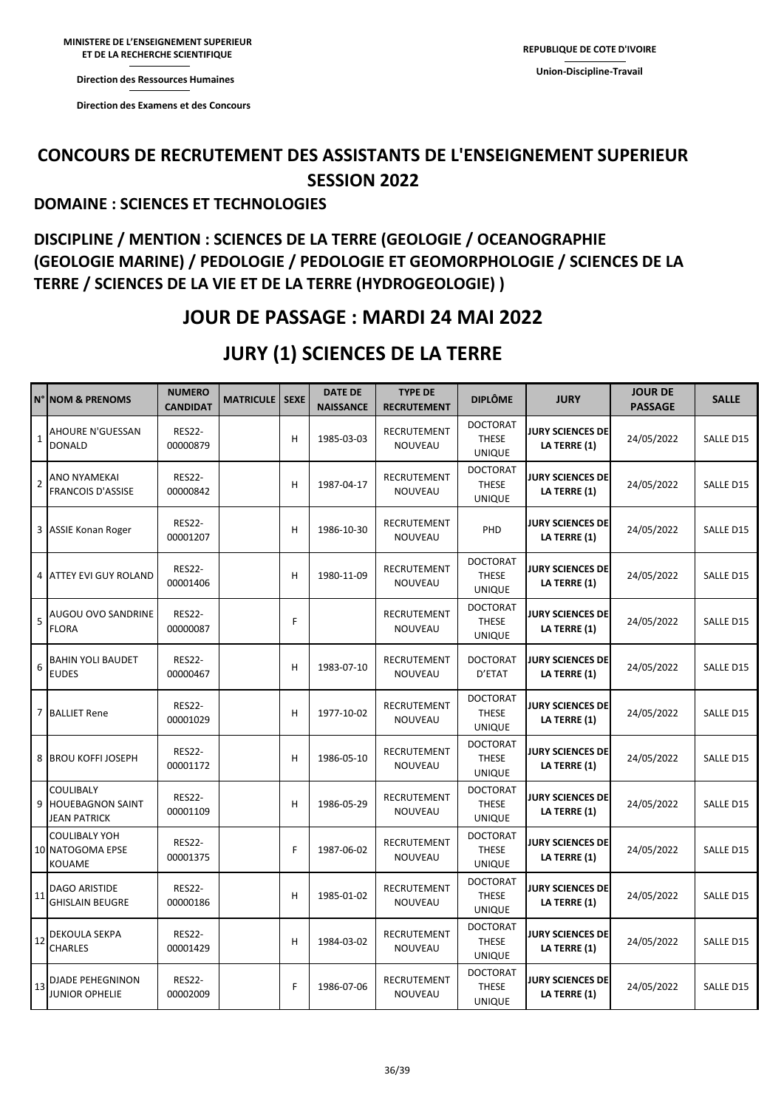**Direction des Ressources Humaines** 

**ET DE LA RECHERCHE** 

**Direction des Ressources Direction des Examens et des Concours** 

### **CONCOURS DE RECRUTEMENT DES ASSISTANTS DE L'ENSEIGNEMENT SUPERIEUR SESSION 2022**

#### **DOMAINE : SCIENCES ET TECHNOLOGIES**

### **DISCIPLINE / MENTION : SCIENCES DE LA TERRE (GEOLOGIE / OCEANOGRAPHIE (GEOLOGIE MARINE) / PEDOLOGIE / PEDOLOGIE ET GEOMORPHOLOGIE / SCIENCES DE LA TERRE / SCIENCES DE LA VIE ET DE LA TERRE (HYDROGEOLOGIE) )**

### **JOUR DE PASSAGE : MARDI 24 MAI 2022**

### **JURY (1) SCIENCES DE LA TERRE**

|                | N° NOM & PRENOMS                                            | <b>NUMERO</b><br><b>CANDIDAT</b> | <b>MATRICULE</b> | <b>SEXE</b> | <b>DATE DE</b><br><b>NAISSANCE</b> | <b>TYPE DE</b><br><b>RECRUTEMENT</b> | <b>DIPLÔME</b>                                   | <b>JURY</b>                             | <b>JOUR DE</b><br><b>PASSAGE</b> | <b>SALLE</b> |
|----------------|-------------------------------------------------------------|----------------------------------|------------------|-------------|------------------------------------|--------------------------------------|--------------------------------------------------|-----------------------------------------|----------------------------------|--------------|
| $\mathbf{1}$   | <b>AHOURE N'GUESSAN</b><br><b>DONALD</b>                    | <b>RES22-</b><br>00000879        |                  | H           | 1985-03-03                         | RECRUTEMENT<br>NOUVEAU               | <b>DOCTORAT</b><br><b>THESE</b><br><b>UNIQUE</b> | <b>JURY SCIENCES DE</b><br>LA TERRE (1) | 24/05/2022                       | SALLE D15    |
| $\overline{2}$ | <b>ANO NYAMEKAI</b><br><b>FRANCOIS D'ASSISE</b>             | <b>RES22-</b><br>00000842        |                  | н           | 1987-04-17                         | RECRUTEMENT<br>NOUVEAU               | <b>DOCTORAT</b><br><b>THESE</b><br><b>UNIQUE</b> | <b>JURY SCIENCES DE</b><br>LA TERRE (1) | 24/05/2022                       | SALLE D15    |
| 3              | <b>ASSIE Konan Roger</b>                                    | <b>RES22-</b><br>00001207        |                  | H           | 1986-10-30                         | RECRUTEMENT<br>NOUVEAU               | PHD                                              | <b>JURY SCIENCES DE</b><br>LA TERRE (1) | 24/05/2022                       | SALLE D15    |
| 4              | <b>ATTEY EVI GUY ROLAND</b>                                 | <b>RES22-</b><br>00001406        |                  | н           | 1980-11-09                         | RECRUTEMENT<br>NOUVEAU               | <b>DOCTORAT</b><br><b>THESE</b><br><b>UNIQUE</b> | <b>JURY SCIENCES DE</b><br>LA TERRE (1) | 24/05/2022                       | SALLE D15    |
| 5              | AUGOU OVO SANDRINE<br><b>FLORA</b>                          | <b>RES22-</b><br>00000087        |                  | F           |                                    | <b>RECRUTEMENT</b><br>NOUVEAU        | <b>DOCTORAT</b><br><b>THESE</b><br><b>UNIQUE</b> | <b>JURY SCIENCES DE</b><br>LA TERRE (1) | 24/05/2022                       | SALLE D15    |
| 6              | <b>BAHIN YOLI BAUDET</b><br><b>EUDES</b>                    | <b>RES22-</b><br>00000467        |                  | H           | 1983-07-10                         | RECRUTEMENT<br>NOUVEAU               | <b>DOCTORAT</b><br>D'ETAT                        | <b>JURY SCIENCES DE</b><br>LA TERRE (1) | 24/05/2022                       | SALLE D15    |
| $\overline{7}$ | <b>BALLIET Rene</b>                                         | <b>RES22-</b><br>00001029        |                  | н           | 1977-10-02                         | <b>RECRUTEMENT</b><br>NOUVEAU        | <b>DOCTORAT</b><br><b>THESE</b><br><b>UNIQUE</b> | <b>JURY SCIENCES DE</b><br>LA TERRE (1) | 24/05/2022                       | SALLE D15    |
| 8              | <b>BROU KOFFI JOSEPH</b>                                    | <b>RES22-</b><br>00001172        |                  | н           | 1986-05-10                         | RECRUTEMENT<br>NOUVEAU               | <b>DOCTORAT</b><br><b>THESE</b><br><b>UNIQUE</b> | <b>JURY SCIENCES DE</b><br>LA TERRE (1) | 24/05/2022                       | SALLE D15    |
| 9              | COULIBALY<br><b>HOUEBAGNON SAINT</b><br><b>JEAN PATRICK</b> | <b>RES22-</b><br>00001109        |                  | н           | 1986-05-29                         | RECRUTEMENT<br>NOUVEAU               | <b>DOCTORAT</b><br><b>THESE</b><br><b>UNIQUE</b> | <b>JURY SCIENCES DE</b><br>LA TERRE (1) | 24/05/2022                       | SALLE D15    |
|                | <b>COULIBALY YOH</b><br>10 NATOGOMA EPSE<br><b>KOUAME</b>   | <b>RES22-</b><br>00001375        |                  | F           | 1987-06-02                         | RECRUTEMENT<br><b>NOUVEAU</b>        | <b>DOCTORAT</b><br><b>THESE</b><br><b>UNIQUE</b> | <b>JURY SCIENCES DE</b><br>LA TERRE (1) | 24/05/2022                       | SALLE D15    |
| 11             | <b>DAGO ARISTIDE</b><br><b>GHISLAIN BEUGRE</b>              | <b>RES22-</b><br>00000186        |                  | н           | 1985-01-02                         | <b>RECRUTEMENT</b><br>NOUVEAU        | <b>DOCTORAT</b><br><b>THESE</b><br><b>UNIQUE</b> | <b>JURY SCIENCES DE</b><br>LA TERRE (1) | 24/05/2022                       | SALLE D15    |
| 12             | <b>DEKOULA SEKPA</b><br><b>CHARLES</b>                      | <b>RES22-</b><br>00001429        |                  | н           | 1984-03-02                         | RECRUTEMENT<br>NOUVEAU               | <b>DOCTORAT</b><br><b>THESE</b><br><b>UNIQUE</b> | <b>JURY SCIENCES DE</b><br>LA TERRE (1) | 24/05/2022                       | SALLE D15    |
| 13             | <b>DJADE PEHEGNINON</b><br><b>JUNIOR OPHELIE</b>            | <b>RES22-</b><br>00002009        |                  | F           | 1986-07-06                         | <b>RECRUTEMENT</b><br>NOUVEAU        | <b>DOCTORAT</b><br><b>THESE</b><br><b>UNIQUE</b> | <b>JURY SCIENCES DE</b><br>LA TERRE (1) | 24/05/2022                       | SALLE D15    |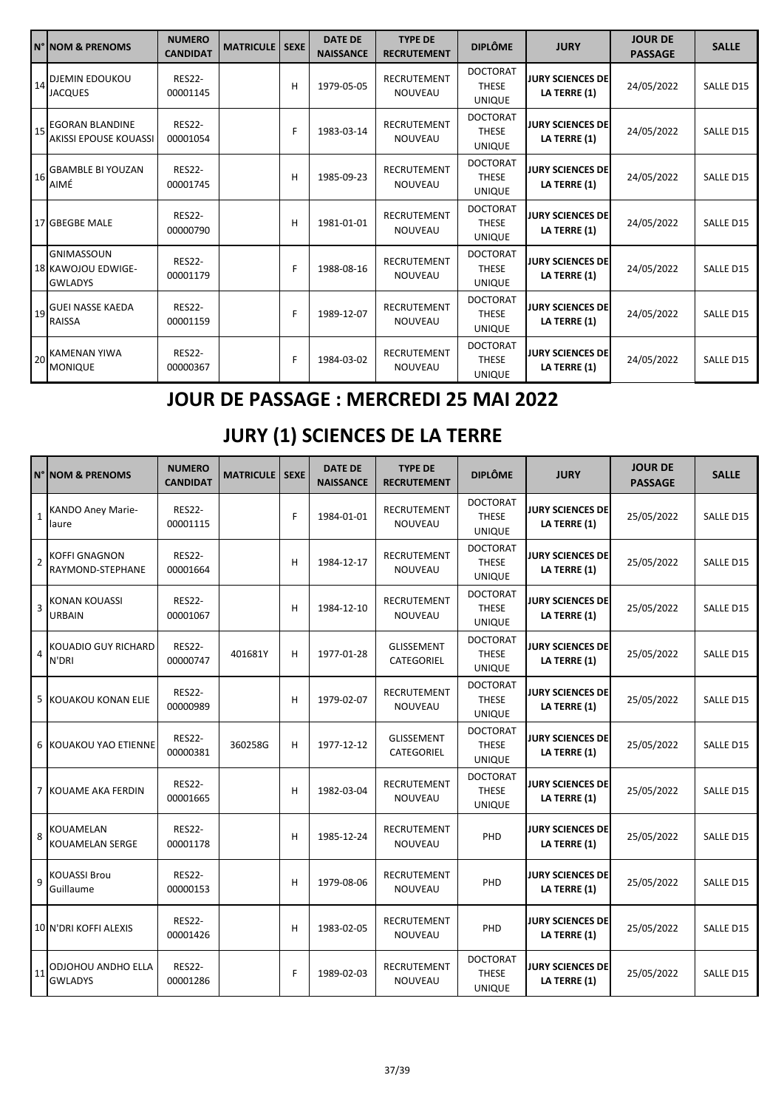|    | <b>N° NOM &amp; PRENOMS</b>                               | <b>NUMERO</b><br><b>CANDIDAT</b> | <b>MATRICULE</b> | <b>SEXE</b> | <b>DATE DE</b><br><b>NAISSANCE</b> | <b>TYPE DE</b><br><b>RECRUTEMENT</b> | <b>DIPLÔME</b>                                   | <b>JURY</b>                             | <b>JOUR DE</b><br><b>PASSAGE</b> | <b>SALLE</b> |
|----|-----------------------------------------------------------|----------------------------------|------------------|-------------|------------------------------------|--------------------------------------|--------------------------------------------------|-----------------------------------------|----------------------------------|--------------|
|    | 14 DJEMIN EDOUKOU<br><b>JACQUES</b>                       | <b>RES22-</b><br>00001145        |                  | н           | 1979-05-05                         | <b>RECRUTEMENT</b><br><b>NOUVEAU</b> | <b>DOCTORAT</b><br><b>THESE</b><br><b>UNIQUE</b> | <b>JURY SCIENCES DE</b><br>LA TERRE (1) | 24/05/2022                       | SALLE D15    |
|    | 15 EGORAN BLANDINE<br><b>AKISSI EPOUSE KOUASSI</b>        | <b>RES22-</b><br>00001054        |                  | F           | 1983-03-14                         | <b>RECRUTEMENT</b><br><b>NOUVEAU</b> | <b>DOCTORAT</b><br><b>THESE</b><br><b>UNIQUE</b> | <b>JURY SCIENCES DE</b><br>LA TERRE (1) | 24/05/2022                       | SALLE D15    |
| 16 | <b>GBAMBLE BI YOUZAN</b><br>AIMÉ                          | <b>RES22-</b><br>00001745        |                  | н           | 1985-09-23                         | <b>RECRUTEMENT</b><br>NOUVEAU        | <b>DOCTORAT</b><br><b>THESE</b><br><b>UNIQUE</b> | <b>JURY SCIENCES DE</b><br>LA TERRE (1) | 24/05/2022                       | SALLE D15    |
|    | 17 GBEGBE MALE                                            | <b>RES22-</b><br>00000790        |                  | н           | 1981-01-01                         | <b>RECRUTEMENT</b><br><b>NOUVEAU</b> | <b>DOCTORAT</b><br><b>THESE</b><br><b>UNIQUE</b> | <b>JURY SCIENCES DE</b><br>LA TERRE (1) | 24/05/2022                       | SALLE D15    |
|    | <b>GNIMASSOUN</b><br>18 KAWOJOU EDWIGE-<br><b>GWLADYS</b> | <b>RES22-</b><br>00001179        |                  | F           | 1988-08-16                         | <b>RECRUTEMENT</b><br><b>NOUVEAU</b> | <b>DOCTORAT</b><br><b>THESE</b><br><b>UNIQUE</b> | <b>JURY SCIENCES DE</b><br>LA TERRE (1) | 24/05/2022                       | SALLE D15    |
|    | 19 GUEI NASSE KAEDA<br><b>RAISSA</b>                      | <b>RES22-</b><br>00001159        |                  | F           | 1989-12-07                         | <b>RECRUTEMENT</b><br><b>NOUVEAU</b> | <b>DOCTORAT</b><br><b>THESE</b><br><b>UNIQUE</b> | <b>JURY SCIENCES DE</b><br>LA TERRE (1) | 24/05/2022                       | SALLE D15    |
|    | 20 KAMENAN YIWA<br><b>MONIQUE</b>                         | <b>RES22-</b><br>00000367        |                  | F           | 1984-03-02                         | RECRUTEMENT<br>NOUVEAU               | <b>DOCTORAT</b><br><b>THESE</b><br><b>UNIQUE</b> | <b>JURY SCIENCES DE</b><br>LA TERRE (1) | 24/05/2022                       | SALLE D15    |

## **JOUR DE PASSAGE : MERCREDI 25 MAI 2022**

## **JURY (1) SCIENCES DE LA TERRE**

|                | N° NOM & PRENOMS                            | <b>NUMERO</b><br><b>CANDIDAT</b> | <b>MATRICULE   SEXE</b> |   | <b>DATE DE</b><br><b>NAISSANCE</b> | <b>TYPE DE</b><br><b>RECRUTEMENT</b> | <b>DIPLÔME</b>                                   | <b>JURY</b>                             | <b>JOUR DE</b><br><b>PASSAGE</b> | <b>SALLE</b>     |
|----------------|---------------------------------------------|----------------------------------|-------------------------|---|------------------------------------|--------------------------------------|--------------------------------------------------|-----------------------------------------|----------------------------------|------------------|
| $\mathbf 1$    | <b>KANDO Aney Marie-</b><br>laure           | <b>RES22-</b><br>00001115        |                         | F | 1984-01-01                         | <b>RECRUTEMENT</b><br>NOUVEAU        | <b>DOCTORAT</b><br><b>THESE</b><br><b>UNIQUE</b> | <b>JURY SCIENCES DE</b><br>LA TERRE (1) | 25/05/2022                       | SALLE D15        |
| $\overline{2}$ | <b>KOFFI GNAGNON</b><br>RAYMOND-STEPHANE    | <b>RES22-</b><br>00001664        |                         | H | 1984-12-17                         | <b>RECRUTEMENT</b><br><b>NOUVEAU</b> | <b>DOCTORAT</b><br><b>THESE</b><br><b>UNIQUE</b> | <b>JURY SCIENCES DE</b><br>LA TERRE (1) | 25/05/2022                       | SALLE D15        |
| $\overline{3}$ | <b>KONAN KOUASSI</b><br>URBAIN              | <b>RES22-</b><br>00001067        |                         | H | 1984-12-10                         | RECRUTEMENT<br>NOUVEAU               | <b>DOCTORAT</b><br><b>THESE</b><br><b>UNIQUE</b> | <b>JURY SCIENCES DE</b><br>LA TERRE (1) | 25/05/2022                       | SALLE D15        |
| $\overline{4}$ | <b>KOUADIO GUY RICHARD</b><br>N'DRI         | <b>RES22-</b><br>00000747        | 401681Y                 | н | 1977-01-28                         | <b>GLISSEMENT</b><br>CATEGORIEL      | <b>DOCTORAT</b><br><b>THESE</b><br><b>UNIQUE</b> | <b>JURY SCIENCES DE</b><br>LA TERRE (1) | 25/05/2022                       | SALLE D15        |
|                | 5 KOUAKOU KONAN ELIE                        | <b>RES22-</b><br>00000989        |                         | н | 1979-02-07                         | <b>RECRUTEMENT</b><br>NOUVEAU        | <b>DOCTORAT</b><br><b>THESE</b><br><b>UNIQUE</b> | <b>JURY SCIENCES DE</b><br>LA TERRE (1) | 25/05/2022                       | SALLE D15        |
|                | <b>6 KOUAKOU YAO ETIENNE</b>                | <b>RES22-</b><br>00000381        | 360258G                 | H | 1977-12-12                         | <b>GLISSEMENT</b><br>CATEGORIEL      | <b>DOCTORAT</b><br><b>THESE</b><br><b>UNIQUE</b> | <b>JURY SCIENCES DE</b><br>LA TERRE (1) | 25/05/2022                       | SALLE D15        |
|                | 7 KOUAME AKA FERDIN                         | <b>RES22-</b><br>00001665        |                         | H | 1982-03-04                         | <b>RECRUTEMENT</b><br>NOUVEAU        | <b>DOCTORAT</b><br><b>THESE</b><br><b>UNIQUE</b> | <b>JURY SCIENCES DE</b><br>LA TERRE (1) | 25/05/2022                       | SALLE D15        |
| 8              | KOUAMELAN<br>KOUAMELAN SERGE                | <b>RES22-</b><br>00001178        |                         | H | 1985-12-24                         | RECRUTEMENT<br><b>NOUVEAU</b>        | PHD                                              | <b>JURY SCIENCES DE</b><br>LA TERRE (1) | 25/05/2022                       | SALLE D15        |
| 9              | <b>KOUASSI Brou</b><br>Guillaume            | <b>RES22-</b><br>00000153        |                         | H | 1979-08-06                         | RECRUTEMENT<br>NOUVEAU               | PHD                                              | <b>JURY SCIENCES DE</b><br>LA TERRE (1) | 25/05/2022                       | SALLE D15        |
|                | 10 N'DRI KOFFI ALEXIS                       | <b>RES22-</b><br>00001426        |                         | н | 1983-02-05                         | RECRUTEMENT<br>NOUVEAU               | PHD                                              | <b>JURY SCIENCES DE</b><br>LA TERRE (1) | 25/05/2022                       | SALLE D15        |
| 11             | <b>ODJOHOU ANDHO ELLA</b><br><b>GWLADYS</b> | <b>RES22-</b><br>00001286        |                         | F | 1989-02-03                         | <b>RECRUTEMENT</b><br>NOUVEAU        | <b>DOCTORAT</b><br><b>THESE</b><br><b>UNIQUE</b> | <b>JURY SCIENCES DE</b><br>LA TERRE (1) | 25/05/2022                       | <b>SALLE D15</b> |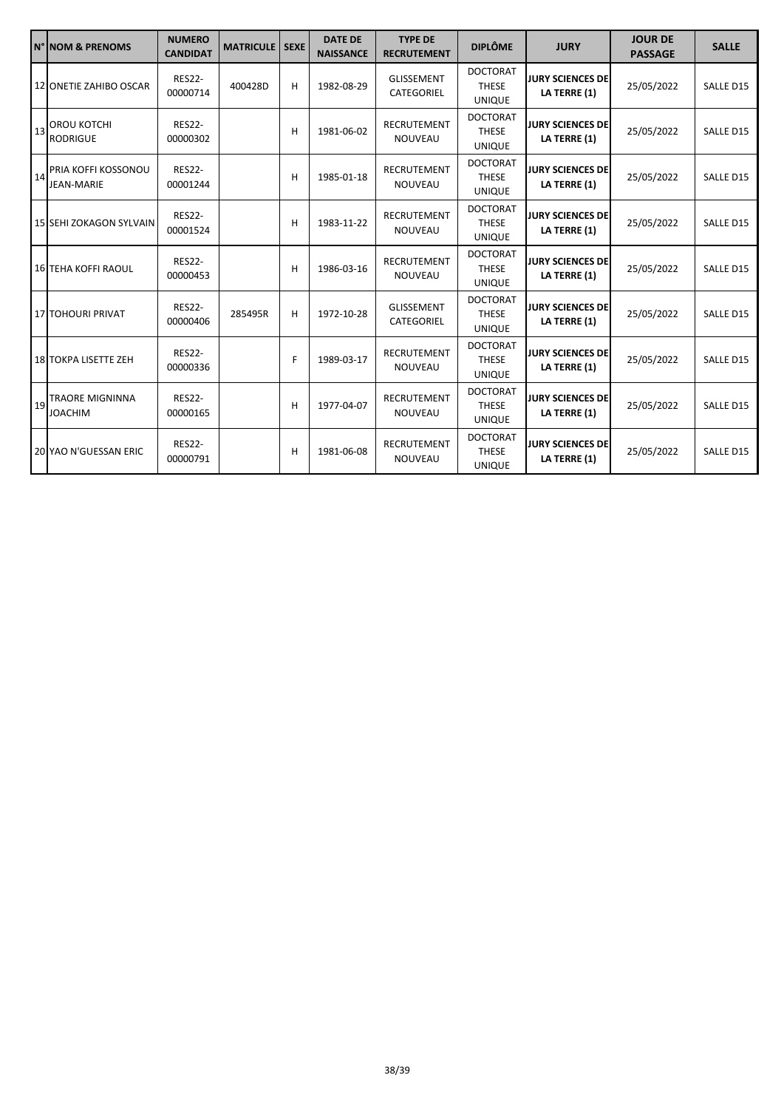|    | N° NOM & PRENOMS                         | <b>NUMERO</b><br><b>CANDIDAT</b> | <b>MATRICULE</b> | <b>SEXE</b> | <b>DATE DE</b><br><b>NAISSANCE</b> | <b>TYPE DE</b><br><b>RECRUTEMENT</b> | <b>DIPLÔME</b>                                   | <b>JURY</b>                             | <b>JOUR DE</b><br><b>PASSAGE</b> | <b>SALLE</b> |
|----|------------------------------------------|----------------------------------|------------------|-------------|------------------------------------|--------------------------------------|--------------------------------------------------|-----------------------------------------|----------------------------------|--------------|
|    | 12 ONETIE ZAHIBO OSCAR                   | <b>RES22-</b><br>00000714        | 400428D          | н           | 1982-08-29                         | <b>GLISSEMENT</b><br>CATEGORIEL      | <b>DOCTORAT</b><br><b>THESE</b><br><b>UNIQUE</b> | <b>JURY SCIENCES DE</b><br>LA TERRE (1) | 25/05/2022                       | SALLE D15    |
| 13 | <b>OROU KOTCHI</b><br><b>RODRIGUE</b>    | <b>RES22-</b><br>00000302        |                  | н           | 1981-06-02                         | <b>RECRUTEMENT</b><br><b>NOUVEAU</b> | <b>DOCTORAT</b><br><b>THESE</b><br><b>UNIQUE</b> | <b>JURY SCIENCES DE</b><br>LA TERRE (1) | 25/05/2022                       | SALLE D15    |
| 14 | PRIA KOFFI KOSSONOU<br><b>JEAN-MARIE</b> | <b>RES22-</b><br>00001244        |                  | н           | 1985-01-18                         | RECRUTEMENT<br><b>NOUVEAU</b>        | <b>DOCTORAT</b><br><b>THESE</b><br><b>UNIQUE</b> | <b>JURY SCIENCES DE</b><br>LA TERRE (1) | 25/05/2022                       | SALLE D15    |
|    | <b>15 SEHI ZOKAGON SYLVAIN</b>           | <b>RES22-</b><br>00001524        |                  | н           | 1983-11-22                         | <b>RECRUTEMENT</b><br><b>NOUVEAU</b> | <b>DOCTORAT</b><br><b>THESE</b><br><b>UNIQUE</b> | <b>JURY SCIENCES DE</b><br>LA TERRE (1) | 25/05/2022                       | SALLE D15    |
|    | <b>16 TEHA KOFFI RAOUL</b>               | <b>RES22-</b><br>00000453        |                  | н           | 1986-03-16                         | <b>RECRUTEMENT</b><br><b>NOUVEAU</b> | <b>DOCTORAT</b><br><b>THESE</b><br><b>UNIQUE</b> | <b>JURY SCIENCES DE</b><br>LA TERRE (1) | 25/05/2022                       | SALLE D15    |
|    | 17 TOHOURI PRIVAT                        | <b>RES22-</b><br>00000406        | 285495R          | н           | 1972-10-28                         | <b>GLISSEMENT</b><br>CATEGORIEL      | <b>DOCTORAT</b><br><b>THESE</b><br><b>UNIQUE</b> | <b>JURY SCIENCES DE</b><br>LA TERRE (1) | 25/05/2022                       | SALLE D15    |
|    | 18 TOKPA LISETTE ZEH                     | <b>RES22-</b><br>00000336        |                  | F           | 1989-03-17                         | <b>RECRUTEMENT</b><br><b>NOUVEAU</b> | <b>DOCTORAT</b><br><b>THESE</b><br><b>UNIQUE</b> | <b>JURY SCIENCES DE</b><br>LA TERRE (1) | 25/05/2022                       | SALLE D15    |
| 19 | <b>TRAORE MIGNINNA</b><br><b>JOACHIM</b> | <b>RES22-</b><br>00000165        |                  | н           | 1977-04-07                         | RECRUTEMENT<br>NOUVEAU               | <b>DOCTORAT</b><br><b>THESE</b><br><b>UNIQUE</b> | <b>JURY SCIENCES DE</b><br>LA TERRE (1) | 25/05/2022                       | SALLE D15    |
|    | 20 YAO N'GUESSAN ERIC                    | <b>RES22-</b><br>00000791        |                  | н           | 1981-06-08                         | <b>RECRUTEMENT</b><br><b>NOUVEAU</b> | <b>DOCTORAT</b><br><b>THESE</b><br><b>UNIQUE</b> | <b>JURY SCIENCES DE</b><br>LA TERRE (1) | 25/05/2022                       | SALLE D15    |